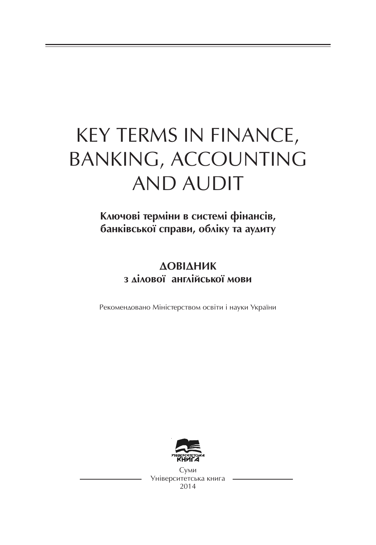# KEY TERMS IN FINANCE, BANKING, ACCOUNTING AND AUDIT

Ключові терміни в системі фінансів, банківської справи, обліку та аудиту

# **ΔΟΒΙΔΗΜΚ** з лілової англійської мови

Рекомендовано Міністерством освіти і науки України



С*уми* Університетська книга 2014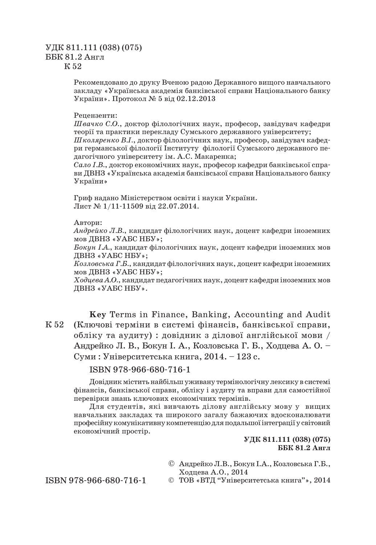#### УДК 811.111 (038) (075) ББК 81.2 Англ К 52

Рекомендовано до друку Вченою радою Державного вищого навчального закладу «Українська академія банківської справи Національного банку України». Протокол № 5 від 02.12.2013

#### Рецензенти:

*Швачко С.О.*, доктор філологічних наук, професор, завідувач кафедри теорії та практики перекладу Сумського державного університету;

*Школяренко В.І.*, доктор філологічних наук, професор, завідувач кафед ри германської філології Інституту філології Сумського державного пе дагогічного університету ім. А.С. Макаренка;

*Сало І.В.*, доктор економічних наук, професор кафедри банківської спра ви ДВНЗ «Українська академія банківської справи Національного банку України»

Гриф надано Міністерством освіти і науки України. Лист № 1/11 11509 від 22.07.2014.

#### Автори:

*Андрейко Л.В.*, кандидат філологічних наук, доцент кафедри іноземних мов ДВНЗ «УАБС НБУ»;

*Бокун І.А.*, кандидат філологічних наук, доцент кафедри іноземних мов ДВНЗ «УАБС НБУ»;

*Козловська Г.Б.*, кандидат філологічних наук, доцент кафедри іноземних мов ДВНЗ «УАБС НБУ»;

*Ходцева А.О.*, кандидат педагогічних наук, доцент кафедри іноземних мов ДВНЗ «УАБС НБУ».

**Key** Terms in Finance, Banking, Accounting and Audit (Ключові терміни в системі фінансів, банківської справи, обліку та аудиту) : довідник з ділової англійської мови / Андрейко Л. В., Бокун І. А., Козловська Г. Б., Ходцева А. О. – Суми : Університетська книга, 2014. – 123 с. К 52

#### ISBN 978-966-680-716-1

Довідник містить найбільш уживану термінологічну лексику в системі фінансів, банківської справи, обліку і аудиту та вправи для самостійної перевірки знань ключових економічних термінів.

Для студентів, які вивчають ділову англійську мову у вищих навчальних закладах та широкого загалу бажаючих вдосконалювати професійну комунікативну компетенцію для подальшої інтеграції у світовий економічний простір.

#### **УДК 811.111 (038) (075) ББК 81.2 Англ**

© Андрейко Л.В., Бокун І.А., Козловська Г.Б., Ходцева А.О., 2014

ISBN 978-966-680-716-1

© ТОВ «ВТЛ "Університетська книга"», 2014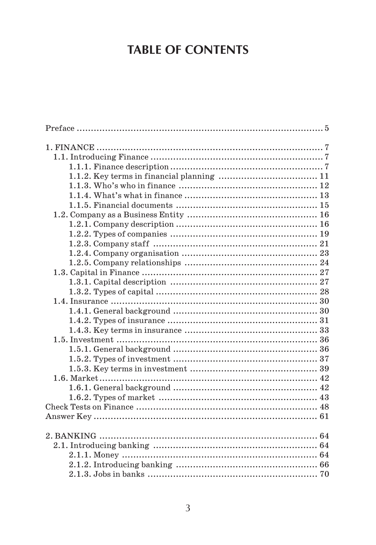# **TABLE OF CONTENTS**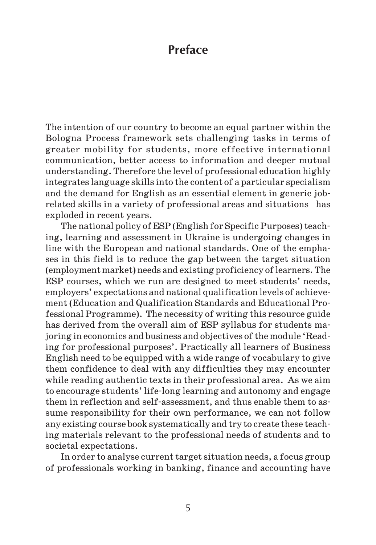# **Preface**

The intention of our country to become an equal partner within the Bologna Process framework sets challenging tasks in terms of greater mobility for students, more effective international communication, better access to information and deeper mutual understanding. Therefore the level of professional education highly integrates language skills into the content of a particular specialism and the demand for English as an essential element in generic job related skills in a variety of professional areas and situations has exploded in recent years.

The national policy of ESP (English for Specific Purposes) teach ing, learning and assessment in Ukraine is undergoing changes in line with the European and national standards. One of the empha ses in this field is to reduce the gap between the target situation (employment market) needs and existing proficiency of learners. The ESP courses, which we run are designed to meet students' needs, employers' expectations and national qualification levels of achieve ment (Education and Qualification Standards and Educational Pro fessional Programme). The necessity of writing this resource guide has derived from the overall aim of ESP syllabus for students ma joring in economics and business and objectives of the module 'Read ing for professional purposes'. Practically all learners of Business English need to be equipped with a wide range of vocabulary to give them confidence to deal with any difficulties they may encounter while reading authentic texts in their professional area. As we aim to encourage students' life long learning and autonomy and engage them in reflection and self assessment, and thus enable them to as sume responsibility for their own performance, we can not follow any existing course book systematically and try to create these teach ing materials relevant to the professional needs of students and to societal expectations.

In order to analyse current target situation needs, a focus group of professionals working in banking, finance and accounting have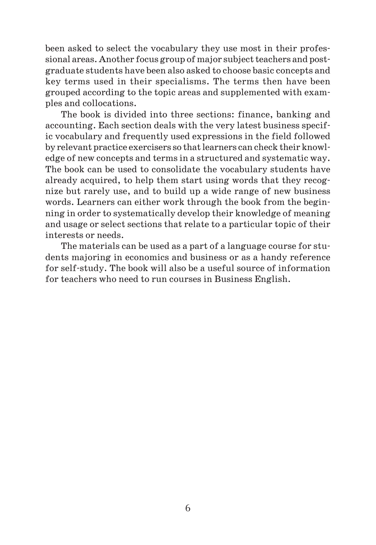been asked to select the vocabulary they use most in their profes sional areas. Another focus group of major subject teachers and post graduate students have been also asked to choose basic concepts and key terms used in their specialisms. The terms then have been grouped according to the topic areas and supplemented with exam ples and collocations.

The book is divided into three sections: finance, banking and accounting. Each section deals with the very latest business specif ic vocabulary and frequently used expressions in the field followed by relevant practice exercisers so that learners can check their knowl edge of new concepts and terms in a structured and systematic way. The book can be used to consolidate the vocabulary students have already acquired, to help them start using words that they recog nize but rarely use, and to build up a wide range of new business words. Learners can either work through the book from the begin ning in order to systematically develop their knowledge of meaning and usage or select sections that relate to a particular topic of their interests or needs.

The materials can be used as a part of a language course for stu dents majoring in economics and business or as a handy reference for self study. The book will also be a useful source of information for teachers who need to run courses in Business English.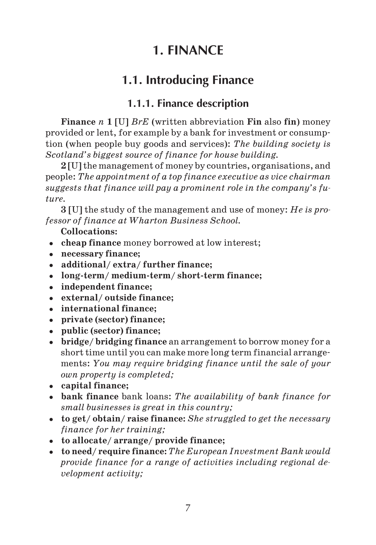# **1. FINANCE**

# **1.1. Introducing Finance**

# **1.1.1. Finance description**

**Finance** *n* **1** [U] *BrE* (written abbreviation **Fin** also **fin**) money provided or lent, for example by a bank for investment or consump tion (when people buy goods and services): *The building society is Scotland's biggest source of finance for house building.*

**2** [U] the management of money by countries, organisations, and people: *The appointment of a top finance executive as vice chairman suggests that finance will pay a prominent role in the company's fu ture.*

**3** [U] the study of the management and use of money: *He is pro fessor of finance at Wharton Business School.*

**Collocations:**

- **cheap finance** money borrowed at low interest;
- **necessary finance;**
- **additional/ extra/ further finance;**
- **long term/ medium term/ short term finance;**
- **independent finance;**
- **external/ outside finance;**
- **international finance;**
- **private (sector) finance;**
- **public (sector) finance;**
- **bridge/ bridging finance** an arrangement to borrow money for a short time until you can make more long term financial arrange ments: *You may require bridging finance until the sale of your own property is completed;*
- **capital finance;**
- **bank finance** bank loans: *The availability of bank finance for small businesses is great in this country;*
- **to get/ obtain/ raise finance:** *She struggled to get the necessary finance for her training;*
- **to allocate/ arrange/ provide finance;**
- **to need/ require finance:** *The European Investment Bank would provide finance for a range of activities including regional de velopment activity;*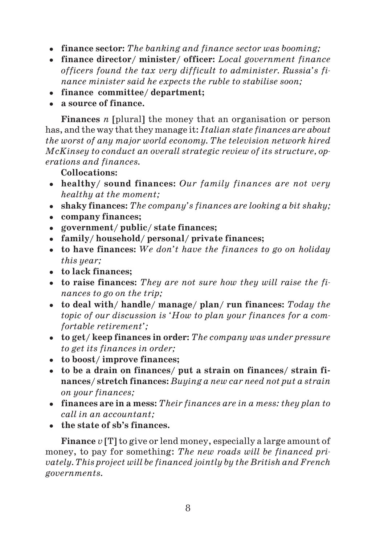- **finance sector:** *The banking and finance sector was booming;*
- **finance director/ minister/ officer:** *Local government finance officers found the tax very difficult to administer. Russia's fi nance minister said he expects the ruble to stabilise soon;*
- **finance committee/ department;**
- **a source of finance.**

**Finances** *n* [plural] the money that an organisation or person has, and the way that they manage it: *Italian state finances are about the worst of any major world economy. The television network hired McKinsey to conduct an overall strategic review of its structure, op erations and finances.*

**Collocations:**

- **healthy/ sound finances:** *Our family finances are not very healthy at the moment;*
- **shaky finances:** *The company's finances are looking a bit shaky;*
- **company finances;**
- **government/ public/ state finances;**
- **family/ household/ personal/ private finances;**
- **to have finances:** *We don't have the finances to go on holiday this year;*
- **to lack finances;**
- **to raise finances:** *They are not sure how they will raise the fi nances to go on the trip;*
- **to deal with/ handle/ manage/ plan/ run finances:** *Today the topic of our discussion is 'How to plan your finances for a com fortable retirement';*
- **to get/ keep finances in order:** *The company was under pressure to get its finances in order;*
- **to boost/ improve finances;**
- **to be a drain on finances/ put a strain on finances/ strain fi nances/ stretch finances:** *Buying a new car need not put a strain on your finances;*
- **finances are in a mess:** *Their finances are in a mess: they plan to call in an accountant;*
- **the state of sb's finances.**

**Finance** *v* [T] to give or lend money, especially a large amount of money, to pay for something: *The new roads will be financed pri vately. This project will be financed jointly by the British and French governments.*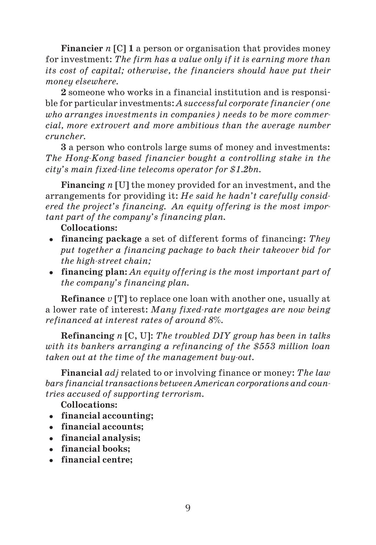**Financier** *n* [C] **1** a person or organisation that provides money for investment: *The firm has a value only if it is earning more than its cost of capital; otherwise, the financiers should have put their money elsewhere.*

**2** someone who works in a financial institution and is responsi ble for particular investments: *A successful corporate financier (one who arranges investments in companies) needs to be more commer cial, more extrovert and more ambitious than the average number cruncher.*

**3** a person who controls large sums of money and investments: *The Hong-Kong based financier bought a controlling stake in the city's main fixed-line telecoms operator for \$1.2bn.* 

**Financing** *n* [U] the money provided for an investment, and the arrangements for providing it: *He said he hadn't carefully consid ered the project's financing. An equity offering is the most impor tant part of the company's financing plan.*

- **Collocations:**
- **financing package** a set of different forms of financing: *They put together a financing package to back their takeover bid for*  $the$  high-street chain;
- **financing plan:** *An equity offering is the most important part of the company's financing plan.*

**Refinance** *v* [T] to replace one loan with another one, usually at a lower rate of interest: *Many fixed-rate mortgages are now being refinanced at interest rates of around 8%.*

**Refinancing** *n* [C, U]: *The troubled DIY group has been in talks with its bankers arranging a refinancing of the \$553 million loan taken out at the time of the management buyout.*

**Financial** *adj* related to or involving finance or money: *The law bars financial transactions between American corporations and coun tries accused of supporting terrorism.*

**Collocations:**

- **financial accounting;**
- **financial accounts;**
- **financial analysis;**
- **financial books;**
- **financial centre;**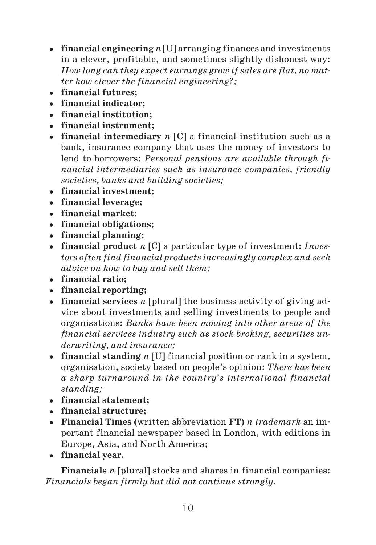- **financial engineering** *n* [U] arranging finances and investments in a clever, profitable, and sometimes slightly dishonest way: *How long can they expect earnings grow if sales are flat, no mat ter how clever the financial engineering?;*
- **financial futures;**
- **financial indicator;**
- **financial institution;**
- **financial instrument;**
- **financial intermediary** *n* [C] a financial institution such as a bank, insurance company that uses the money of investors to lend to borrowers: *Personal pensions are available through fi nancial intermediaries such as insurance companies, friendly societies, banks and building societies;*
- **financial investment;**
- **financial leverage;**
- **financial market;**
- **financial obligations;**
- **financial planning;**
- **financial product** *n* [C] a particular type of investment: *Inves tors often find financial products increasingly complex and seek advice on how to buy and sell them;*
- **financial ratio;**
- **financial reporting;**
- **financial services** *n* [plural] the business activity of giving ad vice about investments and selling investments to people and organisations: *Banks have been moving into other areas of the financial services industry such as stock broking, securities un derwriting, and insurance;*
- **financial standing** *n* [U] financial position or rank in a system, organisation, society based on people's opinion: *There has been a sharp turnaround in the country's international financial standing;*
- **financial statement;**
- **financial structure;**
- **Financial Times (**written abbreviation **FT)** *n trademark* an im portant financial newspaper based in London, with editions in Europe, Asia, and North America;
- **financial year.**

**Financials** *n* [plural] stocks and shares in financial companies: *Financials began firmly but did not continue strongly.*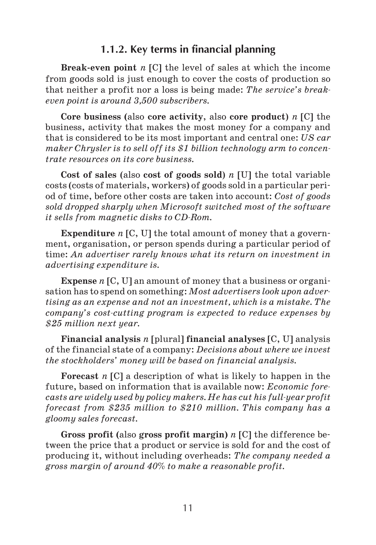#### **1.1.2. Key terms in financial planning**

**Break even point** *n* [C] the level of sales at which the income from goods sold is just enough to cover the costs of production so that neither a profit nor a loss is being made: *The service's break even point is around 3,500 subscribers.*

**Core business (**also **core activity**, also **core product**) *n* [C] the business, activity that makes the most money for a company and that is considered to be its most important and central one: *US car maker Chrysler is to sell off its \$1 billion technology arm to concen trate resources on its core business.*

**Cost of sales** (also **cost of goods sold**) *n* [U] the total variable costs (costs of materials, workers) of goods sold in a particular peri od of time, before other costs are taken into account: *Cost of goods sold dropped sharply when Microsoft switched most of the software it sells from magnetic disks to CD-Rom.* 

**Expenditure** *n* [C, U] the total amount of money that a govern ment, organisation, or person spends during a particular period of time: *An advertiser rarely knows what its return on investment in advertising expenditure is.*

**Expense** *n* [C, U] an amount of money that a business or organi sation has to spend on something: *Most advertisers look upon adver tising as an expense and not an investment, which is a mistake. The company's cost-cutting program is expected to reduce expenses by \$25 million next year.*

**Financial analysis** *n* [plural] **financial analyses** [C, U] analysis of the financial state of a company: *Decisions about where we invest the stockholders' money will be based on financial analysis.*

**Forecast** *n* [C] a description of what is likely to happen in the future, based on information that is available now: *Economic fore casts* are widely used by policy makers. He has cut his full-year profit *forecast from \$235 million to \$210 million. This company has a gloomy sales forecast.*

**Gross profit (**also **gross profit margin)** *n* [C] the difference be tween the price that a product or service is sold for and the cost of producing it, without including overheads: *The company needed a gross margin of around 40% to make a reasonable profit.*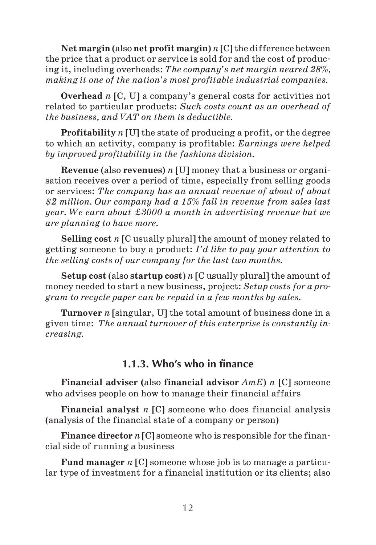**Net margin** (also **net profit margin**) *n* [C] the difference between the price that a product or service is sold for and the cost of produc ing it, including overheads: *The company's net margin neared 28%, making it one of the nation's most profitable industrial companies.*

**Overhead** *n* [C, U] a company's general costs for activities not related to particular products: *Such costs count as an overhead of the business, and VAT on them is deductible.*

**Profitability** *n* [U] the state of producing a profit, or the degree to which an activity, company is profitable: *Earnings were helped by improved profitability in the fashions division.*

**Revenue** (also **revenues**) *n* [U] money that a business or organi sation receives over a period of time, especially from selling goods or services: *The company has an annual revenue of about of about \$2 million. Our company had a 15% fall in revenue from sales last year. We earn about ‡3000 a month in advertising revenue but we are planning to have more.*

**Selling cost** *n* [C usually plural] the amount of money related to getting someone to buy a product: *I'd like to pay your attention to the selling costs of our company for the last two months.*

**Setup cost** (also **startup cost**) *n* [C usually plural] the amount of money needed to start a new business, project: *Setup costs for a pro gram to recycle paper can be repaid in a few months by sales.*

**Turnover** *n* [singular, U] the total amount of business done in a given time: *The annual turnover of this enterprise is constantly in creasing.*

### **1.1.3. Who's who in finance**

**Financial adviser (**also **financial advisor** *AmE*) *n* [C] someone who advises people on how to manage their financial affairs

**Financial analyst** *n* [C] someone who does financial analysis (analysis of the financial state of a company or person)

**Finance director** *n* [C] someone who is responsible for the finan cial side of running a business

**Fund manager** *n* [C] someone whose job is to manage a particu lar type of investment for a financial institution or its clients; also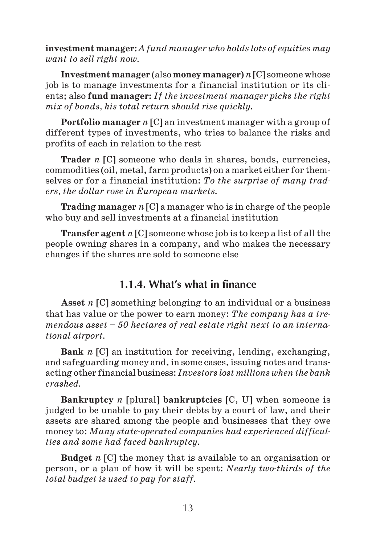**investment manager:** *A fund manager who holds lots of equities may want to sell right now.*

**Investment manager** (also **money manager**) *n* [C] someone whose job is to manage investments for a financial institution or its cli ents; also **fund manager:** *If the investment manager picks the right mix of bonds, his total return should rise quickly.*

**Portfolio manager** *n* [C] an investment manager with a group of different types of investments, who tries to balance the risks and profits of each in relation to the rest

**Trader** *n* [C] someone who deals in shares, bonds, currencies, commodities (oil, metal, farm products) on a market either for them selves or for a financial institution: *To the surprise of many trad ers, the dollar rose in European markets.*

**Trading manager** *n* [C] a manager who is in charge of the people who buy and sell investments at a financial institution

**Transfer agent** *n* [C] someone whose job is to keep a list of all the people owning shares in a company, and who makes the necessary changes if the shares are sold to someone else

# **1.1.4. What's what in finance**

**Asset** *n* [C] something belonging to an individual or a business that has value or the power to earn money: *The company has a tre mendous asset – 50 hectares of real estate right next to an interna tional airport.*

**Bank** *n* [C] an institution for receiving, lending, exchanging, and safeguarding money and, in some cases, issuing notes and trans acting other financial business: *Investors lost millions when the bank crashed.*

**Bankruptcy** *n* [plural] **bankruptcies** [C, U] when someone is judged to be unable to pay their debts by a court of law, and their assets are shared among the people and businesses that they owe money to: *Many state-operated companies had experienced difficulties and some had faced bankruptcy.*

**Budget** *n* [C] the money that is available to an organisation or person, or a plan of how it will be spent: *Nearly twothirds of the total budget is used to pay for staff.*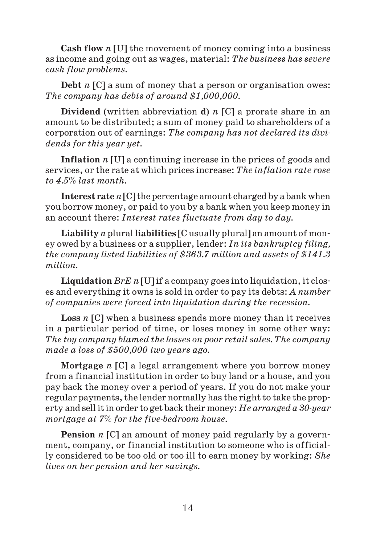**Cash flow** *n* [U] the movement of money coming into a business as income and going out as wages, material: *The business has severe cash flow problems.*

**Debt** *n* [C] a sum of money that a person or organisation owes: *The company has debts of around \$1,000,000.*

**Dividend** (written abbreviation **d**) *n* [C] a prorate share in an amount to be distributed; a sum of money paid to shareholders of a corporation out of earnings: *The company has not declared its divi dends for this year yet.*

**Inflation** *n* [U] a continuing increase in the prices of goods and services, or the rate at which prices increase: *The inflation rate rose to 4.5% last month.*

**Interest rate** *n* [C] the percentage amount charged by a bank when you borrow money, or paid to you by a bank when you keep money in an account there: *Interest rates fluctuate from day to day.*

**Liability** *n* plural **liabilities** [C usually plural] an amount of mon ey owed by a business or a supplier, lender: *In its bankruptcy filing, the company listed liabilities of \$363.7 million and assets of \$141.3 million.*

**Liquidation** *BrE n* [U] if a company goes into liquidation, it clos es and everything it owns is sold in order to pay its debts: *A number of companies were forced into liquidation during the recession.*

**Loss** *n* [C] when a business spends more money than it receives in a particular period of time, or loses money in some other way: *The toy company blamed the losses on poor retail sales. The company made a loss of \$500,000 two years ago.*

**Mortgage** *n* [C] a legal arrangement where you borrow money from a financial institution in order to buy land or a house, and you pay back the money over a period of years. If you do not make your regular payments, the lender normally has the right to take the prop erty and sell it in order to get back their money: *He arranged a 30-year mortgage at 7% for the five-bedroom house.* 

Pension *n* [C] an amount of money paid regularly by a government, company, or financial institution to someone who is official ly considered to be too old or too ill to earn money by working: *She lives on her pension and her savings.*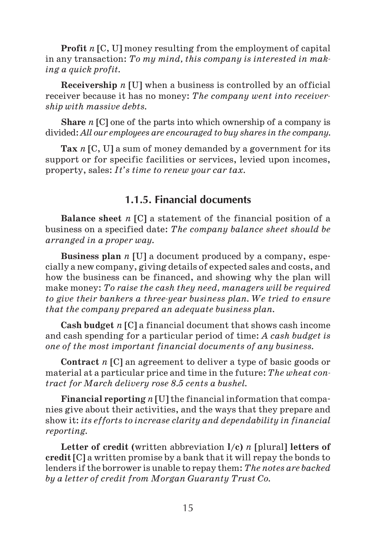**Profit** *n* [C, U] money resulting from the employment of capital in any transaction: *To my mind, this company is interested in mak ing a quick profit.*

**Receivership** *n* [U] when a business is controlled by an official receiver because it has no money: *The company went into receiver ship with massive debts.*

**Share** *n* [C] one of the parts into which ownership of a company is divided: *All our employees are encouraged to buy shares in the company.*

**Tax** *n* [C, U] a sum of money demanded by a government for its support or for specific facilities or services, levied upon incomes, property, sales: *It's time to renew your car tax.*

### **1.1.5. Financial documents**

**Balance sheet** *n* [C] a statement of the financial position of a business on a specified date: *The company balance sheet should be arranged in a proper way.*

**Business plan** *n* [U] a document produced by a company, espe cially a new company, giving details of expected sales and costs, and how the business can be financed, and showing why the plan will make money: *To raise the cash they need, managers will be required to give their bankers a three-year business plan. We tried to ensure that the company prepared an adequate business plan.*

**Cash budget** *n* [C] a financial document that shows cash income and cash spending for a particular period of time: *A cash budget is one of the most important financial documents of any business.*

**Contract** *n* [C] an agreement to deliver a type of basic goods or material at a particular price and time in the future: *The wheat con tract for March delivery rose 8.5 cents a bushel.*

**Financial reporting** *n* [U] the financial information that compa nies give about their activities, and the ways that they prepare and show it: *its efforts to increase clarity and dependability in financial reporting.*

**Letter of credit (written abbreviation**  $l/c$ **)** *n* **[plural] letters of credit** [C] a written promise by a bank that it will repay the bonds to lenders if the borrower is unable to repay them: *The notes are backed by a letter of credit from Morgan Guaranty Trust Co.*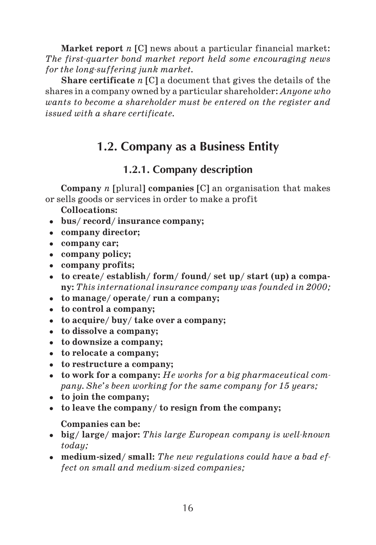**Market report** *n* [C] news about a particular financial market: *The first-quarter bond market report held some encouraging news* for the long-suffering junk market.

**Share certificate** *n* [C] a document that gives the details of the shares in a company owned by a particular shareholder: *Anyone who wants to become a shareholder must be entered on the register and issued with a share certificate.*

# **1.2. Company as a Business Entity**

# **1.2.1. Company description**

**Company** *n* [plural] **companies** [C] an organisation that makes or sells goods or services in order to make a profit

**Collocations:**

- **bus/ record/ insurance company;**
- **company director;**
- **company car;**
- **company policy;**
- **company profits;**
- **to create/ establish/ form/ found/ set up/ start (up) a compa ny:** *This international insurance company was founded in 2000;*
- **to manage/ operate/ run a company;**
- **to control a company;**
- **to acquire/ buy/ take over a company;**
- **to dissolve a company;**
- **to downsize a company;**
- **to relocate a company;**
- **to restructure a company;**
- **to work for a company:** *He works for a big pharmaceutical com pany. She's been working for the same company for 15 years;*
- **to join the company;**
- **to leave the company/ to resign from the company;**

**Companies can be:**

- big/ large/ major: This large European company is well-known *today;*
- **medium sized/ small:** *The new regulations could have a bad ef* fect on small and medium-sized companies;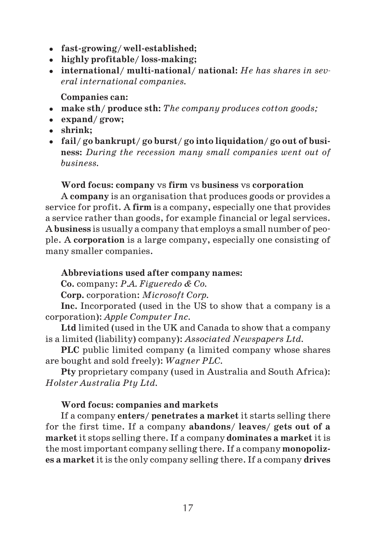- **fast growing/ well established;**
- **highly profitable/ loss making;**
- **international/ multi national/ national:** *He has shares in sev eral international companies.*

**Companies can:**

- **make sth/ produce sth:** *The company produces cotton goods;*
- **expand/ grow;**
- **shrink;**
- **fail/ go bankrupt/ go burst/ go into liquidation/ go out of busi ness:** *During the recession many small companies went out of business.*

#### **Word focus: company** vs **firm** vs **business** vs **corporation**

A **company** is an organisation that produces goods or provides a service for profit. A **firm** is a company, especially one that provides a service rather than goods, for example financial or legal services. A **business** is usually a company that employs a small number of peo ple. A **corporation** is a large company, especially one consisting of many smaller companies.

#### **Abbreviations used after company names:**

**Co.** company: *P.A. Figueredo & Co.*

**Corp.** corporation: *Microsoft Corp.*

**Inc.** Incorporated (used in the US to show that a company is a corporation): *Apple Computer Inc.*

**Ltd** limited (used in the UK and Canada to show that a company is a limited (liability) company): *Associated Newspapers Ltd.*

**PLC** public limited company (a limited company whose shares are bought and sold freely): *Wagner PLC.*

**Pty** proprietary company (used in Australia and South Africa): *Holster Australia Pty Ltd.*

#### **Word focus: companies and markets**

If a company **enters/ penetrates a market** it starts selling there for the first time. If a company **abandons/ leaves/ gets out of a market** it stops selling there. If a company **dominates a market** it is the most important company selling there. If a company **monopoliz es a market** it is the only company selling there. If a company **drives**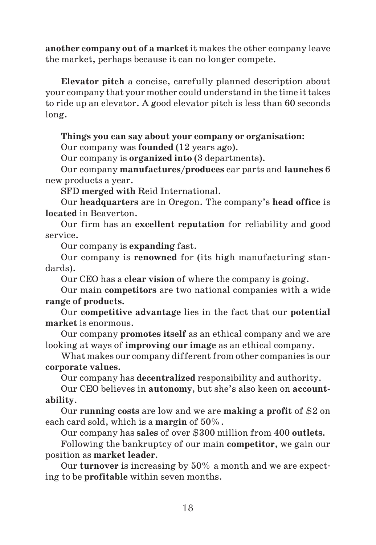**another company out of a market** it makes the other company leave the market, perhaps because it can no longer compete.

**Elevator pitch** a concise, carefully planned description about your company that your mother could understand in the time it takes to ride up an elevator. A good elevator pitch is less than 60 seconds long.

**Things you can say about your company or organisation:**

Our company was **founded** (12 years ago).

Our company is **organized into** (3 departments).

Our company **manufactures/produces** car parts and **launches** 6 new products a year.

SFD **merged with** Reid International.

Our **headquarters** are in Oregon. The company's **head office** is **located** in Beaverton.

Our firm has an **excellent reputation** for reliability and good service.

Our company is **expanding** fast.

Our company is **renowned** for (its high manufacturing stan dards).

Our CEO has a **clear vision** of where the company is going.

Our main **competitors** are two national companies with a wide **range of products.**

Our **competitive advantage** lies in the fact that our **potential market** is enormous.

Our company **promotes itself** as an ethical company and we are looking at ways of **improving our image** as an ethical company.

What makes our company different from other companies is our **corporate values.**

Our company has **decentralized** responsibility and authority.

Our CEO believes in **autonomy**, but she's also keen on **account ability**.

Our **running costs** are low and we are **making a profit** of \$2 on each card sold, which is a **margin** of 50%.

Our company has **sales** of over \$300 million from 400 **outlets.**

Following the bankruptcy of our main **competitor**, we gain our position as **market leader**.

Our **turnover** is increasing by 50% a month and we are expect ing to be **profitable** within seven months.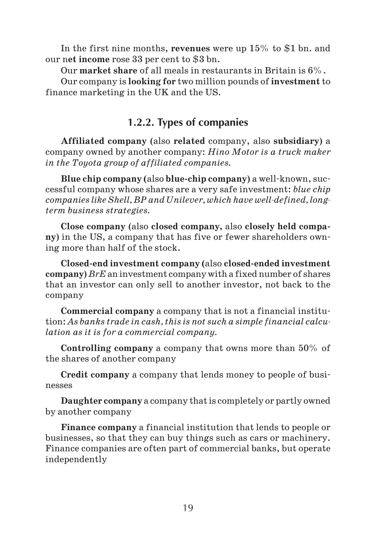In the first nine months, **revenues** were up 15% to \$1 bn. and our n**et income** rose 33 per cent to \$3 bn.

Our **market share** of all meals in restaurants in Britain is 6%.

Our company is **looking for** two million pounds of **investment** to finance marketing in the UK and the US.

# **1.2.2. Types of companies**

**Affiliated company** (also **related** company, also **subsidiary**) a company owned by another company: *Hino Motor is a truck maker in the Toyota group of affiliated companies.*

**Blue chip company (**also **blue chip company**) a well known, suc cessful company whose shares are a very safe investment: *blue chip companies like Shell, BP and Unilever, which have well-defined, longterm business strategies.*

**Close company** (also **closed company,** also **closely held compa ny**) in the US, a company that has five or fewer shareholders own ing more than half of the stock.

**Closed end investment company (**also **closed ended investment company**) *BrE* an investment company with a fixed number of shares that an investor can only sell to another investor, not back to the company

**Commercial company** a company that is not a financial institu tion: *As banks trade in cash, this is not such a simple financial calcu lation as it is for a commercial company.*

**Controlling company** a company that owns more than 50% of the shares of another company

**Credit company** a company that lends money to people of busi nesses

**Daughter company** a company that is completely or partly owned by another company

**Finance company** a financial institution that lends to people or businesses, so that they can buy things such as cars or machinery. Finance companies are often part of commercial banks, but operate independently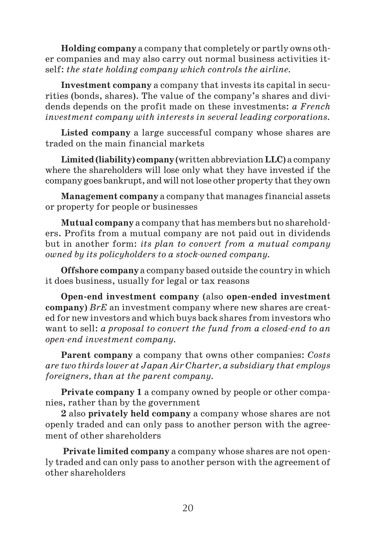**Holding company** a company that completely or partly owns oth er companies and may also carry out normal business activities it self: *the state holding company which controls the airline.*

**Investment company** a company that invests its capital in secu rities (bonds, shares). The value of the company's shares and divi dends depends on the profit made on these investments: *a French investment company with interests in several leading corporations.*

**Listed company** a large successful company whose shares are traded on the main financial markets

**Limited (liability) company** (written abbreviation **LLC**) a company where the shareholders will lose only what they have invested if the company goes bankrupt, and will not lose other property that they own

**Management company** a company that manages financial assets or property for people or businesses

**Mutual company** a company that has members but no sharehold ers. Profits from a mutual company are not paid out in dividends but in another form: *its plan to convert from a mutual company owned by its policyholders to a stock-owned company.* 

**Offshore company** a company based outside the country in which it does business, usually for legal or tax reasons

**Open end investment company** (also **open ended investment company**) *BrE* an investment company where new shares are creat ed for new investors and which buys back shares from investors who want to sell: *a proposal to convert the fund from a closed-end to an openend investment company.*

**Parent company** a company that owns other companies: *Costs are two thirds lower at Japan Air Charter, a subsidiary that employs foreigners, than at the parent company.*

**Private company 1** a company owned by people or other compa nies, rather than by the government

**2** also **privately held company** a company whose shares are not openly traded and can only pass to another person with the agree ment of other shareholders

**Private limited company** a company whose shares are not open ly traded and can only pass to another person with the agreement of other shareholders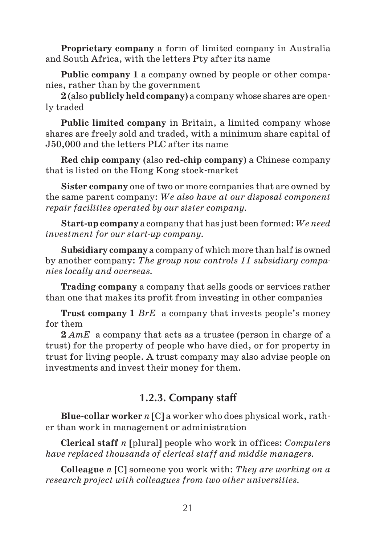**Proprietary company** a form of limited company in Australia and South Africa, with the letters Pty after its name

**Public company 1** a company owned by people or other compa nies, rather than by the government

**2** (also **publicly held company**) a company whose shares are open ly traded

**Public limited company** in Britain, a limited company whose shares are freely sold and traded, with a minimum share capital of Ј50,000 and the letters PLC after its name

**Red chip company** (also **red chip company**) a Chinese company that is listed on the Hong Kong stock market

**Sister company** one of two or more companies that are owned by the same parent company: *We also have at our disposal component repair facilities operated by our sister company.*

**Start up company** a company that has just been formed: *We need investment for our start-up company.* 

**Subsidiary company** a company of which more than half is owned by another company: *The group now controls 11 subsidiary compa nies locally and overseas.*

**Trading company** a company that sells goods or services rather than one that makes its profit from investing in other companies

**Trust company 1** *BrE* a company that invests people's money for them

**2** *AmE* a company that acts as a trustee (person in charge of a trust) for the property of people who have died, or for property in trust for living people. A trust company may also advise people on investments and invest their money for them.

### **1.2.3. Company staff**

**Blue collar worker** *n* [C] a worker who does physical work, rath er than work in management or administration

**Clerical staff** *n* [plural] people who work in offices: *Computers have replaced thousands of clerical staff and middle managers.*

**Colleague** *n* [C] someone you work with: *They are working on a research project with colleagues from two other universities.*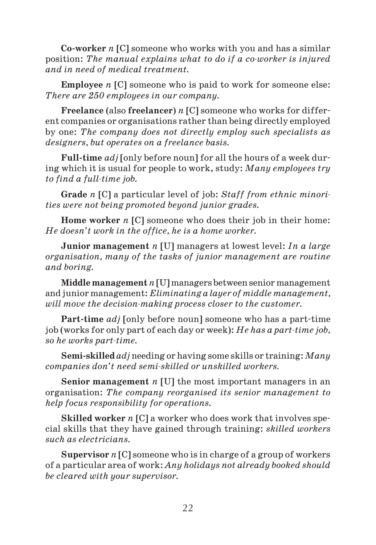**Co worker** *n* [C] someone who works with you and has a similar position: *The manual explains what to do if a coworker is injured and in need of medical treatment.*

**Employee** *n* [C] someone who is paid to work for someone else: *There are 250 employees in our company.*

**Freelance** (also **freelancer**) *n* [C] someone who works for differ ent companies or organisations rather than being directly employed by one: *The company does not directly employ such specialists as designers, but operates on a freelance basis.*

**Full time** *adj* [only before noun] for all the hours of a week dur ing which it is usual for people to work, study: *Many employees try to find a full-time job.* 

**Grade** *n* [C] a particular level of job: *Staff from ethnic minori ties were not being promoted beyond junior grades.*

**Home worker** *n* [C] someone who does their job in their home: *He doesn't work in the office, he is a home worker.*

**Junior management** *n* [U] managers at lowest level: *In a large organisation, many of the tasks of junior management are routine and boring.*

**Middle management** *n* [U] managers between senior management and junior management: *Eliminating a layer of middle management, will move the decision-making process closer to the customer.* 

**Part time** *adj* [only before noun] someone who has a part time job (works for only part of each day or week): *He has a parttime job,* so he works part-time.

**Semi skilled** *adj* needing or having some skills or training: *Many companies don't need semiskilled or unskilled workers.*

**Senior management** *n* [U] the most important managers in an organisation: *The company reorganised its senior management to help focus responsibility for operations.*

**Skilled worker** *n* [C] a worker who does work that involves spe cial skills that they have gained through training: *skilled workers such as electricians.*

**Supervisor** *n* [C] someone who is in charge of a group of workers of a particular area of work: *Any holidays not already booked should be cleared with your supervisor.*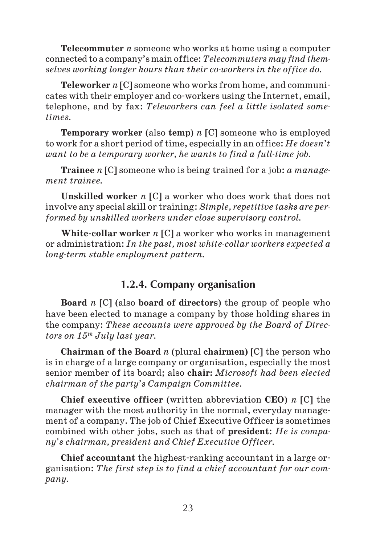**Telecommuter** *n* someone who works at home using a computer connected to a company's main office: *Telecommuters may find them* selves working longer hours than their co-workers in the office do.

**Teleworker** *n* [C] someone who works from home, and communi cates with their employer and co workers using the Internet, email, telephone, and by fax: *Teleworkers can feel a little isolated some times.*

**Temporary worker** (also **temp**) *n* [C] someone who is employed to work for a short period of time, especially in an office: *He doesn't want to be a temporary worker, he wants to find a full-time job.* 

**Trainee** *n* [C] someone who is being trained for a job: *a manage ment trainee.*

**Unskilled worker** *n* [C] a worker who does work that does not involve any special skill or training: *Simple, repetitive tasks are per formed by unskilled workers under close supervisory control.*

**White collar worker** *n* [C] a worker who works in management or administration: *In the past, most white-collar workers expected a long-term stable employment pattern.* 

### **1.2.4. Company organisation**

**Board** *n* [C] (also **board of directors**) the group of people who have been elected to manage a company by those holding shares in the company: *These accounts were approved by the Board of Direc tors on 15th July last year.*

**Chairman of the Board** *n* (plural **chairmen)** [C] the person who is in charge of a large company or organisation, especially the most senior member of its board; also **chair:** *Microsoft had been elected chairman of the party's Campaign Committee.*

**Chief executive officer** (written abbreviation **CEO**) *n* [C] the manager with the most authority in the normal, everyday manage ment of a company. The job of Chief Executive Officer is sometimes combined with other jobs, such as that of **president**: *He is compa ny's chairman, president and Chief Executive Officer.*

**Chief accountant** the highest ranking accountant in a large or ganisation: *The first step is to find a chief accountant for our com pany.*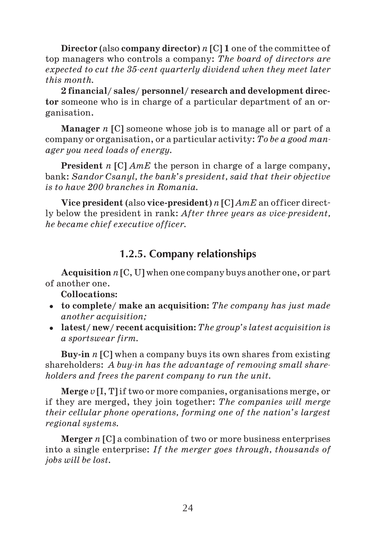**Director** (also **company director**) *n* [C] **1** one of the committee of top managers who controls a company: *The board of directors are expected to cut the 35cent quarterly dividend when they meet later this month.*

**2 financial/ sales/ personnel/ research and development direc tor** someone who is in charge of a particular department of an or ganisation.

**Manager** *n* [C] someone whose job is to manage all or part of a company or organisation, or a particular activity: *To be a good man ager you need loads of energy.*

**President** *n* [C] *AmE* the person in charge of a large company, bank: *Sandor Csanyl, the bank's president, said that their objective is to have 200 branches in Romania.*

**Vice president** (also **vice president**) *n* [C] *AmE* an officer direct ly below the president in rank: *After three years as vice-president*, *he became chief executive officer.*

# **1.2.5. Company relationships**

**Acquisition** *n* [C, U] when one company buys another one, or part of another one.

**Collocations:**

- **to complete/ make an acquisition:** *The company has just made another acquisition;*
- **latest/ new/ recent acquisition:** *The group's latest acquisition is a sportswear firm.*

**Buy in** *n* [C] when a company buys its own shares from existing shareholders: *A buyin has the advantage of removing small share holders and frees the parent company to run the unit.*

**Merge** *v* [I, T]if two or more companies, organisations merge, or if they are merged, they join together: *The companies will merge their cellular phone operations, forming one of the nation's largest regional systems.*

**Merger** *n* [C] a combination of two or more business enterprises into a single enterprise: *If the merger goes through, thousands of jobs will be lost.*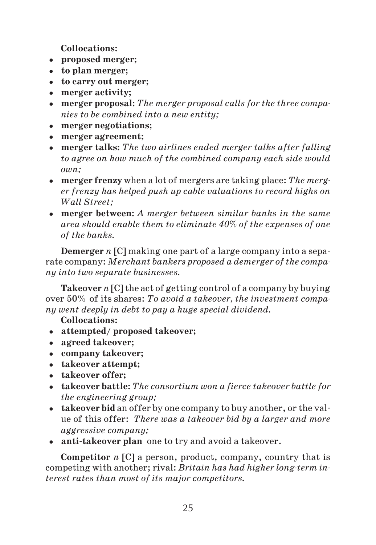**Collocations:**

- **proposed merger;**
- **to plan merger;**
- **to carry out merger;**
- **merger activity;**
- **merger proposal:** *The merger proposal calls for the three compa nies to be combined into a new entity;*
- **merger negotiations;**
- **merger agreement;**
- **merger talks:** *The two airlines ended merger talks after falling to agree on how much of the combined company each side would own;*
- **merger frenzy** when a lot of mergers are taking place: *The merg er frenzy has helped push up cable valuations to record highs on Wall Street;*
- **merger between:** *A merger between similar banks in the same area should enable them to eliminate 40% of the expenses of one of the banks.*

**Demerger** *n* [C] making one part of a large company into a sepa rate company: *Merchant bankers proposed a demerger of the compa ny into two separate businesses.*

**Takeover** *n* [C] the act of getting control of a company by buying over 50% of its shares: *To avoid a takeover, the investment compa ny went deeply in debt to pay a huge special dividend.*

**Collocations:**

- **attempted/ proposed takeover;**
- **agreed takeover;**
- **company takeover;**
- **takeover attempt;**
- **takeover offer;**
- **takeover battle:** *The consortium won a fierce takeover battle for the engineering group;*
- **takeover bid** an offer by one company to buy another, or the val ue of this offer: *There was a takeover bid by a larger and more aggressive company;*
- **anti takeover plan**one to try and avoid a takeover.

**Competitor** *n* [C] a person, product, company, country that is competing with another; rival; *Britain has had higher long-term interest rates than most of its major competitors.*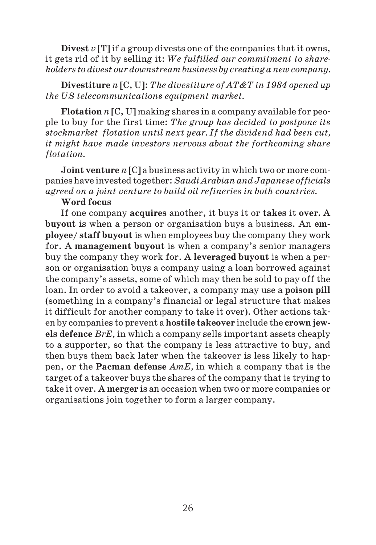**Divest** *v* [T] if a group divests one of the companies that it owns, it gets rid of it by selling it: *We fulfilled our commitment to share holders to divest our downstream business by creating a new company.*

**Divestiture** *n* [C, U]: *The divestiture of AT&T in 1984 opened up the US telecommunications equipment market.*

**Flotation** *n* [C, U] making shares in a company available for peo ple to buy for the first time: *The group has decided to postpone its stockmarket flotation until next year. If the dividend had been cut, it might have made investors nervous about the forthcoming share flotation.*

**Joint venture** *n* [C] a business activity in which two or more com panies have invested together: *Saudi Arabian and Japanese officials agreed on a joint venture to build oil refineries in both countries.*

#### **Word focus**

If one company **acquires** another, it buys it or **takes** it **over.** A **buyout** is when a person or organisation buys a business. An **em ployee/ staff buyout** is when employees buy the company they work for. A **management buyout** is when a company's senior managers buy the company they work for. A **leveraged buyout** is when a per son or organisation buys a company using a loan borrowed against the company's assets, some of which may then be sold to pay off the loan. In order to avoid a takeover, a company may use a **poison pill** (something in a company's financial or legal structure that makes it difficult for another company to take it over). Other actions tak en by companies to prevent a **hostile takeover** include the **crown jew els defence** *BrE,* in which a company sells important assets cheaply to a supporter, so that the company is less attractive to buy, and then buys them back later when the takeover is less likely to hap pen, or the **Pacman defense** *AmE,* in which a company that is the target of a takeover buys the shares of the company that is trying to take it over. A **merger** is an occasion when two or more companies or organisations join together to form a larger company.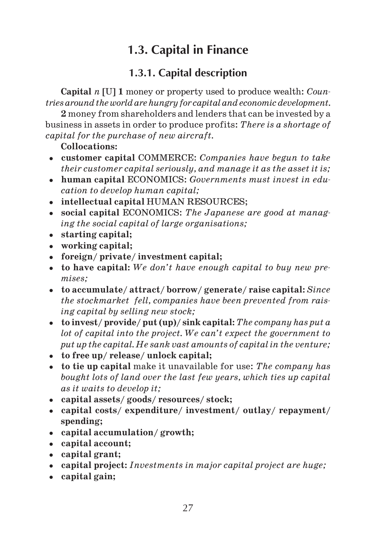# **1.3. Capital in Finance**

# **1.3.1. Capital description**

**Capital** *n* [U] **1** money or property used to produce wealth: *Coun tries around the world are hungry for capital and economic development.*

**2** money from shareholders and lenders that can be invested by a business in assets in order to produce profits: *There is a shortage of capital for the purchase of new aircraft.*

#### **Collocations:**

- **customer capital** COMMERCE: *Companies have begun to take their customer capital seriously, and manage it as the asset it is;*
- **human capital** ECONOMICS: *Governments must invest in edu cation to develop human capital;*
- **intellectual capital** HUMAN RESOURCES;
- **social capital** ECONOMICS: *The Japanese are good at manag ing the social capital of large organisations;*
- **starting capital;**
- **working capital;**
- **foreign/ private/ investment capital;**
- **to have capital:** *We don't have enough capital to buy new pre mises;*
- **to accumulate/ attract/ borrow/ generate/ raise capital:** *Since the stockmarket fell, companies have been prevented from rais ing capital by selling new stock;*
- **to invest/ provide/ put (up)/ sink capital:** *The company has put a lot of capital into the project. We can't expect the government to put up the capital. He sank vast amounts of capital in the venture;*
- **to free up/ release/ unlock capital;**
- **to tie up capital** make it unavailable for use: *The company has bought lots of land over the last few years, which ties up capital as it waits to develop it;*
- **capital assets/ goods/ resources/ stock;**
- **capital costs/ expenditure/ investment/ outlay/ repayment/ spending;**
- **capital accumulation/ growth;**
- **capital account;**
- **capital grant;**
- **capital project:** *Investments in major capital project are huge;*
- **capital gain;**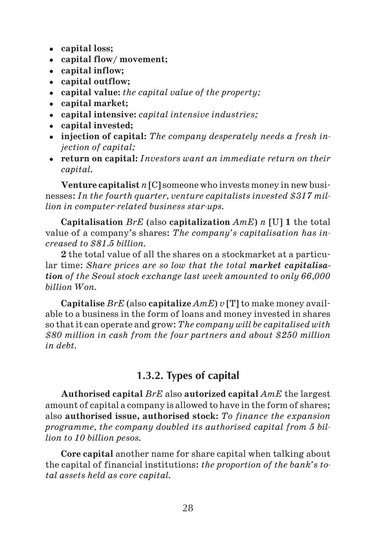- **capital loss;**
- **capital flow/ movement;**
- **capital inflow;**
- **capital outflow;**
- **capital value:** *the capital value of the property;*
- **capital market;**
- **capital intensive:** *capital intensive industries;*
- **capital invested;**
- **injection of capital:** *The company desperately needs a fresh in jection of capital;*
- **return on capital:** *Investors want an immediate return on their capital.*

**Venture capitalist** *n* [C] someone who invests money in new busi nesses: *In the fourth quarter, venture capitalists invested \$317 mil lion in computer-related business star-ups.* 

**Capitalisation** *BrE* (also **capitalization** *AmE*) *n* [U] **1** the total value of a company's shares: *The company's capitalisation has in creased to \$81.5 billion.*

**2** the total value of all the shares on a stockmarket at a particu lar time: *Share prices are so low that the total market capitalisa tion of the Seoul stock exchange last week amounted to only 66,000 billion Won.*

**Capitalise** *BrE* (also **capitalize** *AmE*) *v* [T] to make money avail able to a business in the form of loans and money invested in shares so that it can operate and grow: *The company will be capitalised with \$80 million in cash from the four partners and about \$250 million in debt.*

# **1.3.2. Types of capital**

**Authorised capital** *BrE* also **autorized capital** *AmE* the largest amount of capital a company is allowed to have in the form of shares; also **authorised issue, authorised stock:** *To finance the expansion programme, the company doubled its authorised capital from 5 bil lion to 10 billion pesos.*

**Core capital** another name for share capital when talking about the capital of financial institutions: *the proportion of the bank's to tal assets held as core capital.*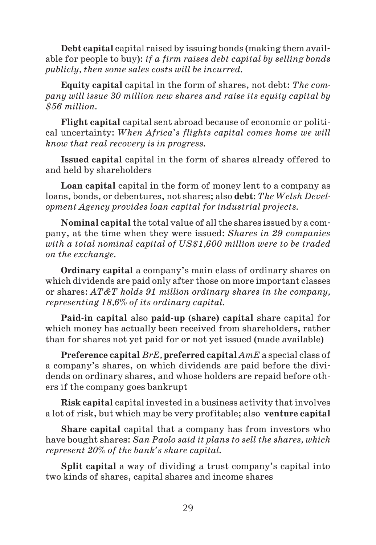**Debt capital** capital raised by issuing bonds (making them avail able for people to buy): *if a firm raises debt capital by selling bonds publicly, then some sales costs will be incurred.*

**Equity capital** capital in the form of shares, not debt: *The com pany will issue 30 million new shares and raise its equity capital by \$56 million.*

**Flight capital** capital sent abroad because of economic or politi cal uncertainty: *When Africa's flights capital comes home we will know that real recovery is in progress.*

**Issued capital** capital in the form of shares already offered to and held by shareholders

**Loan capital** capital in the form of money lent to a company as loans, bonds, or debentures, not shares; also **debt:** *The Welsh Devel opment Agency provides loan capital for industrial projects.*

**Nominal capital** the total value of all the shares issued by a com pany, at the time when they were issued: *Shares in 29 companies with a total nominal capital of US\$1,600 million were to be traded on the exchange.*

**Ordinary capital** a company's main class of ordinary shares on which dividends are paid only after those on more important classes or shares: *AT&T holds 91 million ordinary shares in the company, representing 18,6% of its ordinary capital.*

**Paid in capital** also **paid up (share) capital** share capital for which money has actually been received from shareholders, rather than for shares not yet paid for or not yet issued (made available)

**Preference capital** *BrE,* **preferred capital** *AmE* a special class of a company's shares, on which dividends are paid before the divi dends on ordinary shares, and whose holders are repaid before oth ers if the company goes bankrupt

**Risk capital** capital invested in a business activity that involves a lot of risk, but which may be very profitable; also **venture capital**

**Share capital** capital that a company has from investors who have bought shares: *San Paolo said it plans to sell the shares, which represent 20% of the bank's share capital.*

**Split capital** a way of dividing a trust company's capital into two kinds of shares, capital shares and income shares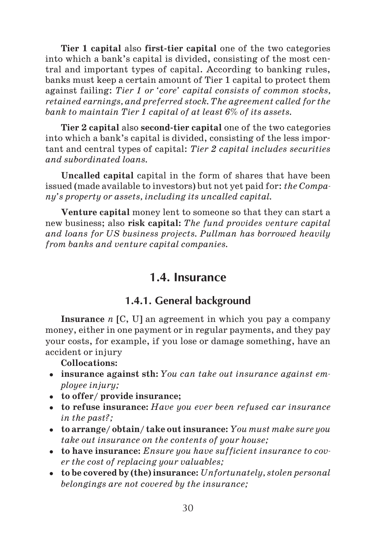**Tier 1 capital** also **first tier capital** one of the two categories into which a bank's capital is divided, consisting of the most cen tral and important types of capital. According to banking rules, banks must keep a certain amount of Tier 1 capital to protect them against failing: *Tier 1 or 'core' capital consists of common stocks, retained earnings, and preferred stock. The agreement called for the bank to maintain Tier 1 capital of at least 6% of its assets.*

**Tier 2 capital** also **second tier capital** one of the two categories into which a bank's capital is divided, consisting of the less impor tant and central types of capital: *Tier 2 capital includes securities and subordinated loans.*

**Uncalled capital** capital in the form of shares that have been issued (made available to investors) but not yet paid for: *the Compa ny's property or assets, including its uncalled capital.*

**Venture capital** money lent to someone so that they can start a new business; also **risk capital:** *The fund provides venture capital and loans for US business projects. Pullman has borrowed heavily from banks and venture capital companies.*

# **1.4. Insurance**

# **1.4.1. General background**

**Insurance** *n* [C, U] an agreement in which you pay a company money, either in one payment or in regular payments, and they pay your costs, for example, if you lose or damage something, have an accident or injury

**Collocations:**

- **insurance against sth:** *You can take out insurance against em ployee injury;*
- **to offer/ provide insurance;**
- **to refuse insurance:** *Have you ever been refused car insurance in the past?;*
- **to arrange/ obtain/ take out insurance:** *You must make sure you take out insurance on the contents of your house;*
- **to have insurance:** *Ensure you have sufficient insurance to cov er the cost of replacing your valuables;*
- **to be covered by (the) insurance:** *Unfortunately, stolen personal belongings are not covered by the insurance;*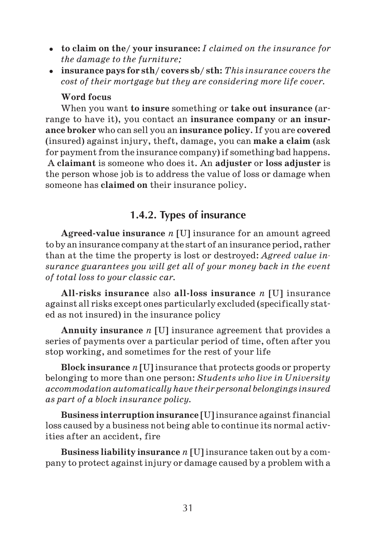- **to claim on the/ your insurance:** *I claimed on the insurance for the damage to the furniture;*
- **insurance pays for sth/ covers sb/ sth:** *This insurance covers the cost of their mortgage but they are considering more life cover.*

#### **Word focus**

When you want **to insure** something or **take out insurance** (ar range to have it), you contact an **insurance company** or **an insur ance broker** who can sell you an **insurance policy**. If you are **covered** (insured) against injury, theft, damage, you can **make a claim** (ask for payment from the insurance company) if something bad happens. A **claimant** is someone who does it. An **adjuster** or **loss adjuster** is the person whose job is to address the value of loss or damage when someone has **claimed on** their insurance policy.

# **1.4.2. Types of insurance**

**Agreed value insurance** *n* [U] insurance for an amount agreed to by an insurance company at the start of an insurance period, rather than at the time the property is lost or destroyed: *Agreed value in surance guarantees you will get all of your money back in the event of total loss to your classic car.*

**All risks insurance** also **all loss insurance** *n* [U] insurance against all risks except ones particularly excluded (specifically stat ed as not insured) in the insurance policy

**Annuity insurance** *n* [U] insurance agreement that provides a series of payments over a particular period of time, often after you stop working, and sometimes for the rest of your life

**Block insurance** *n* [U] insurance that protects goods or property belonging to more than one person: *Students who live in University accommodation automatically have their personal belongings insured as part of a block insurance policy.*

**Business interruption insurance** [U]insurance against financial loss caused by a business not being able to continue its normal activ ities after an accident, fire

**Business liability insurance** *n* [U] insurance taken out by a com pany to protect against injury or damage caused by a problem with a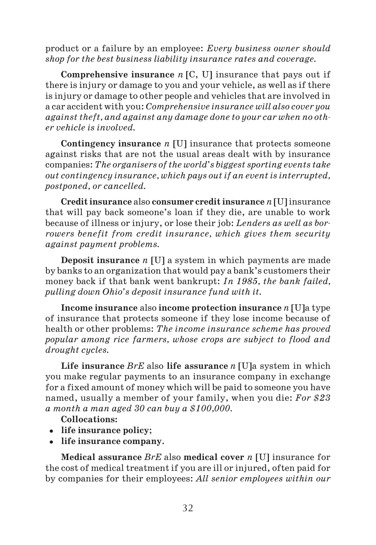product or a failure by an employee: *Every business owner should shop for the best business liability insurance rates and coverage.*

**Comprehensive insurance** *n* [C, U] insurance that pays out if there is injury or damage to you and your vehicle, as well as if there is injury or damage to other people and vehicles that are involved in a car accident with you: *Comprehensive insurance will also cover you against theft, and against any damage done to your car when no oth er vehicle is involved.*

**Contingency insurance** *n* [U] insurance that protects someone against risks that are not the usual areas dealt with by insurance companies: *The organisers of the world's biggest sporting events take out contingency insurance, which pays out if an event is interrupted, postponed, or cancelled.*

**Credit insurance** also **consumer credit insurance** *n* [U] insurance that will pay back someone's loan if they die, are unable to work because of illness or injury, or lose their job: *Lenders as well as bor rowers benefit from credit insurance, which gives them security against payment problems.*

**Deposit insurance** *n* [U] a system in which payments are made by banks to an organization that would pay a bank's customers their money back if that bank went bankrupt: *In 1985, the bank failed, pulling down Ohio's deposit insurance fund with it.*

**Income insurance** also **income protection insurance** *n* [U]a type of insurance that protects someone if they lose income because of health or other problems: *The income insurance scheme has proved popular among rice farmers, whose crops are subject to flood and drought cycles.*

**Life insurance** *BrE* also **life assurance** *n* [U]a system in which you make regular payments to an insurance company in exchange for a fixed amount of money which will be paid to someone you have named, usually a member of your family, when you die: *For \$23 a month a man aged 30 can buy a \$100,000.*

**Collocations:**

- **life insurance policy**;
- **life insurance company**.

**Medical assurance** *BrE* also **medical cover** *n* [U] insurance for the cost of medical treatment if you are ill or injured, often paid for by companies for their employees: *All senior employees within our*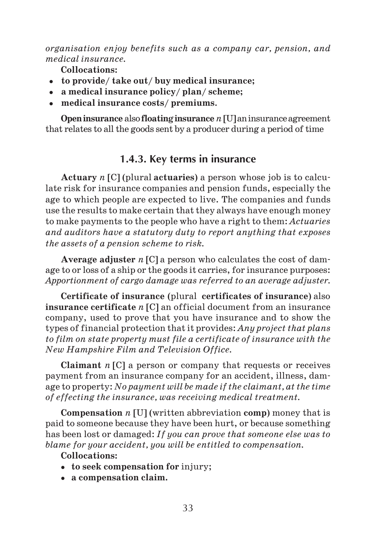*organisation enjoy benefits such as a company car, pension, and medical insurance.*

**Collocations:**

- **to provide/ take out/ buy medical insurance;**
- **a medical insurance policy/ plan/ scheme;**
- **medical insurance costs/ premiums**.

**Open insurance** also **floating insurance** *n* [U] an insurance agreement that relates to all the goods sent by a producer during a period of time

# **1.4.3. Key terms in insurance**

**Actuary** *n* [C] (plural **actuaries**) a person whose job is to calcu late risk for insurance companies and pension funds, especially the age to which people are expected to live. The companies and funds use the results to make certain that they always have enough money to make payments to the people who have a right to them: *Actuaries and auditors have a statutory duty to report anything that exposes the assets of a pension scheme to risk.*

**Average adjuster** *n* [C] a person who calculates the cost of dam age to or loss of a ship or the goods it carries, for insurance purposes: *Apportionment of cargo damage was referred to an average adjuster.*

**Certificate of insurance** (plural **certificates of insurance**) also **insurance certificate** *n* [C] an official document from an insurance company, used to prove that you have insurance and to show the types of financial protection that it provides: *Any project that plans to film on state property must file a certificate of insurance with the New Hampshire Film and Television Office.*

**Claimant** *n* [C] a person or company that requests or receives payment from an insurance company for an accident, illness, dam age to property: *No payment will be made if the claimant, at the time of effecting the insurance, was receiving medical treatment.*

**Compensation** *n* [U] (written abbreviation **comp**) money that is paid to someone because they have been hurt, or because something has been lost or damaged: *If you can prove that someone else was to blame for your accident, you will be entitled to compensation.*

#### **Collocations:**

- **to seek compensation for** injury;
- **a compensation claim.**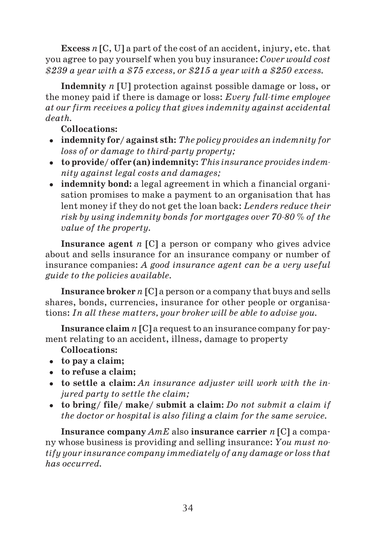**Excess** *n* [C, U] a part of the cost of an accident, injury, etc. that you agree to pay yourself when you buy insurance: *Cover would cost \$239 a year with a \$75 excess, or \$215 a year with a \$250 excess.*

**Indemnity** *n* [U] protection against possible damage or loss, or the money paid if there is damage or loss: *Every full-time employee at our firm receives a policy that gives indemnity against accidental death.*

#### **Collocations:**

- **indemnity for/ against sth:** *The policy provides an indemnity for loss of or damage to third-party property;*
- **to provide/ offer (an) indemnity:** *This insurance provides indem nity against legal costs and damages;*
- **indemnity bond:** a legal agreement in which a financial organisation promises to make a payment to an organisation that has lent money if they do not get the loan back: *Lenders reduce their* risk by using indemnity bonds for mortgages over 70-80  $\%$  of the *value of the property.*

**Insurance agent** *n* [C] a person or company who gives advice about and sells insurance for an insurance company or number of insurance companies: *A good insurance agent can be a very useful guide to the policies available.*

**Insurance broker** *n* [C] a person or a company that buys and sells shares, bonds, currencies, insurance for other people or organisa tions: *In all these matters, your broker will be able to advise you.*

**Insurance claim** *n* [C] a request to an insurance company for pay ment relating to an accident, illness, damage to property

- **Collocations:**
- **to pay a claim;**
- **to refuse a claim;**
- **to settle a claim:** *An insurance adjuster will work with the in jured party to settle the claim;*
- **to bring/ file/ make/ submit a claim:** *Do not submit a claim if the doctor or hospital is also filing a claim for the same service.*

**Insurance company** *AmE* also **insurance carrier** *n* [C] a compa ny whose business is providing and selling insurance: *You must no tify your insurance company immediately of any damage or loss that has occurred.*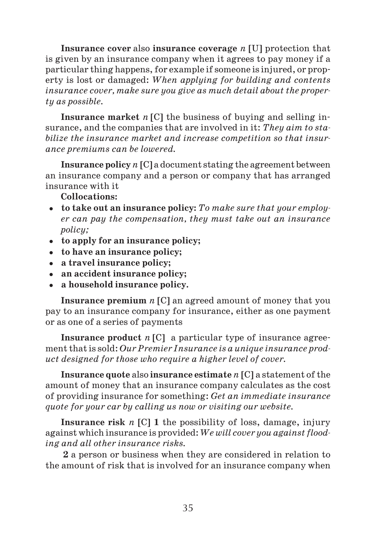**Insurance cover** also **insurance coverage** *n* [U] protection that is given by an insurance company when it agrees to pay money if a particular thing happens, for example if someone is injured, or prop erty is lost or damaged: *When applying for building and contents insurance cover, make sure you give as much detail about the proper ty as possible.*

**Insurance market** *n* [C] the business of buying and selling in surance, and the companies that are involved in it: *They aim to sta bilize the insurance market and increase competition so that insur ance premiums can be lowered.*

**Insurance policy** *n* [C] a document stating the agreement between an insurance company and a person or company that has arranged insurance with it

#### **Collocations:**

- **to take out an insurance policy:** *To make sure that your employ er can pay the compensation, they must take out an insurance policy;*
- **to apply for an insurance policy;**
- **to have an insurance policy;**
- **a travel insurance policy;**
- **an accident insurance policy;**
- **a household insurance policy.**

**Insurance premium** *n* [C] an agreed amount of money that you pay to an insurance company for insurance, either as one payment or as one of a series of payments

**Insurance product** *n* [C] a particular type of insurance agree ment that is sold: *Our Premier Insurance is a unique insurance prod uct designed for those who require a higher level of cover.*

**Insurance quote** also **insurance estimate** *n* [C] a statement of the amount of money that an insurance company calculates as the cost of providing insurance for something: *Get an immediate insurance quote for your car by calling us now or visiting our website.*

**Insurance risk** *n* [C] **1** the possibility of loss, damage, injury against which insurance is provided: *We will cover you against flood ing and all other insurance risks.*

**2** a person or business when they are considered in relation to the amount of risk that is involved for an insurance company when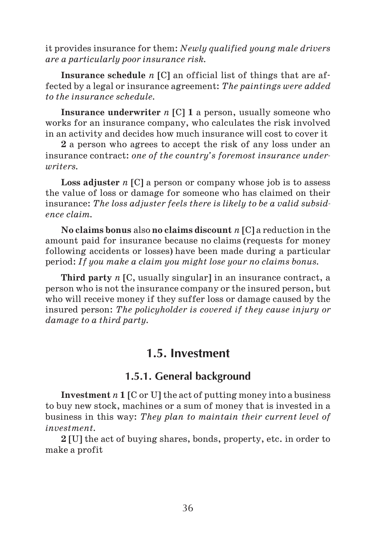it provides insurance for them: *Newly qualified young male drivers are a particularly poor insurance risk.*

**Insurance schedule** *n* [C] an official list of things that are af fected by a legal or insurance agreement: *The paintings were added to the insurance schedule.*

**Insurance underwriter** *n* [C] **1** a person, usually someone who works for an insurance company, who calculates the risk involved in an activity and decides how much insurance will cost to cover it

**2** a person who agrees to accept the risk of any loss under an insurance contract: *one of the country's foremost insurance under writers.*

**Loss adjuster** *n* [C] a person or company whose job is to assess the value of loss or damage for someone who has claimed on their insurance: *The loss adjuster feels there is likely to be a valid subsid ence claim.*

**No claims bonus** also **no claims discount** *n* [C] a reduction in the amount paid for insurance because no claims (requests for money following accidents or losses) have been made during a particular period: *If you make a claim you might lose your no claims bonus.*

**Third party** *n* [C, usually singular] in an insurance contract, a person who is not the insurance company or the insured person, but who will receive money if they suffer loss or damage caused by the insured person: *The policyholder is covered if they cause injury or damage to a third party.*

# **1.5. Investment**

#### **1.5.1. General background**

**Investment** *n* **1** [C or U] the act of putting money into a business to buy new stock, machines or a sum of money that is invested in a business in this way: *They plan to maintain their current level of investment.*

**2** [U] the act of buying shares, bonds, property, etc. in order to make a profit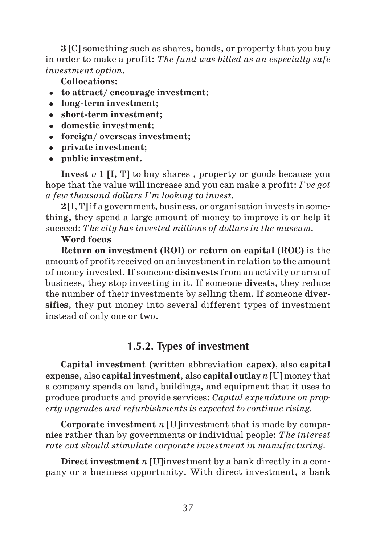**3** [C] something such as shares, bonds, or property that you buy in order to make a profit: *The fund was billed as an especially safe investment option.*

**Collocations:**

- **to attract/ encourage investment;**
- **long term investment;**
- short-term investment;
- **domestic investment;**
- **foreign/ overseas investment;**
- **private investment;**
- **public investment.**

**Invest** *v* 1 [I, T] to buy shares , property or goods because you hope that the value will increase and you can make a profit: *I've got a few thousand dollars I'm looking to invest.*

**2** [I, T] if a government, business, or organisation invests in some thing, they spend a large amount of money to improve it or help it succeed: *The city has invested millions of dollars in the museum.*

## **Word focus**

**Return on investment (ROI)** or **return on capital (ROC)** is the amount of profit received on an investment in relation to the amount of money invested. If someone **disinvests** from an activity or area of business, they stop investing in it. If someone **divests**, they reduce the number of their investments by selling them. If someone **diver sifies**, they put money into several different types of investment instead of only one or two.

# **1.5.2. Types of investment**

**Capital investment** (written abbreviation **capex)**, also **capital expense**, also **capital investment**, also **capital outlay***n* [U] money that a company spends on land, buildings, and equipment that it uses to produce products and provide services: *Capital expenditure on prop erty upgrades and refurbishments is expected to continue rising.*

**Corporate investment** *n* [U]investment that is made by compa nies rather than by governments or individual people: *The interest rate cut should stimulate corporate investment in manufacturing.*

**Direct investment** *n* [U]investment by a bank directly in a com pany or a business opportunity. With direct investment, a bank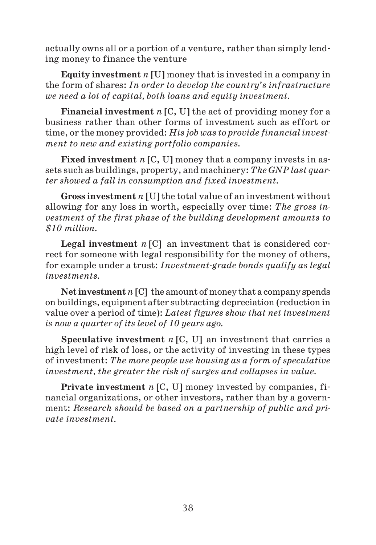actually owns all or a portion of a venture, rather than simply lend ing money to finance the venture

**Equity investment** *n* [U] money that is invested in a company in the form of shares: *In order to develop the country's infrastructure we need a lot of capital, both loans and equity investment.*

**Financial investment** *n* [C, U] the act of providing money for a business rather than other forms of investment such as effort or time, or the money provided: *His job was to provide financial invest ment to new and existing portfolio companies.*

**Fixed investment** *n* [C, U] money that a company invests in as sets such as buildings, property, and machinery: *The GNP last quar ter showed a fall in consumption and fixed investment.*

**Gross investment** *n* [U] the total value of an investment without allowing for any loss in worth, especially over time: *The gross in vestment of the first phase of the building development amounts to \$10 million.*

**Legal investment** *n* [C] an investment that is considered cor rect for someone with legal responsibility for the money of others, for example under a trust: *Investment-grade bonds qualify as legal investments.*

**Net investment***n* [C] the amount of money that a company spends on buildings, equipment after subtracting depreciation (reduction in value over a period of time): *Latest figures show that net investment is now a quarter of its level of 10 years ago.*

**Speculative investment** *n* [C, U] an investment that carries a high level of risk of loss, or the activity of investing in these types of investment: *The more people use housing as a form of speculative investment, the greater the risk of surges and collapses in value.*

**Private investment** *n* [C, U] money invested by companies, fi nancial organizations, or other investors, rather than by a govern ment: *Research should be based on a partnership of public and pri vate investment.*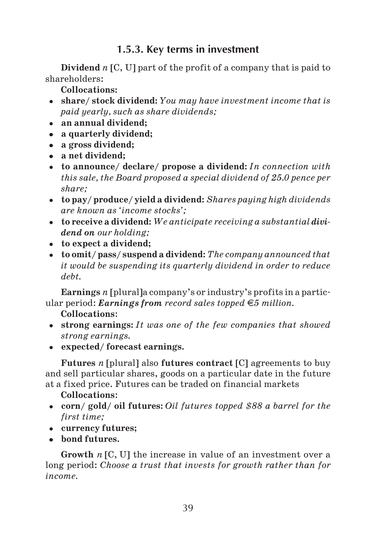# **1.5.3. Key terms in investment**

**Dividend** *n* [C, U] part of the profit of a company that is paid to shareholders:

**Collocations:**

- **share/ stock dividend:** *You may have investment income that is paid yearly, such as share dividends;*
- **an annual dividend;**
- **a quarterly dividend;**
- **a gross dividend;**
- **a net dividend;**
- **to announce/ declare/ propose a dividend:** *In connection with this sale, the Board proposed a special dividend of 25.0 pence per share;*
- **to pay/ produce/ yield a dividend:** *Shares paying high dividends are known as 'income stocks';*
- **to receive a dividend:** *We anticipate receiving a substantial divi dend on our holding;*
- **to expect a dividend;**
- **to omit/ pass/ suspend a dividend:** *The company announced that it would be suspending its quarterly dividend in order to reduce debt.*

**Earnings** *n* [plural]a company's or industry's profits in a partic ular period: *Earnings from record sales topped 5 million.*

**Collocations**:

- **strong earnings:** *It was one of the few companies that showed strong earnings.*
- **expected/ forecast earnings.**

**Futures** *n* [plural] also **futures contract** [C] agreements to buy and sell particular shares, goods on a particular date in the future at a fixed price. Futures can be traded on financial markets

## **Collocations**:

- **corn/ gold/ oil futures:** *Oil futures topped \$88 a barrel for the first time;*
- **currency futures;**
- **bond futures.**

**Growth** *n* [C, U] the increase in value of an investment over a long period: *Choose a trust that invests for growth rather than for income.*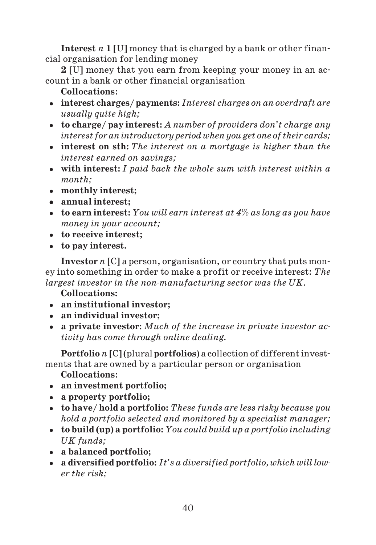**Interest** *n* **1** [U] money that is charged by a bank or other finan cial organisation for lending money

**2** [U] money that you earn from keeping your money in an ac count in a bank or other financial organisation

- **Collocations**:
- **interest charges/ payments:** *Interest charges on an overdraft are usually quite high;*
- **to charge/ pay interest:** *A number of providers don't charge any interest for an introductory period when you get one of their cards;*
- **interest on sth:** *The interest on a mortgage is higher than the interest earned on savings;*
- **with interest:** *I paid back the whole sum with interest within a month;*
- **monthly interest;**
- **annual interest;**
- **to earn interest:** *You will earn interest at 4% as long as you have money in your account;*
- **to receive interest;**
- **to pay interest.**

**Investor** *n* [C] a person, organisation, or country that puts mon ey into something in order to make a profit or receive interest: *The largest investor in the non-manufacturing sector was the UK.* 

**Collocations:**

- **an institutional investor;**
- **an individual investor;**
- **a private investor:** *Much of the increase in private investor ac tivity has come through online dealing.*

**Portfolio** *n* [C] (plural **portfolios**) a collection of different invest ments that are owned by a particular person or organisation

- **an investment portfolio;**
- **a property portfolio;**
- **to have/ hold a portfolio:** *These funds are less risky because you hold a portfolio selected and monitored by a specialist manager;*
- **to build (up) a portfolio:** *You could build up a portfolio including UK funds;*
- **a balanced portfolio;**
- **a diversified portfolio:** *It's a diversified portfolio, which will low er the risk;*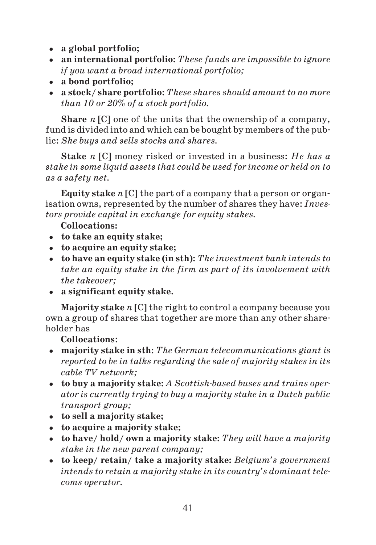- **a global portfolio;**
- **an international portfolio:** *These funds are impossible to ignore if you want a broad international portfolio;*
- **a bond portfolio;**
- **a stock/ share portfolio:** *These shares should amount to no more than 10 or 20% of a stock portfolio.*

**Share** *n* [C] one of the units that the ownership of a company, fund is divided into and which can be bought by members of the pub lic: *She buys and sells stocks and shares.*

**Stake** *n* [C] money risked or invested in a business: *He has a stake in some liquid assets that could be used for income or held on to as a safety net.*

**Equity stake** *n* [C] the part of a company that a person or organ isation owns, represented by the number of shares they have: *Inves tors provide capital in exchange for equity stakes.*

**Collocations:**

- **to take an equity stake;**
- **to acquire an equity stake;**
- **to have an equity stake (in sth):** *The investment bank intends to take an equity stake in the firm as part of its involvement with the takeover;*
- **a significant equity stake.**

**Majority stake** *n* [C] the right to control a company because you own a group of shares that together are more than any other share holder has

- **majority stake in sth:** *The German telecommunications giant is reported to be in talks regarding the sale of majority stakes in its cable TV network;*
- to buy a majority stake: *A Scottish-based buses and trains operator is currently trying to buy a majority stake in a Dutch public transport group;*
- **to sell a majority stake;**
- **to acquire a majority stake;**
- **to have/ hold/ own a majority stake:** *They will have a majority stake in the new parent company;*
- **to keep/ retain/ take a majority stake:** *Belgium's government intends to retain a majority stake in its country's dominant tele coms operator.*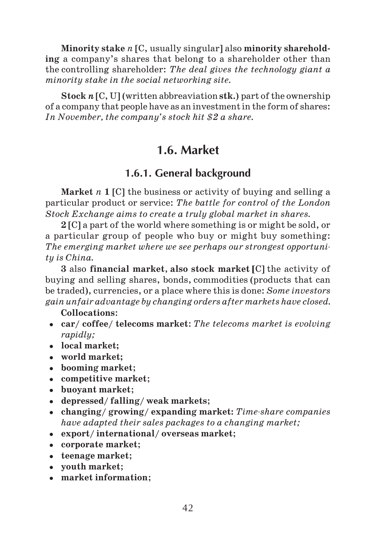**Minority stake** *n* [C, usually singular] also **minority sharehold ing** a company's shares that belong to a shareholder other than the controlling shareholder: *The deal gives the technology giant a minority stake in the social networking site.*

**Stock** *n* [C, U] (written abbreaviation **stk.**) part of the ownership of a company that people have as an investment in the form of shares: *In November, the company's stock hit \$2 a share.*

# **1.6. Market**

# **1.6.1. General background**

**Market** *n* **1** [C] the business or activity of buying and selling a particular product or service: *The battle for control of the London Stock Exchange aims to create a truly global market in shares.*

**2** [C] a part of the world where something is or might be sold, or a particular group of people who buy or might buy something: *The emerging market where we see perhaps our strongest opportuni ty is China.*

**3** also **financial market**, **also stock market [**C] the activity of buying and selling shares, bonds, commodities (products that can be traded), currencies, or a place where this is done: *Some investors gain unfair advantage by changing orders after markets have closed.*

- **car/ coffee/ telecoms market**: *The telecoms market is evolving rapidly;*
- **local market;**
- **world market;**
- **booming market**;
- **competitive market**;
- **buoyant market**;
- **depressed/ falling/ weak markets**;
- **changing/ growing/ expanding market:** *Timeshare companies have adapted their sales packages to a changing market;*
- **export/ international/ overseas market**;
- **corporate market**;
- **teenage market**;
- **youth market**;
- **market information**;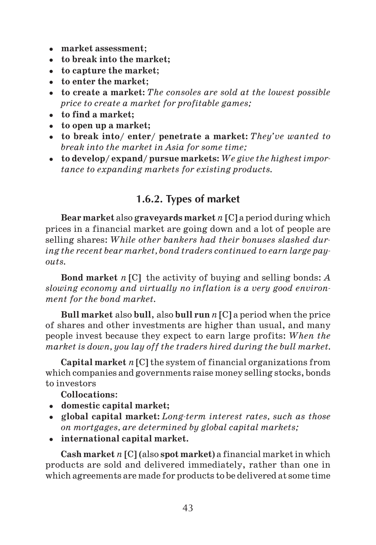- **market assessment**;
- **to break into the market;**
- **to capture the market**;
- **to enter the market**;
- **to create a market:** *The consoles are sold at the lowest possible price to create a market for profitable games;*
- **to find a market;**
- **to open up a market;**
- **to break into/ enter/ penetrate a market:** *They've wanted to break into the market in Asia for some time;*
- **to develop/ expand/ pursue markets:** *We give the highest impor tance to expanding markets for existing products.*

# **1.6.2. Types of market**

**Bear market** also **graveyards market** *n* [C] a period during which prices in a financial market are going down and a lot of people are selling shares: *While other bankers had their bonuses slashed dur ing the recent bear market, bond traders continued to earn large pay outs.*

**Bond market** *n* [C] the activity of buying and selling bonds: *A slowing economy and virtually no inflation is a very good environ ment for the bond market.*

**Bull market** also **bull**, also **bull run** *n* [C] a period when the price of shares and other investments are higher than usual, and many people invest because they expect to earn large profits: *When the market is down, you lay off the traders hired during the bull market.*

**Capital market** *n* [C] the system of financial organizations from which companies and governments raise money selling stocks, bonds to investors

**Collocations**:

- **domestic capital market;**
- global capital market: *Long-term interest rates, such as those on mortgages, are determined by global capital markets;*
- **international capital market.**

**Cash market** *n* [C] (also **spot market**) a financial market in which products are sold and delivered immediately, rather than one in which agreements are made for products to be delivered at some time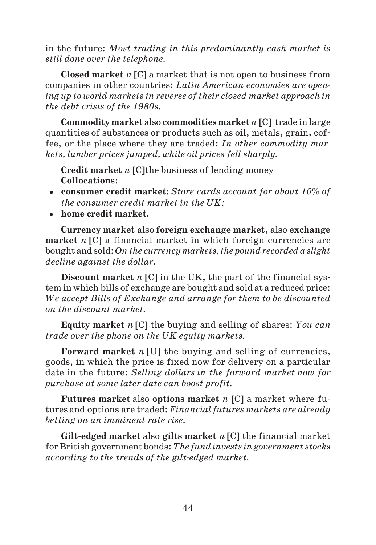in the future: *Most trading in this predominantly cash market is still done over the telephone.*

**Closed market** *n* [C] a market that is not open to business from companies in other countries: *Latin American economies are open ing up to world markets in reverse of their closed market approach in the debt crisis of the 1980s.*

**Commodity market** also **commodities market***n* [C] trade in large quantities of substances or products such as oil, metals, grain, cof fee, or the place where they are traded: *In other commodity mar kets, lumber prices jumped, while oil prices fell sharply.*

**Credit market** *n* [C]the business of lending money **Collocations**:

- **consumer credit market:** *Store cards account for about 10% of the consumer credit market in the UK;*
- **home credit market.**

**Currency market** also **foreign exchange market**, also **exchange market** *n* [C] a financial market in which foreign currencies are bought and sold: *On the currency markets, the pound recorded a slight decline against the dollar.*

**Discount market** *n* [C] in the UK, the part of the financial sys tem in which bills of exchange are bought and sold at a reduced price: *We accept Bills of Exchange and arrange for them to be discounted on the discount market.*

**Equity market** *n* [C] the buying and selling of shares: *You can trade over the phone on the UK equity markets.*

**Forward market** *n* [U] the buying and selling of currencies, goods, in which the price is fixed now for delivery on a particular date in the future: *Selling dollars in the forward market now for purchase at some later date can boost profit.*

**Futures market** also **options market** *n* [C] a market where fu tures and options are traded: *Financial futures markets are already betting on an imminent rate rise.*

**Gilt edged market** also **gilts market** *n* [C] the financial market for British government bonds: *The fund invests in government stocks* according to the trends of the gilt-edged market.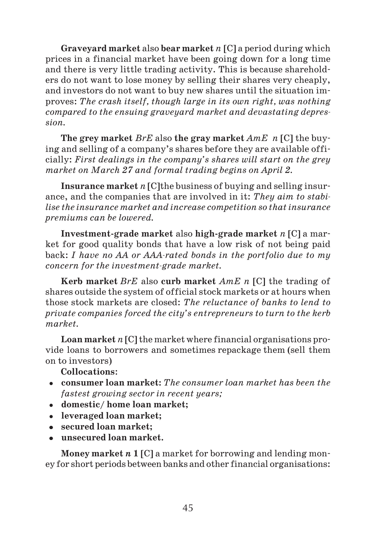**Graveyard market** also **bear market** *n* [C] a period during which prices in a financial market have been going down for a long time and there is very little trading activity. This is because sharehold ers do not want to lose money by selling their shares very cheaply, and investors do not want to buy new shares until the situation im proves: *The crash itself, though large in its own right, was nothing compared to the ensuing graveyard market and devastating depres sion.*

**The grey market** *BrE* also **the gray market** *AmE n* [C] the buy ing and selling of a company's shares before they are available offi cially: *First dealings in the company's shares will start on the grey market on March 27 and formal trading begins on April 2.*

**Insurance market** *n* [C]the business of buying and selling insur ance, and the companies that are involved in it: *They aim to stabi lise the insurance market and increase competition so that insurance premiums can be lowered.*

**Investment grade market** also **high grade market** *n* [C] a mar ket for good quality bonds that have a low risk of not being paid back: *I have no AA or AAArated bonds in the portfolio due to my concern for the investment-grade market.* 

**Kerb market** *BrE* also **curb market** *AmE n* [C] the trading of shares outside the system of official stock markets or at hours when those stock markets are closed: *The reluctance of banks to lend to private companies forced the city's entrepreneurs to turn to the kerb market.*

**Loan market** *n* [C] the market where financial organisations pro vide loans to borrowers and sometimes repackage them (sell them on to investors)

**Collocations**:

- **consumer loan market:** *The consumer loan market has been the fastest growing sector in recent years;*
- **domestic/ home loan market;**
- **leveraged loan market;**
- **secured loan market;**
- **unsecured loan market.**

**Money market** *n* **1** [C] a market for borrowing and lending mon ey for short periods between banks and other financial organisations: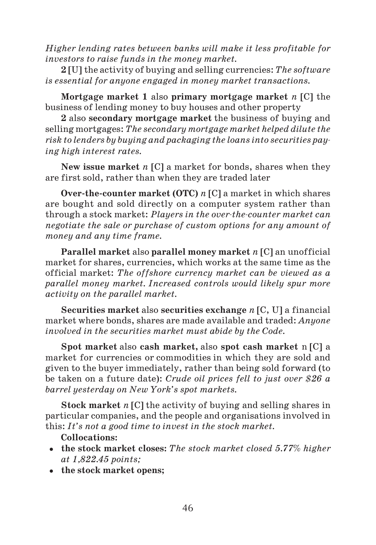*Higher lending rates between banks will make it less profitable for investors to raise funds in the money market.*

**2** [U] the activity of buying and selling currencies: *The software is essential for anyone engaged in money market transactions.*

**Mortgage market 1** also **primary mortgage market** *n* [C] the business of lending money to buy houses and other property

**2** also **secondary mortgage market** the business of buying and selling mortgages: *The secondary mortgage market helped dilute the risk to lenders by buying and packaging the loans into securities pay ing high interest rates.*

**New issue market** *n* [C] a market for bonds, shares when they are first sold, rather than when they are traded later

**Over the counter market (OTC)** *n* [C] a market in which shares are bought and sold directly on a computer system rather than through a stock market: *Players in the overthecounter market can negotiate the sale or purchase of custom options for any amount of money and any time frame.*

**Parallel market** also **parallel money market** *n* [C] an unofficial market for shares, currencies, which works at the same time as the official market: *The offshore currency market can be viewed as a parallel money market. Increased controls would likely spur more activity on the parallel market.*

**Securities market** also **securities exchange** *n* [C, U] a financial market where bonds, shares are made available and traded: *Anyone involved in the securities market must abide by the Code.*

**Spot market** also **cash market,** also **spot cash market** n [C] a market for currencies or commodities in which they are sold and given to the buyer immediately, rather than being sold forward (to be taken on a future date): *Crude oil prices fell to just over \$26 a barrel yesterday on New York's spot markets.*

**Stock market** *n* [C] the activity of buying and selling shares in particular companies, and the people and organisations involved in this: *It's not a good time to invest in the stock market.*

- **the stock market closes:** *The stock market closed 5.77% higher at 1,822.45 points;*
- **the stock market opens;**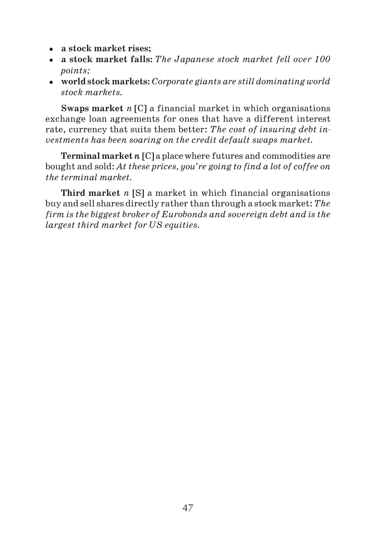- **a stock market rises;**
- **a stock market falls:** *The Japanese stock market fell over 100 points;*
- **world stock markets:** *Corporate giants are still dominating world stock markets.*

**Swaps market** *n* [C] a financial market in which organisations exchange loan agreements for ones that have a different interest rate, currency that suits them better: *The cost of insuring debt in vestments has been soaring on the credit default swaps market.*

**Terminal market** *n* [C] a place where futures and commodities are bought and sold: *At these prices, you're going to find a lot of coffee on the terminal market.*

**Third market** *n* [S] a market in which financial organisations buy and sell shares directly rather than through a stock market: *The firm is the biggest broker of Eurobonds and sovereign debt and is the largest third market for US equities.*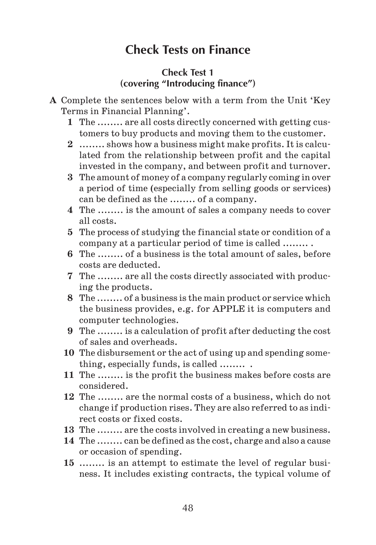# **Check Tests on Finance**

## **Check Test 1 (covering "Introducing finance")**

- **A** Complete the sentences below with a term from the Unit 'Key Terms in Financial Planning'.
	- **1** The ........ are all costs directly concerned with getting cus tomers to buy products and moving them to the customer.
	- **2** ........ shows how a business might make profits. It is calcu lated from the relationship between profit and the capital invested in the company, and between profit and turnover.
	- **3** The amount of money of a company regularly coming in over a period of time (especially from selling goods or services) can be defined as the ........ of a company.
	- **4** The ........ is the amount of sales a company needs to cover all costs.
	- **5** The process of studying the financial state or condition of a company at a particular period of time is called ........ .
	- **6** The ........ of a business is the total amount of sales, before costs are deducted.
	- **7** The ........ are all the costs directly associated with produc ing the products.
	- **8** The ........ of a business is the main product or service which the business provides, e.g. for APPLE it is computers and computer technologies.
	- **9** The ........ is a calculation of profit after deducting the cost of sales and overheads.
	- **10** The disbursement or the act of using up and spending some thing, especially funds, is called ........ .
	- **11** The ........ is the profit the business makes before costs are considered.
	- **12** The ........ are the normal costs of a business, which do not change if production rises. They are also referred to as indi rect costs or fixed costs.
	- **13** The ........ are the costs involved in creating a new business.
	- **14** The ........ can be defined as the cost, charge and also a cause or occasion of spending.
	- **15** ........ is an attempt to estimate the level of regular busi ness. It includes existing contracts, the typical volume of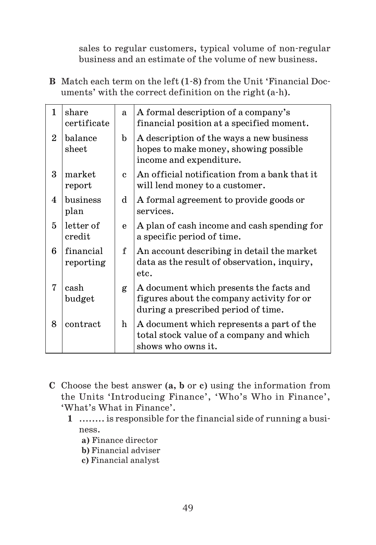sales to regular customers, typical volume of non regular business and an estimate of the volume of new business.

**B** Match each term on the left (1 8) from the Unit 'Financial Doc uments' with the correct definition on the right (a h).

| 1              | share<br>certificate                 | a. | A formal description of a company's<br>financial position at a specified moment.                                            |
|----------------|--------------------------------------|----|-----------------------------------------------------------------------------------------------------------------------------|
| $\overline{2}$ | balance<br>$_{\rm sheet}$            | b  | A description of the ways a new business<br>hopes to make money, showing possible<br>income and expenditure.                |
| $\mathbf{R}$   | market<br>report                     | C. | An official notification from a bank that it<br>will lend money to a customer.                                              |
| 4              | $_{\rm business}$<br>plan            | d  | A formal agreement to provide goods or<br>services.                                                                         |
| 5              | letter of<br>$\operatorname{credit}$ | e  | A plan of cash income and cash spending for<br>a specific period of time.                                                   |
| 6              | financial<br>reporting               | f  | An account describing in detail the market<br>data as the result of observation, inquiry,<br>etc.                           |
| 7              | cash<br>budget                       | g  | A document which presents the facts and<br>figures about the company activity for or<br>during a prescribed period of time. |
| 8              | contract                             | h  | A document which represents a part of the<br>total stock value of a company and which<br>shows who owns it.                 |

- **C** Choose the best answer (**a, b** or **c**) using the information from the Units 'Introducing Finance', 'Who's Who in Finance', 'What's What in Finance'.
	- **1** ........ is responsible for the financial side of running a busi ness.
		- **a)** Finance director
		- **b)** Financial adviser
		- **c)** Financial analyst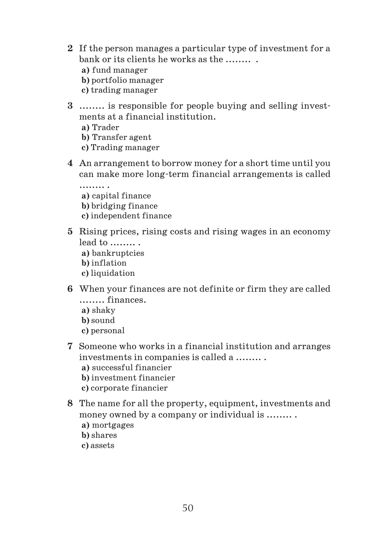- **2** If the person manages a particular type of investment for a bank or its clients he works as the ........ **a)** fund manager **b)** portfolio manager **c)** trading manager
- **3** ........ is responsible for people buying and selling invest ments at a financial institution.
	- **a)** Trader
	- **b)** Transfer agent
	- **c)** Trading manager
- **4** An arrangement to borrow money for a short time until you can make more long term financial arrangements is called
	- ........ . **a)** capital finance **b)** bridging finance **c)** independent finance
- **5** Rising prices, rising costs and rising wages in an economy lead to ........ . **a)** bankruptcies
	- **b)** inflation **c)** liquidation
- **6** When your finances are not definite or firm they are called ........ finances.
	- **a)** shaky **b)** sound
	- **c)** personal
- **7** Someone who works in a financial institution and arranges investments in companies is called a ........ .
	- **a)** successful financier
	- **b)** investment financier
	- **c)** corporate financier
- **8** The name for all the property, equipment, investments and money owned by a company or individual is ........ .
	- **a)** mortgages
	- **b)** shares
	- **c)** assets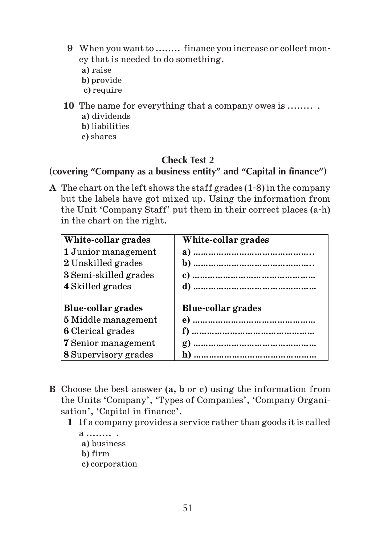- **9** When you want to ........ finance you increase or collect mon ey that is needed to do something.
	- **a)** raise
	- **b)** provide
	- **c)** require
- **10** The name for everything that a company owes is ........ .
	- **a)** dividends
	- **b)** liabilities
	- **c)** shares

## **Check Test 2**

## **(covering "Company as a business entity" and "Capital in finance")**

**A** The chart on the left shows the staff grades (1 8) in the company but the labels have got mixed up. Using the information from the Unit 'Company Staff' put them in their correct places (a h) in the chart on the right.

| White-collar grades         | White-collar grades       |
|-----------------------------|---------------------------|
| 1 Junior management         |                           |
| 2 Unskilled grades          |                           |
| 3 Semi-skilled grades       |                           |
| 4 Skilled grades            |                           |
|                             |                           |
| Blue-collar grades          | <b>Blue-collar grades</b> |
| <b>5</b> Middle management  |                           |
| <b>6</b> Clerical grades    |                           |
| <b>7</b> Senior management  |                           |
| <b>8 Supervisory grades</b> |                           |

- **B** Choose the best answer (**a, b** or **c**) using the information from the Units 'Company', 'Types of Companies', 'Company Organi sation', 'Capital in finance'.
	- **1** If a company provides a service rather than goods it is called
		- a ........ . **a)** business **b)** firm **c)** corporation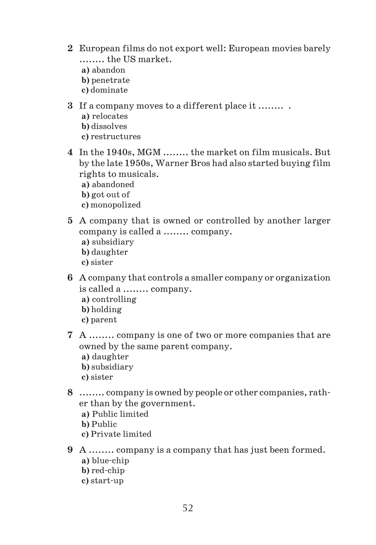- **2** European films do not export well: European movies barely ........ the US market.
	- **a)** abandon
	- **b)** penetrate
	- **c)** dominate
- **3** If a company moves to a different place it ........ .
	- **a)** relocates
	- **b)** dissolves
	- **c)** restructures
- **4** In the 1940s, MGM ........ the market on film musicals. But by the late 1950s, Warner Bros had also started buying film rights to musicals.
	- **a)** abandoned
	- **b)** got out of
	- **c)** monopolized
- **5** A company that is owned or controlled by another larger company is called a ........ company.
	- **a)** subsidiary
	- **b)** daughter
	- **c)** sister
- **6** A company that controls a smaller company or organization is called a ........ company.
	- **a)** controlling
	- **b)** holding
	- **c)** parent
- **7** A ........ company is one of two or more companies that are owned by the same parent company.
	- **a)** daughter
	- **b)** subsidiary
	- **c)** sister
- **8** ........ company is owned by people or other companies, rath er than by the government.
	- **a)** Public limited
	- **b)** Public
	- **c)** Private limited
- **9** A ........ company is a company that has just been formed.
	- **a)** blue chip
	- **b**) red-chip
	- **c)** start up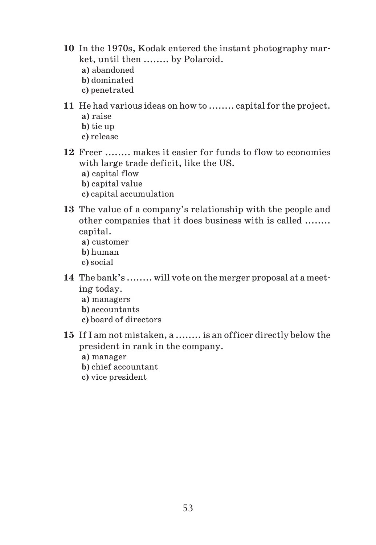- **10** In the 1970s, Kodak entered the instant photography mar ket, until then ........ by Polaroid. **a)** abandoned
	-
	- **b)** dominated
	- **c)** penetrated
- **11** He had various ideas on how to ........ capital for the project. **a)** raise
	- **b)** tie up
	- **c)** release
- **12** Freer ........ makes it easier for funds to flow to economies with large trade deficit, like the US.
	- **a)** capital flow
	- **b)** capital value
	- **c)** capital accumulation
- **13** The value of a company's relationship with the people and other companies that it does business with is called ........ capital.
	- **a)** customer
	- **b)** human
	- **c)** social
- **14** The bank's ........ will vote on the merger proposal at a meet ing today.
	- **a)** managers
	- **b)** accountants
	- **c)** board of directors
- **15** If I am not mistaken, a ........ is an officer directly below the president in rank in the company.
	- **a)** manager
	- **b)** chief accountant
	- **c)** vice president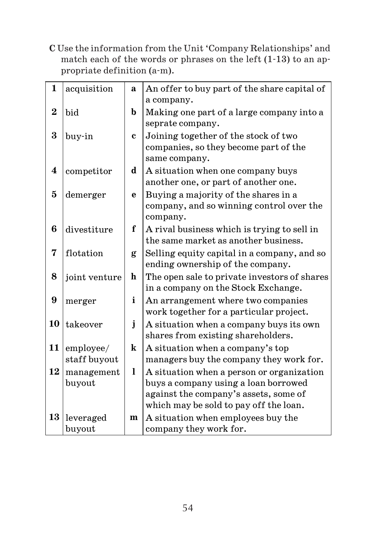**C** Use the information from the Unit 'Company Relationships' and match each of the words or phrases on the left (1 13) to an ap propriate definition (a m).

| $\mathbf{1}$   | acquisition   | a            | An offer to buy part of the share capital of                                  |
|----------------|---------------|--------------|-------------------------------------------------------------------------------|
|                |               |              | a company.                                                                    |
| $\overline{2}$ | bid           | b            | Making one part of a large company into a                                     |
|                |               |              | seprate company.                                                              |
| 3              | buy-in        | $\mathbf c$  | Joining together of the stock of two                                          |
|                |               |              | companies, so they become part of the                                         |
|                |               |              | same company.                                                                 |
| 4              | competitor    | d            | A situation when one company buys                                             |
|                |               |              | another one, or part of another one.                                          |
| $\mathbf{5}$   | demerger      | $\mathbf{e}$ | Buying a majority of the shares in a                                          |
|                |               |              | company, and so winning control over the                                      |
|                |               |              | company.                                                                      |
| 6              | divestiture   | f            | A rival business which is trying to sell in                                   |
|                |               |              | the same market as another business.                                          |
| 7              | flotation     | g            | Selling equity capital in a company, and so                                   |
|                |               |              | ending ownership of the company.                                              |
| 8              | joint venture | h            | The open sale to private investors of shares                                  |
|                |               |              | in a company on the Stock Exchange.                                           |
| 9              |               | i            | An arrangement where two companies                                            |
|                | merger        |              | work together for a particular project.                                       |
| 10             |               | $\mathbf{j}$ |                                                                               |
|                | takeover      |              | A situation when a company buys its own<br>shares from existing shareholders. |
|                |               |              |                                                                               |
| 11             | employee/     | k            | A situation when a company's top                                              |
|                | staff buyout  |              | managers buy the company they work for.                                       |
| 12             | management    | 1            | A situation when a person or organization                                     |
|                | buyout        |              | buys a company using a loan borrowed                                          |
|                |               |              | against the company's assets, some of                                         |
|                |               |              | which may be sold to pay off the loan.                                        |
| 13             | leveraged     | m            | A situation when employees buy the                                            |
|                | buyout        |              | company they work for.                                                        |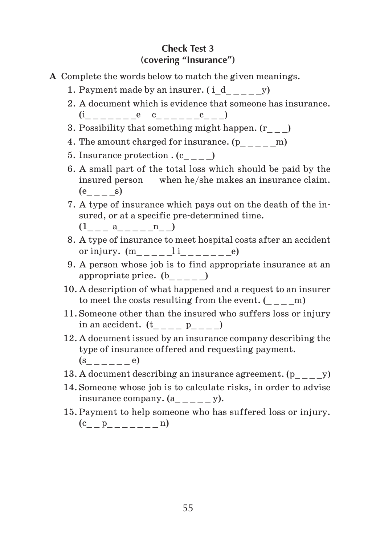## **Check Test 3 (covering "Insurance")**

- **A** Complete the words below to match the given meanings.
	- 1. Payment made by an insurer.  $(i\ d$  y)
	- 2. A document which is evidence that someone has insurance  $(i \qquad \qquad e \quad c \qquad \qquad c \qquad )$
	- 3. Possibility that something might happen. (r\_ \_ \_)
	- 4. The amount charged for insurance.  $(p_{\_\_--\_\_m})$
	- 5. Insurance protection  $(c_{---})$
	- 6. A small part of the total loss which should be paid by the insured person when he/she makes an insurance claim.  $(e$  s)
	- 7. A type of insurance which pays out on the death of the in sured, or at a specific pre determined time.
		- $(1_{---} a_{---} n_{---})$
	- 8. A type of insurance to meet hospital costs after an accident or injury. (m\_ \_ \_ \_ \_l i\_ \_ \_ \_ \_ \_ \_e)
	- 9. A person whose job is to find appropriate insurance at an appropriate price. (b\_ \_ \_ \_ \_)
	- 10. A description of what happened and a request to an insurer to meet the costs resulting from the event.  $(m - m)$
	- 11. Someone other than the insured who suffers loss or injury in an accident.  $(t \quad p \quad )$
	- 12. A document issued by an insurance company describing the type of insurance offered and requesting payment.  $(s$  e)
	- 13. A document describing an insurance agreement.  $(p \hspace{1cm} y)$
	- 14. Someone whose job is to calculate risks, in order to advise insurance company.  $(a_{\_\_\_\_\_\_})$
	- 15. Payment to help someone who has suffered loss or injury.  $(c_ p_ - p_ - - - - n)$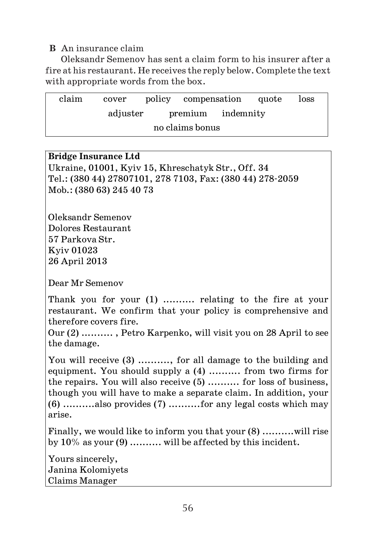## **B** An insurance claim

Oleksandr Semenov has sent a claim form to his insurer after a fire at his restaurant. He receives the reply below. Complete the text with appropriate words from the box.

| claim | cover    |                   | policy compensation quote |  | loss |
|-------|----------|-------------------|---------------------------|--|------|
|       | adjuster | premium indemnity |                           |  |      |
|       |          | no claims bonus   |                           |  |      |

## **Bridge Insurance Ltd**  Ukraine, 01001, Kyiv 15, Khreschatyk Str., Off. 34

Tel.: (380 44) 27807101, 278 7103, Fax: (380 44) 278 2059 Mob.: (380 63) 245 40 73

Oleksandr Semenov Dolores Restaurant 57 Parkova Str. Kyiv 01023 26 April 2013

Dear Mr Semenov

Thank you for your (1) .......... relating to the fire at your restaurant. We confirm that your policy is comprehensive and therefore covers fire.

Our (2) .......... , Petro Karpenko, will visit you on 28 April to see the damage.

You will receive (3) .........., for all damage to the building and equipment. You should supply a (4) .......... from two firms for the repairs. You will also receive (5) .......... for loss of business, though you will have to make a separate claim. In addition, your (6) ..........also provides (7) ..........for any legal costs which may arise.

Finally, we would like to inform you that your (8) ..........will rise by  $10\%$  as your  $(9)$  .......... will be affected by this incident.

Yours sincerely, Janina Kolomiyets Claims Manager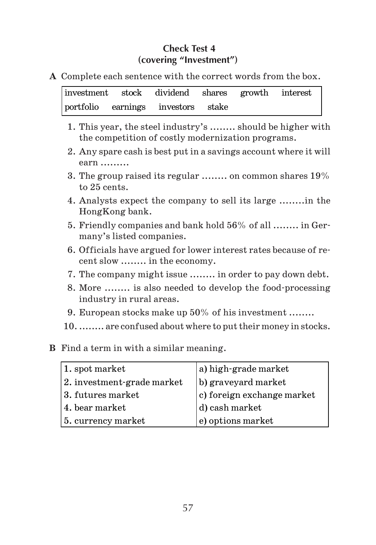## **Check Test 4 (covering "Investment")**

**A** Complete each sentence with the correct words from the box.

|  | investment stock dividend shares growth interest |  |  |
|--|--------------------------------------------------|--|--|
|  | portfolio earnings investors stake               |  |  |

- 1. This year, the steel industry's ........ should be higher with the competition of costly modernization programs.
- 2. Any spare cash is best put in a savings account where it will earn .........
- 3. The group raised its regular ........ on common shares 19% to 25 cents.
- 4. Analysts expect the company to sell its large ........in the HongKong bank.
- 5. Friendly companies and bank hold 56% of all ........ in Ger many's listed companies.
- 6. Officials have argued for lower interest rates because of re cent slow ........ in the economy.
- 7. The company might issue ........ in order to pay down debt.
- 8. More ........ is also needed to develop the food processing industry in rural areas.
- 9. European stocks make up 50% of his investment ........
- 10. ........ are confused about where to put their money in stocks.
- **B** Find a term in with a similar meaning.

| 1. spot market             | a) high-grade market       |
|----------------------------|----------------------------|
| 2. investment-grade market | b) graveyard market        |
| 3. futures market          | c) foreign exchange market |
| 4. bear market             | d) cash market             |
| 5. currency market         | e) options market          |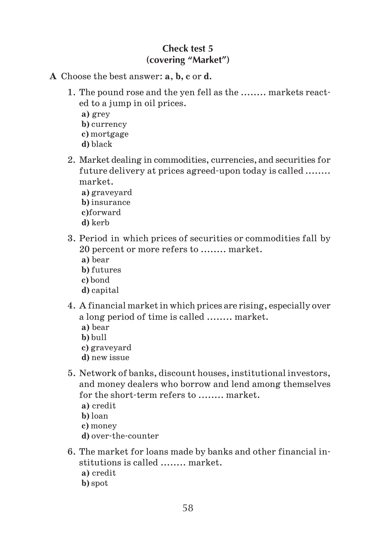## **Check test 5 (covering "Market")**

- **A** Choose the best answer: **a**, **b, c** or **d.**
	- 1. The pound rose and the yen fell as the ........ markets react ed to a jump in oil prices. **a)** grey **b)** currency **c)** mortgage **d)** black
	- 2. Market dealing in commodities, currencies, and securities for future delivery at prices agreed upon today is called ........ market.
		- **a)** graveyard
		- **b)** insurance
		- **c)**forward
		- **d)** kerb
	- 3. Period in which prices of securities or commodities fall by 20 percent or more refers to ........ market.
		- **a)** bear
		- **b)** futures
		- **c)** bond
		- **d)** capital
	- 4. A financial market in which prices are rising, especially over a long period of time is called ........ market.
		- **a)** bear
		- **b)** bull
		- **c)** graveyard
		- **d)** new issue
	- 5. Network of banks, discount houses, institutional investors, and money dealers who borrow and lend among themselves for the short-term refers to ........ market.
		- **a)** credit
		- **b)** loan
		- **c)** money
		- **d)** over the counter
	- 6. The market for loans made by banks and other financial in stitutions is called ........ market.
		- **a)** credit
		- **b)** spot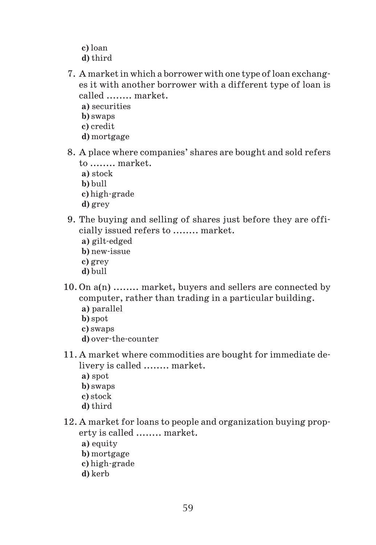- **c)** loan **d)** third
- 7. A market in which a borrower with one type of loan exchang es it with another borrower with a different type of loan is called ........ market.
	- **a)** securities
	- **b)** swaps
	- **c)** credit
	- **d)** mortgage
- 8. A place where companies' shares are bought and sold refers to ........ market.
	- **a)** stock
	- **b)** bull
	- **c)** high-grade
	- **d)** grey
- 9. The buying and selling of shares just before they are offi cially issued refers to ........ market.
	- **a)** gilt edged
	- **b)** new issue
	- **c)** grey
	- **d)** bull
- 10. On a(n) ........ market, buyers and sellers are connected by computer, rather than trading in a particular building. **a)** parallel
	- **b)** spot
	- **c)** swaps
	- **d)** over the counter
- 11. A market where commodities are bought for immediate de livery is called ........ market.
	- **a)** spot
	- **b)** swaps
	- **c)** stock
	- **d)** third
- 12. A market for loans to people and organization buying prop erty is called ........ market.
	- **a)** equity
	- **b)** mortgage
	- **c)** high grade
	- **d)** kerb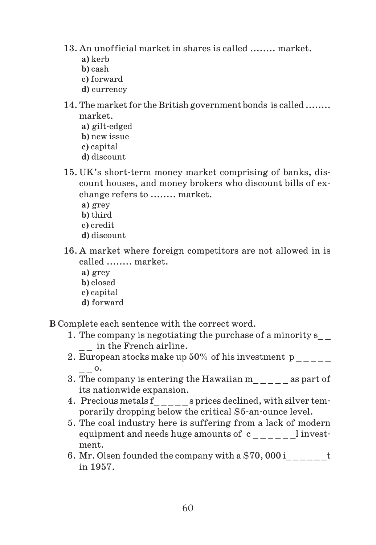- 13. An unofficial market in shares is called ........ market.
	- **a)** kerb
	- **b)** cash
	- **c)** forward
	- **d)** currency
- 14. The market for the British government bonds is called ........ market.
	- **a)** gilt edged
	- **b)** new issue
	- **c)** capital
	- **d)** discount
- 15. UK's short term money market comprising of banks, dis count houses, and money brokers who discount bills of ex change refers to ........ market.
	- **a)** grey
	- **b)** third
	- **c)** credit
	- **d)** discount
- 16. A market where foreign competitors are not allowed in is called ........ market.
	- **a)** grey
	- **b)** closed
	- **c)** capital
	- **d)** forward

**B** Complete each sentence with the correct word.

- 1. The company is negotiating the purchase of a minority s\_ \_ in the French airline.
- 2. European stocks make up  $50\%$  of his investment p \_ \_ o.
- 3. The company is entering the Hawaiian m \_ \_ \_ \_ as part of its nationwide expansion.
- 4. Precious metals f<sub>\_\_\_\_\_</sub>s prices declined, with silver temporarily dropping below the critical \$5 an ounce level.
- 5. The coal industry here is suffering from a lack of modern equipment and needs huge amounts of  $c_{\_--\_--\_}$ l investment.
- 6. Mr. Olsen founded the company with a  $$70,000$  i  $t$ in 1957.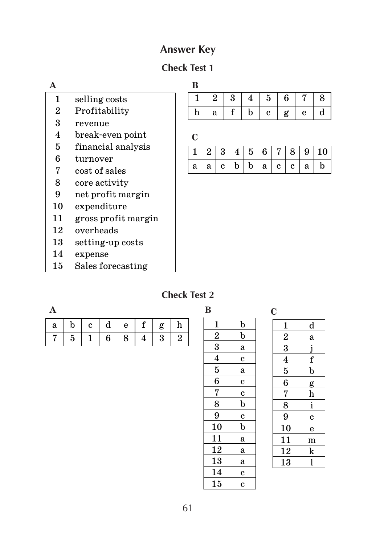# **Answer Key**

# **Check Test 1**

| A                |                     | B |                |                |   |   |              |   |    |   |             |
|------------------|---------------------|---|----------------|----------------|---|---|--------------|---|----|---|-------------|
| 1                | selling costs       | 1 |                | $\overline{2}$ | 3 | 4 | 5            |   | 6  | 7 | 8           |
| $\overline{2}$   | Profitability       | h |                | a              | f | b | $\mathbf{c}$ |   | g  | e | d           |
| 3                | revenue             |   |                |                |   |   |              |   |    |   |             |
| $\boldsymbol{4}$ | break-even point    | C |                |                |   |   |              |   |    |   |             |
| 5                | financial analysis  | 1 | $\overline{2}$ | 3              | 4 | 5 | 6            | 7 | 8  | 9 | 10          |
| 6                | turnover            |   |                |                |   |   |              |   |    |   |             |
| 7                | cost of sales       | a | a              | C.             | b | b | a            | C | C. | a | $\mathbf b$ |
| 8                | core activity       |   |                |                |   |   |              |   |    |   |             |
| 9                | net profit margin   |   |                |                |   |   |              |   |    |   |             |
| 10               | expenditure         |   |                |                |   |   |              |   |    |   |             |
| 11               | gross profit margin |   |                |                |   |   |              |   |    |   |             |
| 12               | overheads           |   |                |                |   |   |              |   |    |   |             |
| 13               | setting-up costs    |   |                |                |   |   |              |   |    |   |             |
| 14               | expense             |   |                |                |   |   |              |   |    |   |             |
| 15               | Sales forecasting   |   |                |                |   |   |              |   |    |   |             |
|                  |                     |   |                |                |   |   |              |   |    |   |             |

# **Check Test 2**

| ۰ |  |
|---|--|
|   |  |

|  |               |     | $a \mid b \mid c \mid d \mid e \mid f \mid g \mid$ | h   |
|--|---------------|-----|----------------------------------------------------|-----|
|  | 7   5   1   6 | 8 I | $4 \mid 3 \mid$                                    | - 9 |

| B                       |                |
|-------------------------|----------------|
| $\mathbf{1}$            | $\overline{p}$ |
| $\overline{2}$          | b              |
| 3                       | a              |
| $\overline{\mathbf{4}}$ | $\overline{c}$ |
| $\bf{5}$                | a              |
| 6                       | $\mathbf c$    |
| $\frac{7}{1}$           | $\overline{c}$ |
| $\overline{8}$          | $\mathbf b$    |
| 9                       | $\overline{c}$ |
| 10                      | b              |
| $\overline{11}$         | a              |
| <u> 12</u>              | a              |
| 13                      | a              |
| 14                      | $\mathbf c$    |
| 15                      | $\mathbf c$    |

|   |   | î,                 |  |
|---|---|--------------------|--|
| ć | × | I<br>i<br>۰.<br>۰. |  |

| $\mathbf{1}$            | d              |
|-------------------------|----------------|
|                         | a              |
| $\frac{2}{3}$           | j              |
| $\overline{\mathbf{4}}$ | f              |
| $\overline{5}$          | $\mathbf b$    |
| 6                       | g              |
| 7                       | h              |
| 8                       | i              |
| 9                       | $\overline{c}$ |
| 10                      | e              |
| 11                      | m              |
| 12                      | k              |
| 13                      | l              |
|                         |                |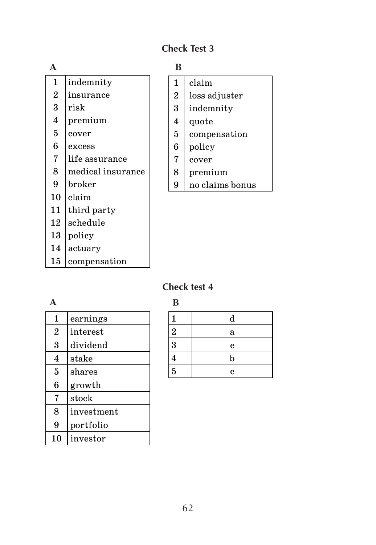## **Check Test 3**

# **A** 1 indemnity 2 insurance  $3$  risk 4 premium  $5 \mid cover$  $6$  excess 7 life assurance 8 medical insurance 9 broker

- $10$  claim
- 11 third party
- $12$  schedule 13 policy
- 14 actuary
- 15 compensation

## **B**

| 1              | claim         |
|----------------|---------------|
| $\overline{2}$ | loss adjuster |
| 3              | indemnity     |
| 4              | quote         |
| 5              | compensation  |
| 6              | policy        |
| 7              | cover         |
|                | premium       |

9 no claims bonus

# **Check test 4**

|                  |            | B              |
|------------------|------------|----------------|
| 1                | earnings   | 1              |
| $\boldsymbol{2}$ | interest   | $\overline{2}$ |
| 3                | dividend   | 3              |
| 4                | stake      | 4              |
| 5                | shares     | $\overline{5}$ |
| 6                | growth     |                |
| 7                | stock      |                |
| 8                | investment |                |
| 9                | portfolio  |                |
| 10               | investor   |                |

|                     | $\mathbf d$ |
|---------------------|-------------|
| $\overline{2}$      | a           |
| $\overline{\bf{3}}$ | e           |
| $\bf{4}$            | $\mathbf b$ |
| $\overline{5}$      | c           |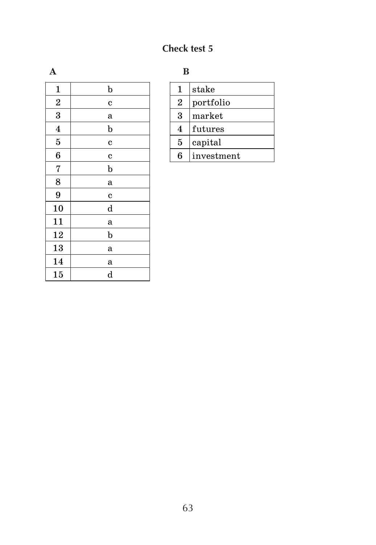# **Check test 5**

| $\mathbf{1}$            | $\mathbf b$ |
|-------------------------|-------------|
| $\overline{2}$          | $\bf c$     |
| 3                       | a           |
| $\overline{\mathbf{4}}$ | b           |
| $\overline{5}$          | $\bf c$     |
| $\boldsymbol{6}$        | $\mathbf c$ |
| 7                       | $\mathbf b$ |
| 8                       | a           |
| 9                       | C           |
| 10                      | $\mathbf d$ |
| 11                      | a           |
| 12                      | $\mathbf b$ |
| 13                      | a           |
| 14                      | a           |
| 15                      | d           |

| $\bf A$ |  | В |
|---------|--|---|
|         |  |   |

|                | stake      |
|----------------|------------|
| $\overline{2}$ | portfolio  |
| 3              | market     |
| 4              | futures    |
| 5              | capital    |
| հ              | investment |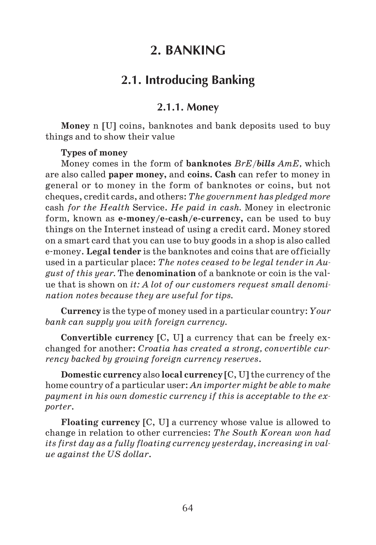# **2. BANKING**

# **2.1. Introducing Banking**

## **2.1.1. Money**

**Money** n [U] coins, banknotes and bank deposits used to buy things and to show their value

### **Types of money**

Money comes in the form of **banknotes** *BrE/bills AmE,* which are also called **paper money,** and **coins. Cash** can refer to money in general or to money in the form of banknotes or coins, but not cheques, credit cards, and others: *The government has pledged more* cash *for the Нealth* Service. *He рaid in cash.* Money in electronic form*,* known as **e money/e cash/e currency,** can be used to buy things on the Internet instead of using a credit card. Money stored on a smart card that you can use to buy goods in a shop is also called e money. **Legal tender** is the banknotes and coins that are officially used in a particular place: *The notes ceased to be legal tender in Au gust of this year.* The **denomination** of a banknote or coin is the val ue that is shown on *it: A lot of our customers request small denomi nation notes because they are useful for tips.*

**Currency** is the type of money used in a particular country: *Your bank can supply you with foreign currency.*

**Convertible currency** [C, U] a currency that can be freely ex changed for another: *Croatia has created a strong, convertible cur rency backed by growing foreign currency reserves*.

**Domestic currency** also **local currency** [C, U] the currency of the home country of a particular user: *An importer might be able to make payment in his own domestic currency if this is acceptable to the ex porter*.

**Floating currency** [C, U] a currency whose value is allowed to change in relation to other currencies: *The South Korean won had its first day as a fully floating currency yesterday, increasing in val ue against the US dollar*.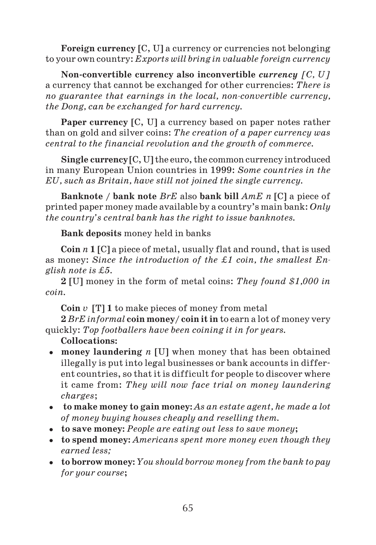**Foreign currency** [C, U] a currency or currencies not belonging to your own country: *Exports will bring in valuable foreign currency*

**Non convertible currency also inconvertible** *currency [C, U]* a currency that cannot be exchanged for other currencies: *There is no guarantee that earnings in the local, nonconvertible currency, the Dong, can be exchanged for hard currency.*

**Paper currency** [C, U] a currency based on paper notes rather than on gold and silver coins: *The creation of a paper currency was central to the financial revolution and the growth of commerce.*

**Single currency** [C, U] the euro, the common currency introduced in many European Union countries in 1999: *Some countries in the EU, such as Britain, have still not joined the single currency.*

**Banknote / bank note** *BrE* also **bank bill** *AmE n* [C] a piece of printed paper money made available by a country's main bank: *Only the country's central bank has the right to issue banknotes.*

**Bank deposits** money held in banks

**Coin** *n* **1** [C] a piece of metal, usually flat and round, that is used as money: *Since the introduction of the ‡1 coin, the smallest En glish note is ‡5.*

**2** [U] money in the form of metal coins: *They found \$1,000 in coin.*

**Coin** *v*[T] **1** to make pieces of money from metal

**2** *BrE informal* **coin money/ coin it in** to earn a lot of money very quickly: *Top footballers have been coining it in for years.*

- **money laundering** *n* [U] when money that has been obtained illegally is put into legal businesses or bank accounts in differ ent countries, so that it is difficult for people to discover where it came from: *They will now face trial on money laundering charges*;
- **to make money to gain money:** *As an estate agent, he made a lot of money buying houses cheaply and reselling them.*
- **to save money:** *People are eating out less to save money***;**
- **to spend money:** *Americans spent more money even though they earned less;*
- **to borrow money:** *You should borrow money from the bank to pay for your course***;**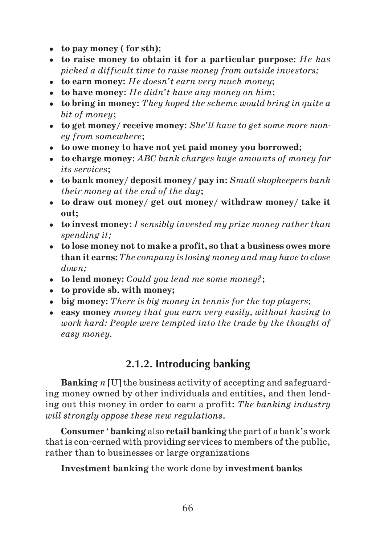- **to pay money ( for sth)**;
- **to raise money to obtain it for a particular purpose:** *He has picked a difficult time to raise money from outside investors;*
- **to earn money**: *He doesn't earn very much money*;
- **to have money**: *He didn't have any money on him*;
- **to bring in money**: *They hoped the scheme would bring in quite a bit of money*;
- **to get money/ receive money**: *She'll have to get some more mon ey from somewhere*;
- **to owe money to have not yet paid money you borrowed**;
- **to charge money**: *ABC bank charges huge amounts of money for its services*;
- **to bank money/ deposit money/ pay in**: *Small shopkeepers bank their money at the end of the day*;
- **to draw out money/ get out money/ withdraw money/ take it out;**
- **to invest money**: *I sensibly invested my prize money rather than spending it;*
- **to lose money not to make a profit, so that a business owes more than it earns:***The company is losing money and may have to close down;*
- **to lend money:** *Could you lend me some money?*;
- **to provide sb. with money;**
- **big money:** *There is big money in tennis for the top players*;
- **easy money** *money that you earn very easily, without having to work hard: People were tempted into the trade by the thought of easy money.*

# **2.1.2. Introducing banking**

**Banking** *n* [U] the business activity of accepting and safeguard ing money owned by other individuals and entities, and then lend ing out this money in order to earn a profit: *The banking industry will strongly oppose these new regulations*.

**Consumer** ' **banking** also **retail banking** the part of a bank's work that is con-cerned with providing services to members of the public, rather than to businesses or large organizations

**Investment banking** the work done by **investment banks**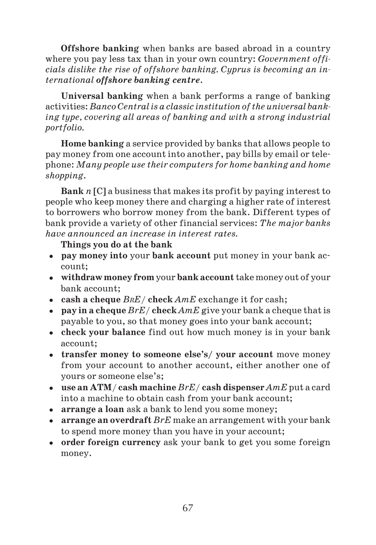**Offshore banking** when banks are based abroad in a country where you pay less tax than in your own country: *Government offi cials dislike the rise of offshore banking. Cyprus is becoming an in ternational offshore banking centre*.

**Universal banking** when a bank performs a range of banking activities: *Banco Central is a classic institution of the universal bank ing type, covering all areas of banking and with a strong industrial portfolio.*

**Home banking** a service provided by banks that allows people to pay money from one account into another, pay bills by email or tele phone: *Many people use their computers for home banking and home shopping*.

**Bank** *n* [C] a business that makes its profit by paying interest to people who keep money there and charging a higher rate of interest to borrowers who borrow money from the bank. Different types of bank provide a variety of other financial services: *The major banks have announced an increase in interest rates.*

**Things you do at the bank**

- **pay money into** your **bank account** put money in your bank ac count;
- **withdraw money from** your **bank account** take money out of your bank account;
- **cash a cheque** *BRE*/ **check** *AmE* exchange it for cash;
- **pay in a cheque** *BrE*/ **check** *AmE* give your bank a cheque that is payable to you, so that money goes into your bank account;
- **check your balance** find out how much money is in your bank account;
- **transfer money to someone else's/ your account** move money from your account to another account, either another one of yours or someone else's;
- **use an ATM**/ **cash machine** *BrE/* **cash dispenser** *AmE* put a card into a machine to obtain cash from your bank account;
- **arrange a loan** ask a bank to lend you some money;
- **arrange an overdraft** *BrE* make an arrangement with your bank to spend more money than you have in your account;
- **order foreign currency** ask your bank to get you some foreign money.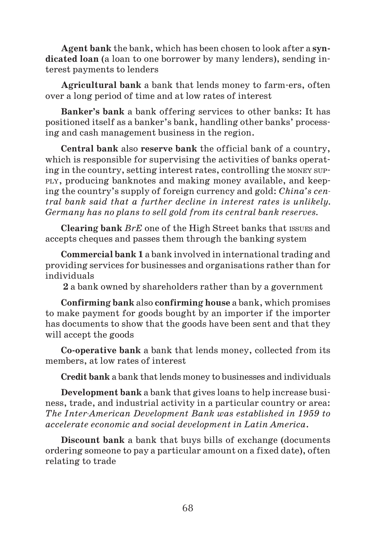**Agent bank** the bank, which has been chosen to look after a **syn dicated loan** (a loan to one borrower by many lenders), sending in terest payments to lenders

**Agricultural bank** a bank that lends money to farm-ers, often over a long period of time and at low rates of interest

**Banker's bank** a bank offering services to other banks: It has positioned itself as a banker's bank, handling other banks' process ing and cash management business in the region.

**Central bank** also **reserve bank** the official bank of a country, which is responsible for supervising the activities of banks operat ing in the country, setting interest rates, controlling the MONEY SUP PLY, producing banknotes and making money available, and keep ing the country's supply of foreign currency and gold: *China's cen tral bank said that a further decline in interest rates is unlikely. Germany has no plans to sell gold from its central bank reserves.*

**Clearing bank** *BrE* one of the High Street banks that ISSUES and accepts cheques and passes them through the banking system

**Commercial bank 1** a bank involved in international trading and providing services for businesses and organisations rather than for individuals

 **2** a bank owned by shareholders rather than by a government

**Confirming bank** also **confirming house** a bank, which promises to make payment for goods bought by an importer if the importer has documents to show that the goods have been sent and that they will accept the goods

**Co operative bank** a bank that lends money, collected from its members, at low rates of interest

**Credit bank** a bank that lends money to businesses and individuals

**Development bank** a bank that gives loans to help increase busi ness, trade, and industrial activity in a particular country or area: *The InterAmerican Development Bank was established in 1959 to accelerate economic and social development in Latin America*.

**Discount bank** a bank that buys bills of exchange (documents ordering someone to pay a particular amount on a fixed date), often relating to trade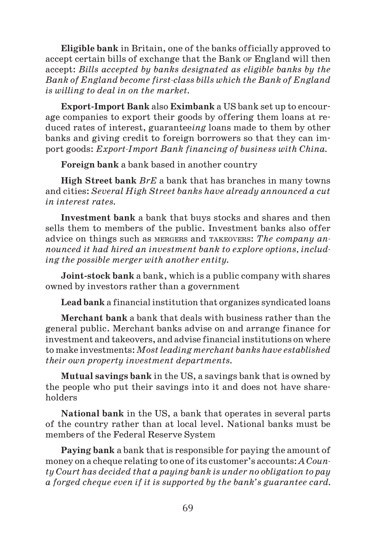**Eligible bank** in Britain, one of the banks officially approved to accept certain bills of exchange that the Bank OF England will then accept: *Bills accepted by banks designated as eligible banks by the Bank of England become firstclass bills which the Bank of England is willing to deal in on the market.*

**Export Import Bank** also **Eximbank** a US bank set up to encour age companies to export their goods by offering them loans at re duced rates of interest, guarantee*ing* loans made to them by other banks and giving credit to foreign borrowers so that they can im port goods: *Export-Import Bank financing of business with China.* 

**Foreign bank** a bank based in another country

**High Street bank** *BrE* a bank that has branches in many towns and cities: *Several High Street banks have already announced a cut in interest rates.*

**Investment bank** a bank that buys stocks and shares and then sells them to members of the public. Investment banks also offer advice on things such as MERGERS and TAKEOVERS: *The company an nounced it had hired an investment bank to explore options, includ ing the possible merger with another entity.*

**Joint stock bank** a bank, which is a public company with shares owned by investors rather than a government

**Lead bank** a financial institution that organizes syndicated loans

**Merchant bank** a bank that deals with business rather than the general public. Merchant banks advise on and arrange finance for investment and takeovers, and advise financial institutions on where to make investments: *Most leading merchant banks have established their own property investment departments.*

**Mutual savings bank** in the US, a savings bank that is owned by the people who put their savings into it and does not have share holders

**National bank** in the US, a bank that operates in several parts of the country rather than at local level. National banks must be members of the Federal Reserve System

**Paying bank** a bank that is responsible for paying the amount of money on a cheque relating to one of its customer's accounts: *A Coun ty Court has decided that a paying bank is under no obligation to pay a forged cheque even if it is supported by the bank's guarantee card.*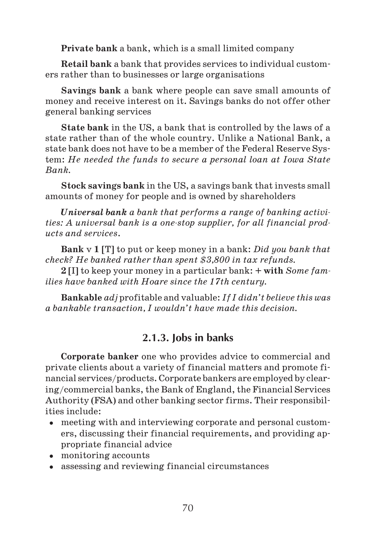**Private bank** a bank, which is a small limited company

**Retail bank** a bank that provides services to individual custom ers rather than to businesses or large organisations

**Savings bank** a bank where people can save small amounts of money and receive interest on it. Savings banks do not offer other general banking services

**State bank** in the US, a bank that is controlled by the laws of a state rather than of the whole country. Unlike a National Bank, a state bank does not have to be a member of the Federal Reserve Sys tem: *He needed the funds to secure a personal loan at Iowa State Bank.*

**Stock savings bank** in the US, a savings bank that invests small amounts of money for people and is owned by shareholders

*Universal bank a bank that performs a range of banking activi ties: A universal bank is a onestop supplier, for all financial prod ucts and services*.

**Bank** v **1** [T] to put or keep money in a bank: *Did you bank that check? He banked rather than spent \$3,800 in tax refunds.*

**2** [I] to keep your money in a particular bank: **+ with** *Some fam ilies have banked with Hoare since the 17th century.*

**Bankable** *adj* profitable and valuable: *If I didn't believe this was a bankable transaction, I wouldn't have made this decision.*

# **2.1.3. Jobs in banks**

**Corporate banker** one who provides advice to commercial and private clients about a variety of financial matters and promote fi nancial services/products. Corporate bankers are employed by clear ing/commercial banks, the Bank of England, the Financial Services Authority (FSA) and other banking sector firms. Their responsibil ities include:

- meeting with and interviewing corporate and personal custom ers, discussing their financial requirements, and providing ap propriate financial advice
- monitoring accounts
- assessing and reviewing financial circumstances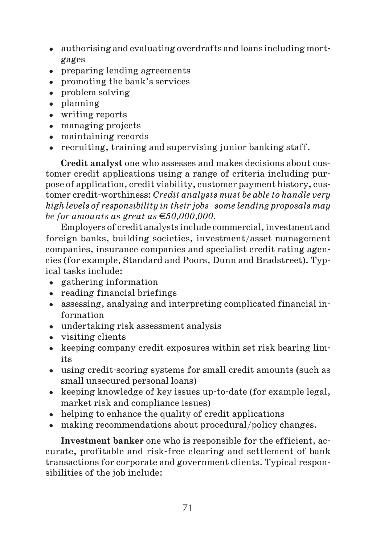- authorising and evaluating overdrafts and loans including mort gages
- preparing lending agreements
- promoting the bank's services
- problem solving
- planning
- writing reports
- managing projects
- maintaining records
- recruiting, training and supervising junior banking staff.

**Credit analyst** one who assesses and makes decisions about cus tomer credit applications using a range of criteria including pur pose of application, credit viability, customer payment history, cus tomer credit worthiness: *Credit analysts must be able to handle very high levels of responsibility in their jobs some lending proposals may be for amounts as great as 50,000,000.*

Employers of credit analysts include commercial, investment and foreign banks, building societies, investment/asset management companies, insurance companies and specialist credit rating agen cies (for example, Standard and Poors, Dunn and Bradstreet). Typ ical tasks include:

- gathering information
- reading financial briefings
- assessing, analysing and interpreting complicated financial in formation
- undertaking risk assessment analysis
- visiting clients
- keeping company credit exposures within set risk bearing limits
- using credit scoring systems for small credit amounts (such as small unsecured personal loans)
- keeping knowledge of key issues up-to-date (for example legal, market risk and compliance issues)
- helping to enhance the quality of credit applications
- making recommendations about procedural/policy changes.

**Investment banker** one who is responsible for the efficient, ac curate, profitable and risk free clearing and settlement of bank transactions for corporate and government clients. Typical respon sibilities of the job include: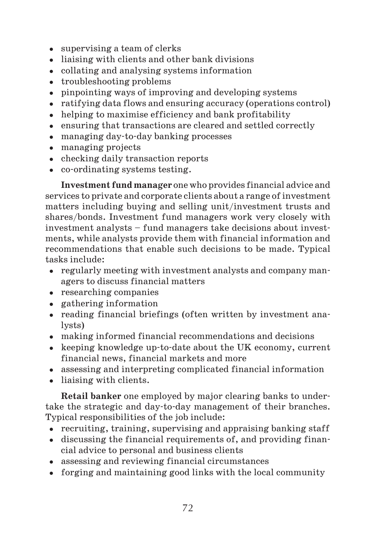- supervising a team of clerks
- liaising with clients and other bank divisions
- collating and analysing systems information
- troubleshooting problems
- pinpointing ways of improving and developing systems
- ratifying data flows and ensuring accuracy (operations control)
- helping to maximise efficiency and bank profitability
- ensuring that transactions are cleared and settled correctly
- managing day to day banking processes
- managing projects
- checking daily transaction reports
- co ordinating systems testing.

**Investment fund manager** one who provides financial advice and services to private and corporate clients about a range of investment matters including buying and selling unit/investment trusts and shares/bonds. Investment fund managers work very closely with investment analysts – fund managers take decisions about invest ments, while analysts provide them with financial information and recommendations that enable such decisions to be made. Typical tasks include:

- regularly meeting with investment analysts and company man agers to discuss financial matters
- researching companies
- gathering information
- reading financial briefings (often written by investment ana lysts)
- making informed financial recommendations and decisions
- keeping knowledge up-to-date about the UK economy, current financial news, financial markets and more
- assessing and interpreting complicated financial information
- liaising with clients.

**Retail banker** one employed by major clearing banks to under take the strategic and day to day management of their branches. Typical responsibilities of the job include:

- recruiting, training, supervising and appraising banking staff
- discussing the financial requirements of, and providing finan cial advice to personal and business clients
- assessing and reviewing financial circumstances
- forging and maintaining good links with the local community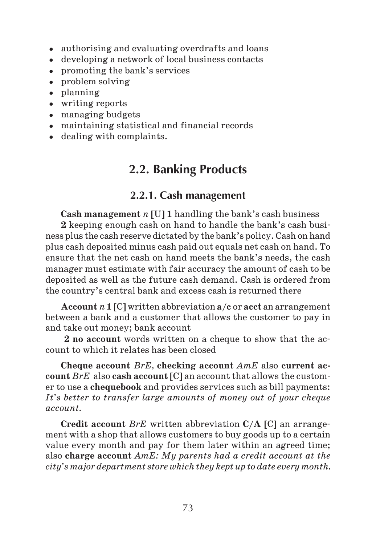- authorising and evaluating overdrafts and loans
- developing a network of local business contacts
- promoting the bank's services
- problem solving
- planning
- writing reports
- managing budgets
- maintaining statistical and financial records
- dealing with complaints.

## **2.2. Banking Products**

### **2.2.1. Cash management**

**Cash management** *n* [U] **1** handling the bank's cash business **2** keeping enough cash on hand to handle the bank's cash busi ness plus the cash reserve dictated by the bank's policy. Cash on hand plus cash deposited minus cash paid out equals net cash on hand. To ensure that the net cash on hand meets the bank's needs, the cash manager must estimate with fair accuracy the amount of cash to be deposited as well as the future cash demand. Cash is ordered from the country's central bank and excess cash is returned there

**Account** *n* **1** [C] written abbreviation **a/c** or **acct** an arrangement between a bank and a customer that allows the customer to pay in and take out money; bank account

**2 no account** words written on a cheque to show that the ac count to which it relates has been closed

**Cheque account** *BrE,* **checking account** *AmE* also **current ac count** *BrE* also **cash account** [C] an account that allows the custom er to use a **chequebook** and provides services such as bill payments: *It's better to transfer large amounts of money out of your cheque account.*

**Credit account** *BrE* written abbreviation **C/A** [C] an arrange ment with a shop that allows customers to buy goods up to a certain value every month and pay for them later within an agreed time; also **charge account** *AmE: My parents had a credit account at the city's major department store which they kept up to date every month.*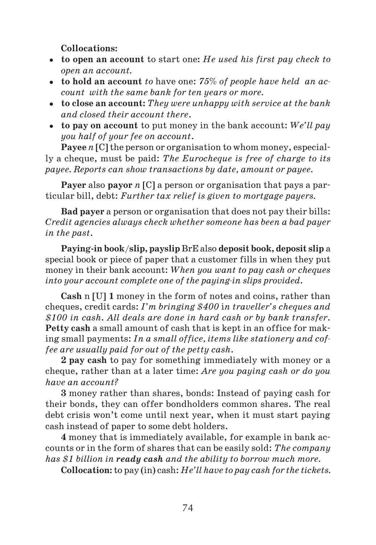**Collocations:**

- **to open an account** to start one**:** *He used his first pay check to open an account.*
- **to hold an account** *to* have one: *75% of people have held an ac count with the same bank for ten years or more.*
- **to close an account:** *They were unhappy with service at the bank and closed their account there*.
- **to pay on account** to put money in the bank account: *We'll pay you half of your fee on account*.

**Payee** *n* [C] the person or organisation to whom money, especial ly a cheque, must be paid: *The Eurocheque is free of charge to its payee. Reports can show transactions by date, amount or payee.*

**Payer** also **payor** *n* [C] a person or organisation that pays a par ticular bill, debt: *Further tax relief is given to mortgage payers.*

**Bad payer** a person or organisation that does not pay their bills: *Credit agencies always check whether someone has been a bad payer in the past*.

**Paying in book**/**slip, payslip** BrE also **deposit book, deposit slip** a special book or piece of paper that a customer fills in when they put money in their bank account: *When you want to pay cash or cheques into your account complete one of the paying-in slips provided.* 

**Cash** n [U] **1** money in the form of notes and coins, rather than cheques, credit cards: *I'm bringing \$400* i*n traveller's cheques and \$100 in cash*. *All deals are done in hard cash or by bank transfer*. **Petty cash** a small amount of cash that is kept in an office for mak ing small payments: *In a small office, items like stationery and cof fee are usually paid for out of the petty cash*.

**2 pay cash** to pay for something immediately with money or a cheque, rather than at a later time: *Are you paying cash or do you have an account?*

**3** money rather than shares, bonds: Instead of paying cash for their bonds, they can offer bondholders common shares. The real debt crisis won't come until next year, when it must start paying cash instead of paper to some debt holders.

**4** money that is immediately available, for example in bank ac counts or in the form of shares that can be easily sold: *The company has \$1 billion in ready cash and the ability to borrow much more.*

**Collocation:** to pay (in) cash: *He'll have to pay cash for the tickets.*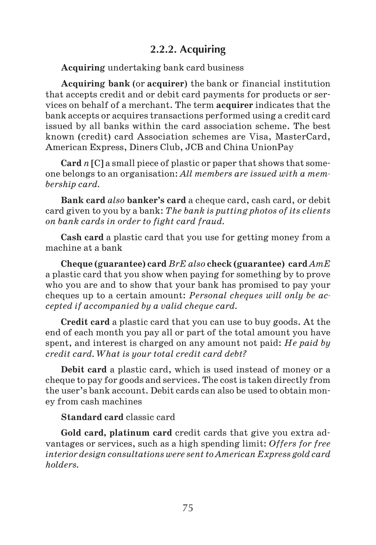## **2.2.2. Acquiring**

**Acquiring** undertaking bank card business

**Acquiring bank** (or **acquirer**) the bank or financial institution that accepts credit and or debit card payments for products or ser vices on behalf of a merchant. The term **acquirer** indicates that the bank accepts or acquires transactions performed using a credit card issued by all banks within the card association scheme. The best known (credit) card Association schemes are Visa, MasterCard, American Express, Diners Club, JCB and China UnionPay

**Card** *n* [C] a small piece of plastic or paper that shows that some one belongs to an organisation: *All members are issued with a mem bership card.*

**Bank card** *also* **banker's card** a cheque card, cash card, or debit card given to you by a bank: *The bank is putting photos of its clients on bank cards in order to fight card fraud.*

**Cash card** a plastic card that you use for getting money from a machine at a bank

**Cheque (guarantee) card** *BrE also* **check (guarantee) card** *AmE* a plastic card that you show when paying for something by to prove who you are and to show that your bank has promised to pay your cheques up to a certain amount: *Personal cheques will only be ac cepted if accompanied by a valid cheque card.*

**Credit card** a plastic card that you can use to buy goods. At the end of each month you pay all or part of the total amount you have spent, and interest is charged on any amount not paid: *He paid by credit card. What is your total credit card debt?*

**Debit card** a plastic card, which is used instead of money or a cheque to pay for goods and services. The cost is taken directly from the user's bank account. Debit cards can also be used to obtain mon ey from cash machines

#### **Standard card** classic card

**Gold card, platinum card** credit cards that give you extra ad vantages or services, such as a high spending limit: *Offers for free interior design consultations were sent to American Express gold card holders.*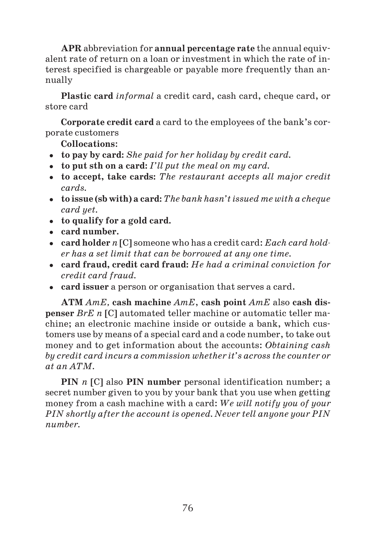**APR** abbreviation for **annual percentage rate** the annual equiv alent rate of return on a loan or investment in which the rate of in terest specified is chargeable or payable more frequently than an nually

**Plastic card** *informal* a credit card, cash card, cheque card, or store card

**Corporate credit card** a card to the employees of the bank's cor porate customers

**Collocations**:

- **to pay by card:** *She paid for her holiday by credit card.*
- **to put sth on a card:** *I'll put the meal on my card.*
- **to accept, take cards:** *The restaurant accepts all major credit cards.*
- **to issue (sb with) a card:** *The bank hasn't issued me with a cheque card yet.*
- **to qualify for a gold card.**
- **card number.**
- **card holder** *n* [C] someone who has a credit card: *Each card hold er has a set limit that can be borrowed at any one time.*
- **card fraud, credit card fraud:** *He had a criminal conviction for credit card fraud.*
- **card issuer** a person or organisation that serves a card.

**ATM** *AmE,* **cash machine** *AmE*, **cash point** *AmE* also **cash dis penser** *BrE n* [C] automated teller machine or automatic teller machine; an electronic machine inside or outside a bank, which cus tomers use by means of a special card and a code number, to take out money and to get information about the accounts: *Obtaining cash by credit card incurs a commission whether it's across the counter or at an ATM.*

**PIN** *n* [C] also **PIN number** personal identification number; a secret number given to you by your bank that you use when getting money from a cash machine with a card: *We will notify you of your PIN shortly after the account is opened. Never tell anyone your PIN number.*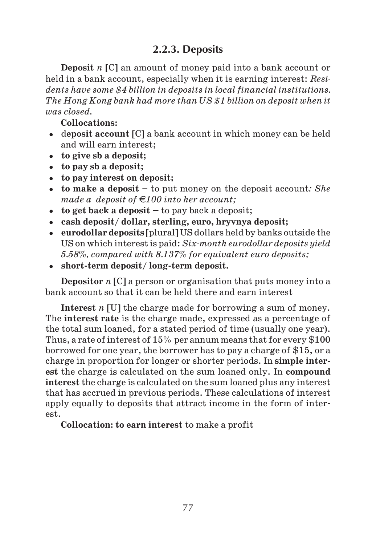## **2.2.3. Deposits**

**Deposit** *n* [C] an amount of money paid into a bank account or held in a bank account, especially when it is earning interest: *Resi dents have some \$4 billion in deposits in local financial institutions. The Hong Kong bank had more than US \$1 billion on deposit when it was closed.*

**Collocations:**

- d**eposit account** [C] a bank account in which money can be held and will earn interest;
- **to give sb a deposit;**
- **to pay sb a deposit;**
- **to pay interest on deposit;**
- **to make a deposit** to put money on the deposit account*: She made a deposit of 100 into her account;*
- **to get back a deposit** to pay back a deposit;
- **cash deposit/ dollar, sterling, euro, hryvnya deposit;**
- **eurodollar deposits** [plural] US dollars held by banks outside the US on which interest is paid: *Six-month eurodollar deposits yield 5.58%, compared with 8.137% for equivalent euro deposits;*
- **short term deposit/ long term deposit.**

**Depositor** *n* [C] a person or organisation that puts money into a bank account so that it can be held there and earn interest

**Interest** *n* [U] the charge made for borrowing a sum of money. The **interest rate** is the charge made, expressed as a percentage of the total sum loaned, for a stated period of time (usually one year). Thus, a rate of interest of 15% per annum means that for every \$100 borrowed for one year, the borrower has to pay a charge of \$15, or a charge in proportion for longer or shorter periods. In **simple inter est** the charge is calculated on the sum loaned only. In **compound interest** the charge is calculated on the sum loaned plus any interest that has accrued in previous periods. These calculations of interest apply equally to deposits that attract income in the form of inter est.

**Collocation: to earn interest** to make a profit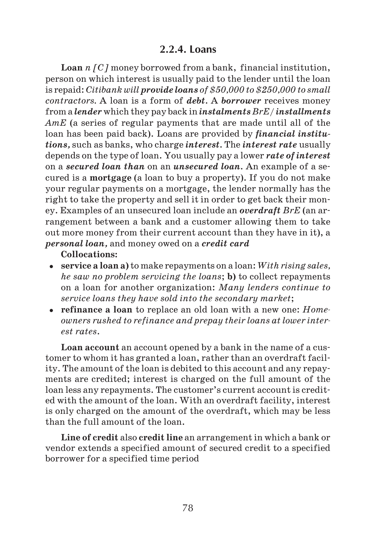### **2.2.4. Loans**

**Loan** *n [C]* money borrowed from a bank, financial institution, person on which interest is usually paid to the lender until the loan is repaid: *Citibank will provide loans of \$50,000 to \$250,000 to small contractors.* A loan is a form of *debt.* A *borrower* receives money from a *lender* which they pay back in *instalments BrE/ installments AmE* (a series of regular payments that are made until all of the loan has been paid back). Loans are provided by *financial institutions,* such as banks, who charge *interest.* The *interest rate* usually depends on the type of loan. You usually pay a lower *rate of interest* on a *secured loan than* on an *unsecured loan.* An example of a se cured is a **mortgage** (a loan to buy a property). If you do not make your regular payments on a mortgage, the lender normally has the right to take the property and sell it in order to get back their mon ey. Examples of an unsecured loan include an *overdraft BrE* (an ar rangement between a bank and a customer allowing them to take out more money from their current account than they have in it), a *personal loan,* and money owed on a *credit card*

**Collocations:**

- **service a loan a)** to make repayments on a loan: *With rising sales, he saw no problem servicing the loans*; **b)** to collect repayments on a loan for another organization: *Many lenders continue to service loans they have sold into the secondary market*;
- **refinance a loan** to replace an old loan with a new one: *Home owners rushed to refinance and prepay their loans at lower inter est rates*.

**Loan account** an account opened by a bank in the name of a cus tomer to whom it has granted a loan, rather than an overdraft facil ity. The amount of the loan is debited to this account and any repay ments are credited; interest is charged on the full amount of the loan less any repayments. The customer's current account is credit ed with the amount of the loan. With an overdraft facility, interest is only charged on the amount of the overdraft, which may be less than the full amount of the loan.

**Line of credit** also **credit line** an arrangement in which a bank or vendor extends a specified amount of secured credit to a specified borrower for a specified time period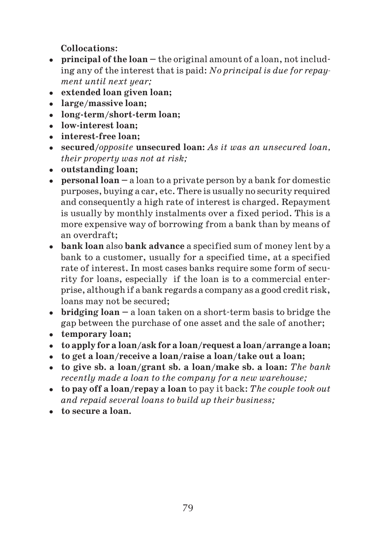**Collocations**:

- **principal of the loan** the original amount of a loan, not includ ing any of the interest that is paid: *No principal is due for repay ment until next year;*
- **extended loan given loan;**
- **large/massive loan;**
- **long term/short term loan;**
- **low interest loan;**
- **interest free loan;**
- **secured/***opposite* **unsecured loan:** *As it was an unsecured loan, their property was not at risk;*
- **outstanding loan;**
- **personal loan** a loan to a private person by a bank for domestic purposes, buying a car, etc. There is usually no security required and consequently a high rate of interest is charged. Repayment is usually by monthly instalments over a fixed period. This is a more expensive way of borrowing from a bank than by means of an overdraft;
- **bank loan** also **bank advance** a specified sum of money lent by a bank to a customer, usually for a specified time, at a specified rate of interest. In most cases banks require some form of secu rity for loans, especially if the loan is to a commercial enter prise, although if a bank regards a company as a good credit risk, loans may not be secured;
- **bridging loan** a loan taken on a short term basis to bridge the gap between the purchase of one asset and the sale of another;
- **temporary loan;**
- **to apply for a loan/ask for a loan/request a loan/arrange a loan;**
- **to get a loan/receive a loan/raise a loan/take out a loan;**
- **to give sb. a loan/grant sb. a loan/make sb. a loan:** *The bank recently made a loan to the company for a new warehouse;*
- **to pay off a loan/repay a loan** to pay it back: *The couple took out and repaid several loans to build up their business;*
- **to secure a loan.**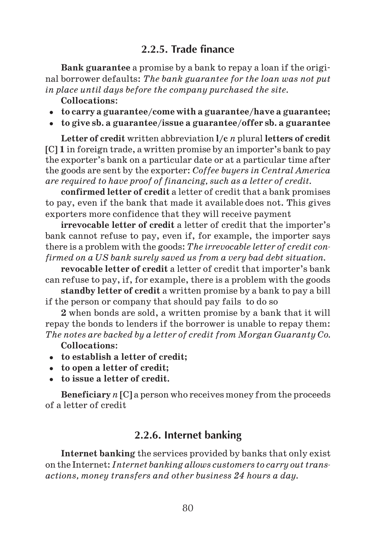## **2.2.5. Trade finance**

**Bank guarantee** a promise by a bank to repay a loan if the origi nal borrower defaults: *The bank guarantee for the loan was not put in place until days before the company purchased the site.*

**Collocations**:

- **to carry a guarantee/come with a guarantee/have a guarantee;**
- **to give sb. a guarantee/issue a guarantee/offer sb. a guarantee**

**Letter of credit** written abbreviation **l/c** *n* plural **letters of credit** [C] **1** in foreign trade, a written promise by an importer's bank to pay the exporter's bank on a particular date or at a particular time after the goods are sent by the exporter: *Coffee buyers in Central America are required to have proof of financing, such as a letter of credit.*

**confirmed letter of credit** a letter of credit that a bank promises to pay, even if the bank that made it available does not. This gives exporters more confidence that they will receive payment

**irrevocable letter of credit** a letter of credit that the importer's bank cannot refuse to pay, even if, for example, the importer says there is a problem with the goods: *The irrevocable letter of credit con firmed on a US bank surely saved us from a very bad debt situation.*

**revocable letter of credit** a letter of credit that importer's bank can refuse to pay, if, for example, there is a problem with the goods

**standby letter of credit** a written promise by a bank to pay a bill if the person or company that should pay fails to do so

**2** when bonds are sold, a written promise by a bank that it will repay the bonds to lenders if the borrower is unable to repay them: *The notes are backed by a letter of credit from Morgan Guaranty Co.*

**Collocations**:

- **to establish a letter of credit;**
- **to open a letter of credit;**
- **to issue a letter of credit.**

**Beneficiary** *n* [C] a person who receives money from the proceeds of a letter of credit

#### **2.2.6. Internet banking**

**Internet banking** the services provided by banks that only exist on the Internet: *Internet banking allows customers to carry out trans actions, money transfers and other business 24 hours a day.*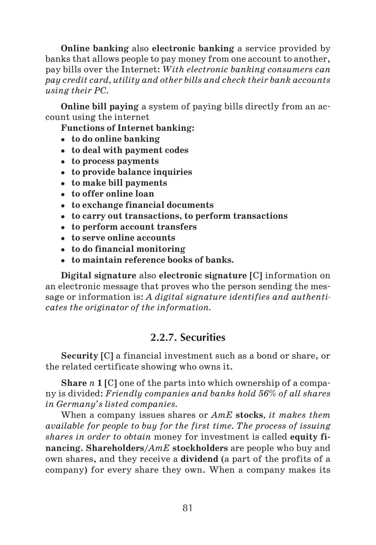**Online banking** also **electronic banking** a service provided by banks that allows people to pay money from one account to another, pay bills over the Internet: *With electronic banking consumers can pay credit card, utility and other bills and check their bank accounts using their PC.*

**Online bill paying** a system of paying bills directly from an ac count using the internet

**Functions of Internet banking:**

- **to do online banking**
- **to deal with payment codes**
- **to process payments**
- **to provide balance inquiries**
- **to make bill payments**
- **to offer online loan**
- **to exchange financial documents**
- **to carry out transactions, to perform transactions**
- **to perform account transfers**
- **to serve online accounts**
- **to do financial monitoring**
- **to maintain reference books of banks.**

**Digital signature** also **electronic signature** [C] information on an electronic message that proves who the person sending the mes sage or information is: *A digital signature identifies and authenti cates the originator of the information.*

## **2.2.7. Securities**

**Security** [C] a financial investment such as a bond or share, or the related certificate showing who owns it.

**Share** *n* **1** [C] one of the parts into which ownership of a compa ny is divided: *Friendly companies and banks hold 56% of all shares in Germany's listed companies.*

When a company issues shares or *AmE* **stocks***, it makes them available for people to buy for the first time. The process of issuing shares in order to obtain* money for investment is called **equity fi nancing. Shareholders/***AmE* **stockholders** are people who buy and own shares, and they receive a **dividend** (a part of the profits of a company) for every share they own. When a company makes its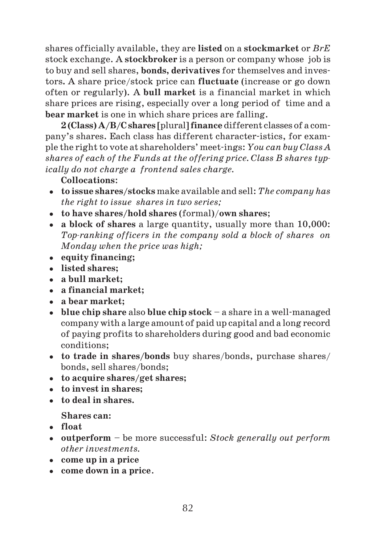shares officially available, they are **listed** on a **stockmarket** or *BrE* stock exchange. A **stockbroker** is a person or company whose job is to buy and sell shares, **bonds, derivatives** for themselves and inves tors**.** A share price/stock price can **fluctuate** (increase or go down often or regularly). A **bull market** is a financial market in which share prices are rising, especially over a long period of time and a **bear market** is one in which share prices are falling.

**2 (Class) A/B/C shares** [plural] **finance** different classes of a com pany's shares. Each class has different character-istics, for exam ple the right to vote at shareholders' meet-ings: *You can buy Class A shares of each of the Funds at the offering price. Class B shares typ ically do not charge a frontend sales charge.*

#### **Collocations**:

- **to issue shares/stocks** make available and sell: *The company has the right to issue shares in two series;*
- **to have shares/hold shares** (formal)/**own shares**;
- **a block of shares** a large quantity, usually more than 10,000: *Topranking officers in the company sold a block of shares on Monday when the price was high;*
- **equity financing;**
- **listed shares;**
- **a bull market;**
- **a financial market;**
- **a bear market;**
- **blue chip share** also **blue chip stock** a share in a well managed company with a large amount of paid up capital and a long record of paying profits to shareholders during good and bad economic conditions;
- **to trade in shares/bonds** buy shares/bonds, purchase shares/ bonds, sell shares/bonds;
- **to acquire shares/get shares;**
- **to invest in shares;**
- **to deal in shares.**

**Shares can:**

- **float**
- **outperform** be more successful: *Stock generally out perform other investments.*
- **come up in a price**
- **come down in a price**.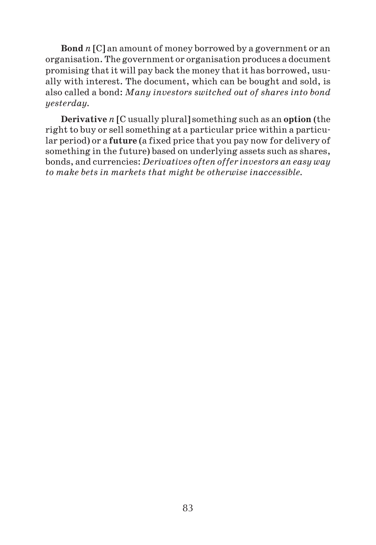**Bond** *n* [C] an amount of money borrowed by a government or an organisation. The government or organisation produces a document promising that it will pay back the money that it has borrowed, usu ally with interest. The document, which can be bought and sold, is also called a bond: *Many investors switched out of shares into bond yesterday.*

**Derivative** *n* [C usually plural] something such as an **option** (the right to buy or sell something at a particular price within a particu lar period) or a **future** (a fixed price that you pay now for delivery of something in the future) based on underlying assets such as shares, bonds, and currencies: *Derivatives often offer investors an easy way to make bets in markets that might be otherwise inaccessible.*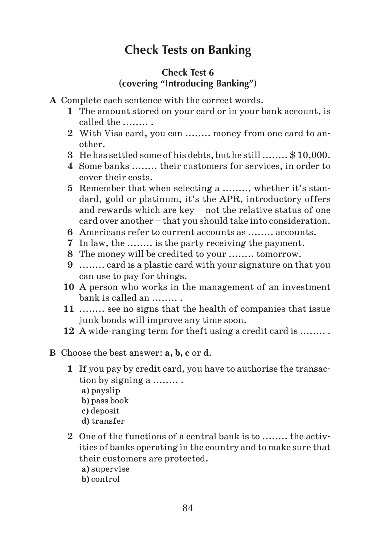## **Check Tests on Banking**

### **Check Test 6 (covering "Introducing Banking")**

- **A** Complete each sentence with the correct words.
	- **1** The amount stored on your card or in your bank account, is called the ........ .
	- **2** With Visa card, you can ........ money from one card to an other.
	- **3** He has settled some of his debts, but he still ........ \$ 10,000.
	- **4** Some banks ........ their customers for services, in order to cover their costs.
	- **5** Remember that when selecting a ........, whether it's stan dard, gold or platinum, it's the APR, introductory offers and rewards which are key – not the relative status of one card over another – that you should take into consideration.
	- **6** Americans refer to current accounts as ........ accounts.
	- **7** In law, the ........ is the party receiving the payment.
	- **8** The money will be credited to your ........ tomorrow.
	- **9** ........ card is a plastic card with your signature on that you can use to pay for things.
	- **10** A person who works in the management of an investment bank is called an ........ .
	- **11** ........ see no signs that the health of companies that issue junk bonds will improve any time soon.
	- **12** A wide ranging term for theft using a credit card is ........ .

#### **B** Choose the best answer: **a, b, c** or **d**.

- **1** If you pay by credit card, you have to authorise the transac tion by signing a ........ .
	- **a)** payslip
	- **b)** pass book
	- **c)** deposit
	- **d)** transfer
- **2** One of the functions of a central bank is to ........ the activ ities of banks operating in the country and to make sure that their customers are protected.
	- **a)** supervise
	- **b)** control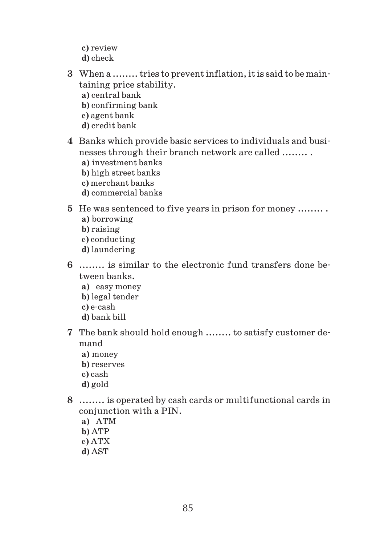- **c)** review
- **d)** check
- **3** When a ........ tries to prevent inflation, it is said to be main taining price stability.
	- **a)** central bank
	- **b)** confirming bank
	- **c)** agent bank
	- **d)** credit bank
- **4** Banks which provide basic services to individuals and busi nesses through their branch network are called ........ .
	- **a)** investment banks
	- **b)** high street banks
	- **c)** merchant banks
	- **d)** commercial banks

#### **5** He was sentenced to five years in prison for money ........ .

- **a)** borrowing
- **b)** raising
- **c)** conducting
- **d)** laundering
- **6** ........ is similar to the electronic fund transfers done be tween banks.
	- **a)** easy money
	- **b)** legal tender
	- **c)** e cash
	- **d)** bank bill
- **7** The bank should hold enough ........ to satisfy customer de mand
	- **a)** money
	- **b)** reserves
	- **c)** cash
	- **d)** gold
- **8** ........ is operated by cash cards or multifunctional cards in conjunction with a PIN.
	- **a)** ATM
	- **b)** ATP
	- **c)** ATX
	- **d)** AST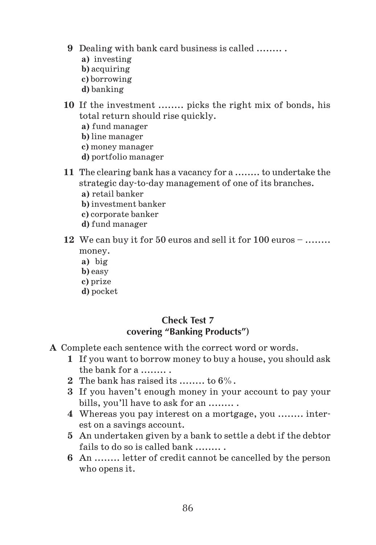- **9** Dealing with bank card business is called ........ .
	- **a)** investing
	- **b)** acquiring
	- **c)** borrowing
	- **d)** banking
- **10** If the investment ........ picks the right mix of bonds, his total return should rise quickly.
	- **a)** fund manager
	- **b)** line manager
	- **c)** money manager
	- **d)** portfolio manager
- **11** The clearing bank has a vacancy for a ........ to undertake the strategic day to day management of one of its branches.
	- **a)** retail banker
	- **b)** investment banker
	- **c)** corporate banker
	- **d)** fund manager
- **12** We can buy it for 50 euros and sell it for 100 euros ........ money.
	- **a)** big
	- **b)** easy
	- **c)** prize
	- **d)** pocket

### **Check Test 7 covering "Banking Products")**

- **A** Complete each sentence with the correct word or words.
	- **1** If you want to borrow money to buy a house, you should ask the bank for a  $\ldots$ ...
	- **2** The bank has raised its ........ to  $6\%$ .
	- **3** If you haven't enough money in your account to pay your bills, you'll have to ask for an ........
	- **4** Whereas you pay interest on a mortgage, you ........ inter est on a savings account.
	- **5** An undertaken given by a bank to settle a debt if the debtor fails to do so is called bank ........ .
	- **6** An ........ letter of credit cannot be cancelled by the person who opens it.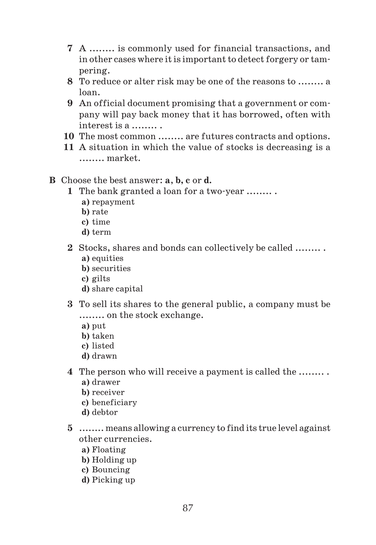- **7** A ........ is commonly used for financial transactions, and in other cases where it is important to detect forgery or tam pering.
- **8** To reduce or alter risk may be one of the reasons to ........ a loan.
- **9** An official document promising that a government or com pany will pay back money that it has borrowed, often with interest is a ........ .
- **10** The most common ........ are futures contracts and options.
- **11** A situation in which the value of stocks is decreasing is a ........ market.
- **B** Choose the best answer: **a**, **b, c** or **d.**
	- **1** The bank granted a loan for a two year ........ .
		- **a)** repayment
		- **b)** rate
		- **c)** time
		- **d)** term
	- **2** Stocks, shares and bonds can collectively be called ........ . **a)** equities
		- **b)** securities
		- **c)** gilts
		- **d)** share capital
	- **3** To sell its shares to the general public, a company must be ........ on the stock exchange.
		- **a)** put
		- **b)** taken
		- **c)** listed
		- **d)** drawn
	- **4** The person who will receive a payment is called the ........ .
		- **a)** drawer
		- **b)** receiver
		- **c)** beneficiary
		- **d)** debtor
	- **5** ........ means allowing a currency to find its true level against other currencies.
		- **a)** Floating
		- **b)** Holding up
		- **c)** Bouncing
		- **d)** Picking up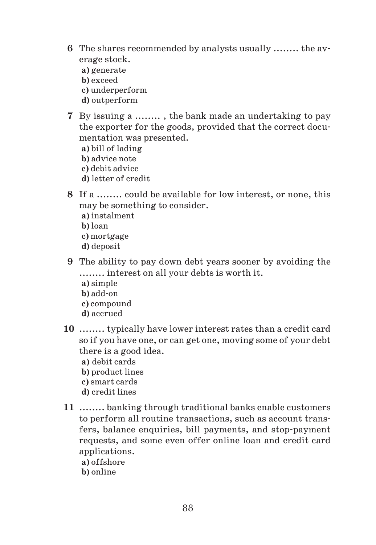- **6** The shares recommended by analysts usually ........ the av erage stock.
	- **a)** generate
	- **b)** exceed
	- **c)** underperform
	- **d)** outperform
- **7** By issuing a ........ , the bank made an undertaking to pay the exporter for the goods, provided that the correct docu mentation was presented.

**a)** bill of lading

- **b)** advice note
- **c)** debit advice
- **d)** letter of credit
- **8** If a ........ could be available for low interest, or none, this may be something to consider.
	- **a)** instalment
	- **b)** loan
	- **c)** mortgage
	- **d)** deposit
- **9** The ability to pay down debt years sooner by avoiding the ........ interest on all your debts is worth it.
	- **a)** simple
	- **b)** add on
	- **c)** compound
	- **d)** accrued
- **10** ........ typically have lower interest rates than a credit card so if you have one, or can get one, moving some of your debt there is a good idea.
	- **a)** debit cards
	- **b)** product lines
	- **c)** smart cards
	- **d)** credit lines
- **11** ........ banking through traditional banks enable customers to perform all routine transactions, such as account trans fers, balance enquiries, bill payments, and stop payment requests, and some even offer online loan and credit card applications.
	- **a)** offshore
	- **b)** online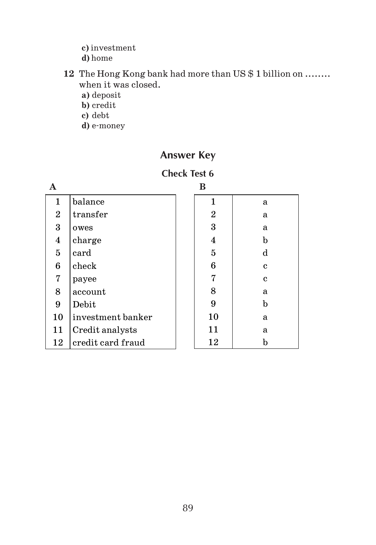**c)** investment

**d)** home

- **12** The Hong Kong bank had more than US \$ 1 billion on ........ when it was closed.
	- **a)** deposit
	- **b)** credit
	- **c)** debt
	- **d)** e money

## **Answer Key**

#### **Check Test 6 B**

|                  |                   | в              |              |
|------------------|-------------------|----------------|--------------|
| 1                | balance           | 1              | a            |
| $\boldsymbol{2}$ | transfer          | $\overline{2}$ | a            |
| 3                | owes              | 3              | a            |
| 4                | charge            | 4              | $\mathbf b$  |
| $\mathbf 5$      | card              | $\mathbf 5$    | d            |
| 6                | check             | 6              | c            |
| 7                | payee             | 7              | $\mathbf{c}$ |
| 8                | account           | 8              | a            |
| 9                | Debit             | 9              | $\mathbf b$  |
| 10               | investment banker | 10             | a            |
| 11               | Credit analysts   | 11             | a            |
| 12               | credit card fraud | 12             | b            |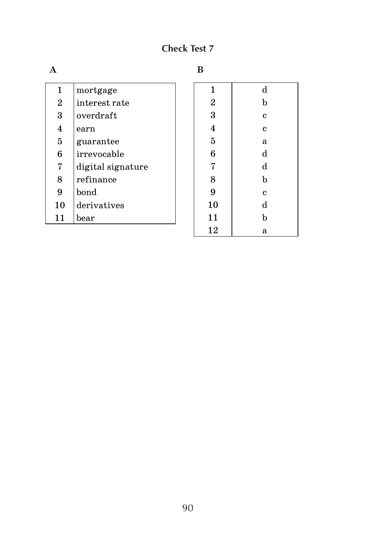## **Check Test 7**

| ٠ |
|---|

|                |                       | в              |   |
|----------------|-----------------------|----------------|---|
| 1              | mortgage              | 1              | d |
| $\overline{2}$ | interest rate         | $\overline{2}$ | h |
| 3              | overdraft             | 3              | c |
| 4              | earn                  | 4              | C |
| $\mathbf 5$    | guarantee             | $\mathbf{5}$   | a |
| 6              | irrevocable           | 6              | d |
| 7              | digital signature     | 7              | d |
| 8              | refinance             | 8              | b |
| 9              | bond                  | 9              | C |
| 10             | derivatives           | 10             | d |
| 11             | $\operatorname{bear}$ | 11             | h |
|                |                       | 12             | a |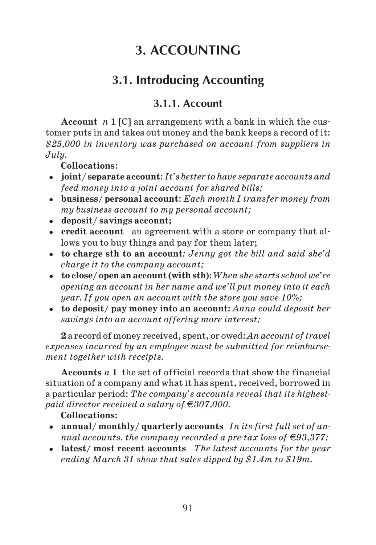# **3. ACCOUNTING**

# **3.1. Introducing Accounting**

## **3.1.1. Account**

**Account** *n* **1** [C] an arrangement with a bank in which the cus tomer puts in and takes out money and the bank keeps a record of it: *\$25,000 in inventory was purchased on account from suppliers in July.*

**Collocations**:

- **joint/ separate account**: *It's better to have separate accounts and feed money into a joint account for shared bills;*
- **business/ personal account**: *Each month I transfer money from my business account to my personal account;*
- **deposit/ savings account;**
- **credit account** an agreement with a store or company that al lows you to buy things and pay for them later;
- **to charge sth to an account***: Jenny got the bill and said she'd charge it to the company account;*
- **to close/ open an account (with sth**)**:***When she starts school we're opening an account in her name and we'll put money into it each year. If you open an account with the store you save 10%;*
- **to deposit/ pay money into an account:** *Anna could deposit her savings into an account offering more interest;*

**2** a record of money received, spent, or owed: *An account of travel expenses incurred by an employee must be submitted for reimburse ment together with receipts.*

**Accounts** *n* **1** the set of official records that show the financial situation of a company and what it has spent, received, borrowed in a particular period: *The company's accounts reveal that its highest paid director received a salary of* €307,000.

### **Collocations:**

- **annual/ monthly/ quarterly accounts** *In its first full set of an nual accounts, the company recorded a pre-tax loss of*  $\in 93,377$ *;*
- **latest/ most recent accounts** *The latest accounts for the year ending March 31 show that sales dipped by \$1.4m to \$19m.*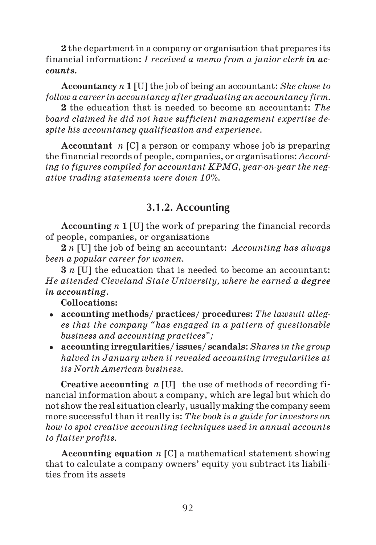**2** the department in a company or organisation that prepares its financial information: *I received a memo from a junior clerk in accounts.*

**Accountancy** *n* **1** [U] the job of being an accountant: *She chose to follow a career in accountancy after graduating an accountancy firm.*

**2** the education that is needed to become an accountant: *The board claimed he did not have sufficient management expertise de spite his accountancy qualification and experience.*

**Accountant** *n* [C] a person or company whose job is preparing the financial records of people, companies, or organisations: *Accord* ing to figures compiled for accountant KPMG, year-on-year the neg*ative trading statements were down 10%.*

## **3.1.2. Accounting**

**Accounting** *n* **1** [U] the work of preparing the financial records of people, companies, or organisations

**2** *n* [U] the job of being an accountant: *Accounting has always been a popular career for women.*

**3** *n* [U] the education that is needed to become an accountant: *He attended Cleveland State University, where he earned a degree in accounting.*

**Collocations:**

- **accounting methods/ practices/ procedures:** *The lawsuit alleg es that the company "has engaged in a pattern of questionable business and accounting practices";*
- **accounting irregularities/ issues/ scandals**: *Shares in the group halved in January when it revealed accounting irregularities at its North American business.*

**Creative accounting** *n* [U]the use of methods of recording fi nancial information about a company, which are legal but which do not show the real situation clearly, usually making the company seem more successful than it really is: *The book is a guide for investors on how to spot creative accounting techniques used in annual accounts to flatter profits.*

**Accounting equation** *n* [C] a mathematical statement showing that to calculate a company owners' equity you subtract its liabili ties from its assets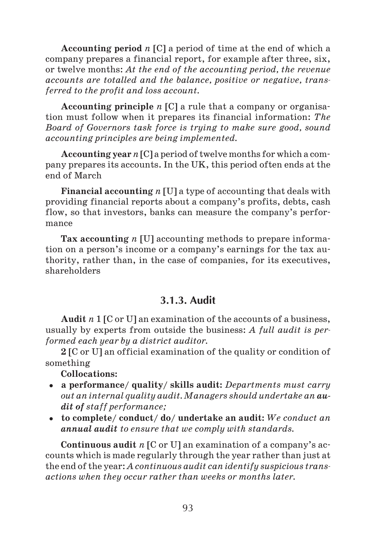**Accounting period** *n* [C] a period of time at the end of which a company prepares a financial report, for example after three, six, or twelve months: *At the end of the accounting period, the revenue accounts are totalled and the balance, positive or negative, trans ferred to the profit and loss account.*

**Accounting principle** *n* [C] a rule that a company or organisa tion must follow when it prepares its financial information: *The Board of Governors task force is trying to make sure good, sound accounting principles are being implemented.*

**Accounting year** *n* [C] a period of twelve months for which a com pany prepares its accounts. In the UK, this period often ends at the end of March

**Financial accounting** *n* [U] a type of accounting that deals with providing financial reports about a company's profits, debts, cash flow, so that investors, banks can measure the company's perfor mance

**Tax accounting** *n* [U] accounting methods to prepare informa tion on a person's income or a company's earnings for the tax au thority, rather than, in the case of companies, for its executives, shareholders

## **3.1.3. Audit**

**Audit** *n* 1 [C or U] an examination of the accounts of a business, usually by experts from outside the business: *A full audit is per formed each year by a district auditor.*

**2** [C or U] an official examination of the quality or condition of something

**Collocations:**

- **a performance/ quality/ skills audit:** *Departments must carry out an internal quality audit. Managers should undertake an au dit of staff performance;*
- **to complete/ conduct/ do/ undertake an audit:** *We conduct an annual audit to ensure that we comply with standards.*

**Continuous audit** *n* [C or U] an examination of a company's ac counts which is made regularly through the year rather than just at the end of the year: *A continuous audit can identify suspicious trans actions when they occur rather than weeks or months later.*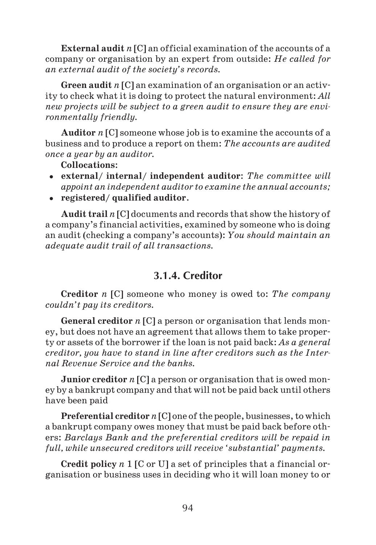**External audit** *n* [C] an official examination of the accounts of a company or organisation by an expert from outside: *He called for an external audit of the society's records.*

**Green audit** *n* [C] an examination of an organisation or an activ ity to check what it is doing to protect the natural environment: *All new projects will be subject to a green audit to ensure they are envi ronmentally friendly.*

**Auditor** *n* [C] someone whose job is to examine the accounts of a business and to produce a report on them: *The accounts are audited once a year by an auditor.*

**Collocations**:

- **external/ internal/ independent auditor**: *The committee will appoint an independent auditor to examine the annual accounts;*
- **registered/ qualified auditor**.

**Audit trail** *n* [C] documents and records that show the history of a company's financial activities, examined by someone who is doing an audit (checking a company's accounts): *You should maintain an adequate audit trail of all transactions.*

## **3.1.4. Creditor**

**Creditor** *n* [C] someone who money is owed to: *The company couldn't pay its creditors.*

**General creditor** *n* [C] a person or organisation that lends mon ey, but does not have an agreement that allows them to take proper ty or assets of the borrower if the loan is not paid back: *As a general creditor, you have to stand in line after creditors such as the Inter nal Revenue Service and the banks.*

**Junior creditor** *n* [C] a person or organisation that is owed mon ey by a bankrupt company and that will not be paid back until others have been paid

**Preferential creditor** *n* [C] one of the people, businesses, to which a bankrupt company owes money that must be paid back before oth ers: *Barclays Bank and the preferential creditors will be repaid in full, while unsecured creditors will receive 'substantial' payments.*

**Credit policy** *n* 1 [C or U] a set of principles that a financial or ganisation or business uses in deciding who it will loan money to or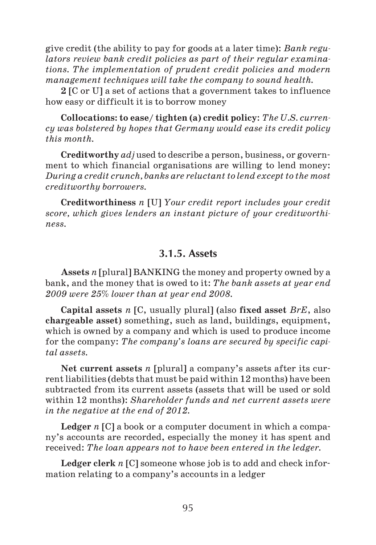give credit (the ability to pay for goods at a later time): *Bank regu lators review bank credit policies as part of their regular examina tions. The implementation of prudent credit policies and modern management techniques will take the company to sound health.*

**2** [C or U] a set of actions that a government takes to influence how easy or difficult it is to borrow money

**Collocations: to ease/ tighten (a) credit policy**: *The U.S. curren cy was bolstered by hopes that Germany would ease its credit policy this month.*

**Creditworthy** *adj* used to describe a person, business, or govern ment to which financial organisations are willing to lend money: *During a credit crunch, banks are reluctant to lend except to the most creditworthy borrowers.*

**Creditworthiness** *n* [U] *Your credit report includes your credit score, which gives lenders an instant picture of your creditworthi ness.*

#### **3.1.5. Assets**

**Assets** *n* [plural] BANKING the money and property owned by a bank, and the money that is owed to it: *The bank assets at year end 2009 were 25% lower than at year end 2008.*

**Capital assets** *n* [C, usually plural] (also **fixed asset** *BrE*, also **chargeable asset**) something, such as land, buildings, equipment, which is owned by a company and which is used to produce income for the company: *The company's loans are secured by specific capi tal assets.*

**Net current assets** *n* [plural] a company's assets after its current liabilities (debts that must be paid within 12 months) have been subtracted from its current assets (assets that will be used or sold within 12 months): *Shareholder funds and net current assets were in the negative at the end of 2012.*

**Ledger** *n* [C] a book or a computer document in which a compa ny's accounts are recorded, especially the money it has spent and received: *The loan appears not to have been entered in the ledger.*

**Ledger clerk** *n* [C] someone whose job is to add and check infor mation relating to a company's accounts in a ledger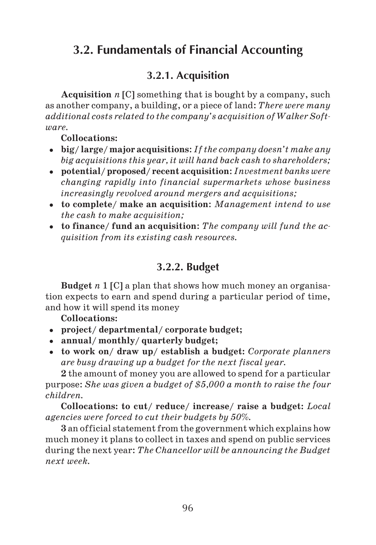# **3.2. Fundamentals of Financial Accounting**

## **3.2.1. Acquisition**

**Acquisition** *n* [C] something that is bought by a company, such as another company, a building, or a piece of land: *There were many additional costs related to the company's acquisition of Walker Soft ware.*

#### **Collocations:**

- **big/ large/ major acquisitions**: *If the company doesn't make any big acquisitions this year, it will hand back cash to shareholders;*
- **potential/ proposed/ recent acquisition**: *Investment banks were changing rapidly into financial supermarkets whose business increasingly revolved around mergers and acquisitions;*
- **to complete/ make an acquisition**: *Management intend to use the cash to make acquisition;*
- **to finance/ fund an acquisition**: *The company will fund the ac quisition from its existing cash resources.*

## **3.2.2. Budget**

**Budget** *n* 1 [C] a plan that shows how much money an organisa tion expects to earn and spend during a particular period of time, and how it will spend its money

### **Collocations:**

- **project/ departmental/ corporate budget;**
- **annual/ monthly/ quarterly budget;**
- **to work on/ draw up/ establish a budget:** *Corporate planners are busy drawing up a budget for the next fiscal year.*

**2** the amount of money you are allowed to spend for a particular purpose: *She was given a budget of \$5,000 a month to raise the four children.*

**Collocations: to cut/ reduce/ increase/ raise a budget:** *Local agencies were forced to cut their budgets by 50%.*

**3** an official statement from the government which explains how much money it plans to collect in taxes and spend on public services during the next year: *The Chancellor will be announcing the Budget next week.*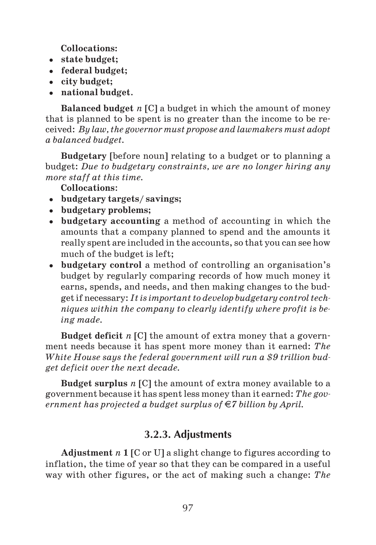**Collocations:**

- **state budget;**
- **federal budget;**
- **city budget;**
- **national budget**.

**Balanced budget** *n* [C] a budget in which the amount of money that is planned to be spent is no greater than the income to be re ceived: *By law, the governor must propose and lawmakers must adopt a balanced budget.*

**Budgetary** [before noun] relating to a budget or to planning a budget: *Due to budgetary constraints, we are no longer hiring any more staff at this time.*

**Collocations**:

- **budgetary targets/ savings;**
- **budgetary problems;**
- **budgetary accounting** a method of accounting in which the amounts that a company planned to spend and the amounts it really spent are included in the accounts, so that you can see how much of the budget is left;
- **budgetary control** a method of controlling an organisation's budget by regularly comparing records of how much money it earns, spends, and needs, and then making changes to the bud get if necessary: *It is important to develop budgetary control tech niques within the company to clearly identify where profit is be ing made.*

**Budget deficit** *n* [C] the amount of extra money that a govern ment needs because it has spent more money than it earned: *The White House says the federal government will run a \$9 trillion bud get deficit over the next decade.*

**Budget surplus** *n* [C] the amount of extra money available to a government because it has spent less money than it earned: *The gov ernment has projected a budget surplus of*  $\in$ *7 billion by April.* 

## **3.2.3. Adjustments**

**Adjustment** *n* **1** [C or U] a slight change to figures according to inflation, the time of year so that they can be compared in a useful way with other figures, or the act of making such a change: *The*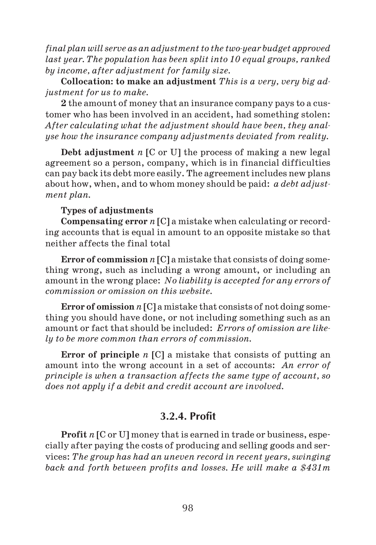*final plan will serve as an adjustment to the two-year budget approved last year. The population has been split into 10 equal groups, ranked by income, after adjustment for family size.*

**Collocation: to make an adjustment** *This is a very, very big ad justment for us to make.*

**2** the amount of money that an insurance company pays to a cus tomer who has been involved in an accident, had something stolen: *After calculating what the adjustment should have been, they anal yse how the insurance company adjustments deviated from reality.*

**Debt adjustment** *n* [C or U] the process of making a new legal agreement so a person, company, which is in financial difficulties can pay back its debt more easily. The agreement includes new plans about how, when, and to whom money should be paid: *a debt adjust ment plan.*

#### **Types of adjustments**

**Compensating error** *n* [C] a mistake when calculating or record ing accounts that is equal in amount to an opposite mistake so that neither affects the final total

**Error of commission** *n* [C] a mistake that consists of doing some thing wrong, such as including a wrong amount, or including an amount in the wrong place: *No liability is accepted for any errors of commission or omission on this website.*

**Error of omission** *n* [C] a mistake that consists of not doing some thing you should have done, or not including something such as an amount or fact that should be included: *Errors of omission are like ly to be more common than errors of commission.*

**Error of principle** *n* [C] a mistake that consists of putting an amount into the wrong account in a set of accounts: *An error of principle is when a transaction affects the same type of account, so does not apply if a debit and credit account are involved.*

#### **3.2.4. Profit**

**Profit** *n* [C or U] money that is earned in trade or business, espe cially after paying the costs of producing and selling goods and ser vices: *The group has had an uneven record in recent years, swinging back and forth between profits and losses. He will make a \$431m*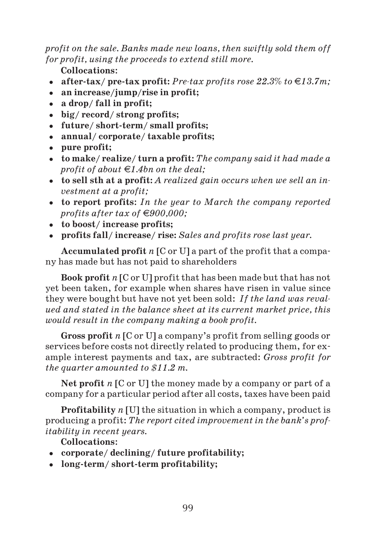*profit on the sale. Banks made new loans, then swiftly sold them off for profit, using the proceeds to extend still more.*

**Collocations**:

- after-tax/ pre-tax profit: Pre-tax profits rose  $22.3\%$  to  $\in$ 13.7m;
- **an increase/jump/rise in profit;**
- **a drop/ fall in profit;**
- **big/ record/ strong profits;**
- **future/ short term/ small profits;**
- **annual/ corporate/ taxable profits;**
- **pure profit;**
- **to make/ realize/ turn a profit:** *The company said it had made a profit of about* €1.4*bn on the deal*;
- **to sell sth at a profit:** *A realized gain occurs when we sell an in vestment at a profit;*
- **to report profits**: *In the year to March the company reported profits after tax of*  $\in$ 900,000;
- **to boost/ increase profits;**
- **profits fall/ increase/ rise:** *Sales and profits rose last year.*

**Accumulated profit** *n* [C or U] a part of the profit that a compa ny has made but has not paid to shareholders

**Book profit** *n* [C or U] profit that has been made but that has not yet been taken, for example when shares have risen in value since they were bought but have not yet been sold: *If the land was reval ued and stated in the balance sheet at its current market price, this would result in the company making a book profit.*

**Gross profit** *n* [C or U] a company's profit from selling goods or services before costs not directly related to producing them, for ex ample interest payments and tax, are subtracted: *Gross profit for the quarter amounted to \$11.2 m.*

**Net profit** *n* [C or U] the money made by a company or part of a company for a particular period after all costs, taxes have been paid

**Profitability** *n* [U] the situation in which a company, product is producing a profit: *The report cited improvement in the bank's prof itability in recent years.*

**Collocations**:

- **corporate/ declining/ future profitability;**
- **long term/ short term profitability;**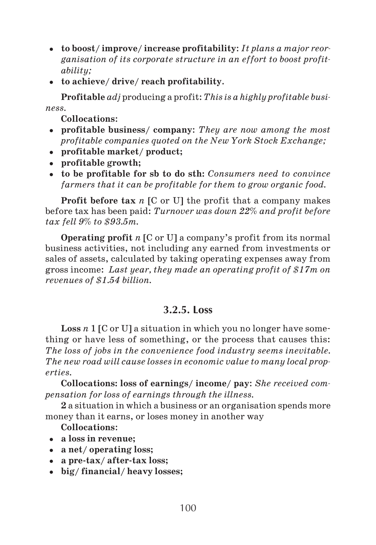- **to boost/ improve/ increase profitability**: *It plans a major reor ganisation of its corporate structure in an effort to boost profit ability;*
- **to achieve/ drive/ reach profitability**.

**Profitable** *adj* producing a profit: *This is a highly profitable busi ness.*

**Collocations**:

- **profitable business/ company**: *They are now among the most profitable companies quoted on the New York Stock Exchange;*
- **profitable market/ product;**
- **profitable growth;**
- **to be profitable for sb to do sth:** *Consumers need to convince farmers that it can be profitable for them to grow organic food.*

**Profit before tax** *n* [C or U] the profit that a company makes before tax has been paid: *Turnover was down 22% and profit before tax fell 9% to \$93.5m.*

**Operating profit** *n* [C or U] a company's profit from its normal business activities, not including any earned from investments or sales of assets, calculated by taking operating expenses away from gross income: *Last year, they made an operating profit of \$17m on revenues of \$1.54 billion.*

## **3.2.5. Loss**

**Loss** *n* 1 [C or U] a situation in which you no longer have some thing or have less of something, or the process that causes this: *The loss of jobs in the convenience food industry seems inevitable. The new road will cause losses in economic value to many local prop erties.*

**Collocations: loss of earnings/ income/ pay**: *She received com pensation for loss of earnings through the illness.*

**2** a situation in which a business or an organisation spends more money than it earns, or loses money in another way

#### **Collocations**:

- **a loss in revenue;**
- **a net/ operating loss;**
- **a pre tax/ after tax loss;**
- **big/ financial/ heavy losses;**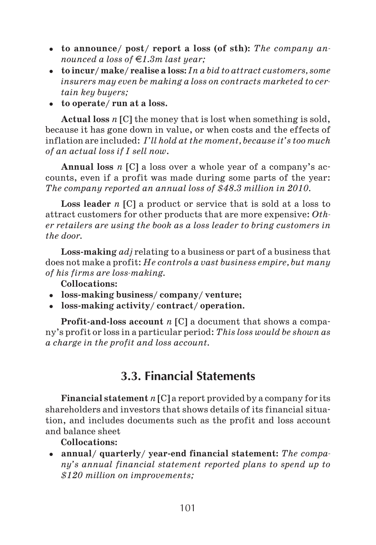- **to announce/ post/ report a loss (of sth):** *The company an nounced a loss of*  $\in$  *1.3m last year:*
- **to incur/ make/ realise a loss:** *In a bid to attract customers, some insurers may even be making a loss on contracts marketed to cer tain key buyers;*
- **to operate/ run at a loss.**

**Actual loss** *n* [C] the money that is lost when something is sold, because it has gone down in value, or when costs and the effects of inflation are included: *I'll hold at the moment, because it's too much of an actual loss if I sell now*.

**Annual loss** *n* [C] a loss over a whole year of a company's ac counts, even if a profit was made during some parts of the year: *The company reported an annual loss of \$48.3 million in 2010.*

**Loss leader** *n* [C] a product or service that is sold at a loss to attract customers for other products that are more expensive: *Oth er retailers are using the book as a loss leader to bring customers in the door.*

**Loss making** *adj* relating to a business or part of a business that does not make a profit: *He controls a vast business empire, but many of his firms are lossmaking.*

**Collocations:**

- **loss making business/ company/ venture;**
- **loss making activity/ contract/ operation.**

**Profit and loss account** *n* [C] a document that shows a compa ny's profit or loss in a particular period: *This loss would be shown as a charge in the profit and loss account.*

## **3.3. Financial Statements**

**Financial statement** *n* [C] a report provided by a company for its shareholders and investors that shows details of its financial situa tion, and includes documents such as the profit and loss account and balance sheet

**Collocations:**

• annual/ quarterly/ year-end financial statement: The compa*ny's annual financial statement reported plans to spend up to \$120 million on improvements;*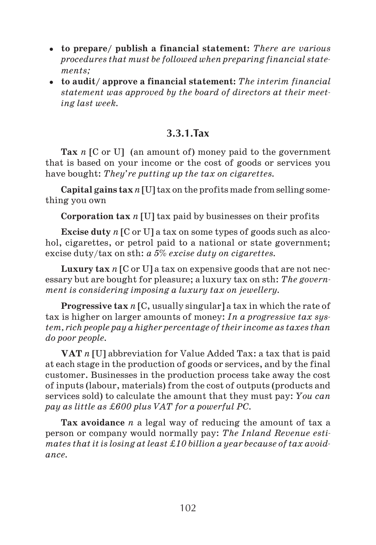- **to prepare/ publish a financial statement:** *There are various procedures that must be followed when preparing financial state ments;*
- **to audit/ approve a financial statement:** *The interim financial statement was approved by the board of directors at their meet ing last week.*

## **3.3.1.Tax**

**Tax** *n* [C or U] (an amount of) money paid to the government that is based on your income or the cost of goods or services you have bought: *They're putting up the tax on cigarettes.*

**Capital gains tax***n* [U] tax on the profits made from selling some thing you own

**Corporation tax** *n* [U] tax paid by businesses on their profits

**Excise duty** *n* [C or U] a tax on some types of goods such as alco hol, cigarettes, or petrol paid to a national or state government; excise duty/tax on sth: *a 5% excise duty on cigarettes.*

**Luxury tax** *n* [C or U] a tax on expensive goods that are not nec essary but are bought for pleasure; a luxury tax on sth: *The govern ment is considering imposing a luxury tax on jewellery.*

**Progressive tax** *n* [C, usually singular] a tax in which the rate of tax is higher on larger amounts of money: *In a progressive tax sys tem, rich people pay a higher percentage of their income as taxes than do poor people.*

**VAT** *n* [U] abbreviation for Value Added Tax: a tax that is paid at each stage in the production of goods or services, and by the final customer. Businesses in the production process take away the cost of inputs (labour, materials) from the cost of outputs (products and services sold) to calculate the amount that they must pay: *You can pay as little as ‡600 plus VAT for a powerful PC.*

**Tax avoidance** *n* a legal way of reducing the amount of tax a person or company would normally pay: *The Inland Revenue esti mates that it is losing at least ‡10 billion a year because of tax avoid ance.*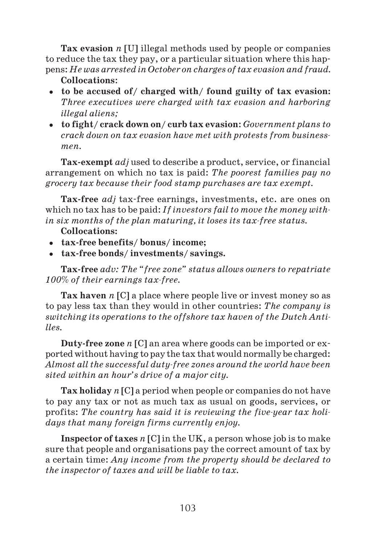**Tax evasion** *n* [U] illegal methods used by people or companies to reduce the tax they pay, or a particular situation where this hap pens: *He was arrested in October on charges of tax evasion and fraud.*

#### **Collocations**:

- **to be accused of/ charged with/ found guilty of tax evasion:** *Three executives were charged with tax evasion and harboring illegal aliens;*
- **to fight/ crack down on/ curb tax evasion**: *Government plans to crack down on tax evasion have met with protests from business men.*

**Tax exempt** *adj* used to describe a product, service, or financial arrangement on which no tax is paid: *The poorest families pay no grocery tax because their food stamp purchases are tax exempt.*

**Tax free** *adj* tax free earnings, investments, etc. are ones on which no tax has to be paid: *If investors fail to move the money with in six months of the plan maturing, it loses its taxfree status.*

#### **Collocations:**

- **tax free benefits/ bonus/ income;**
- **tax free bonds/ investments/ savings.**

**Tax free** *adv: The "free zone" status allows owners to repatriate 100% of their earnings taxfree.*

**Tax haven** *n* [C] a place where people live or invest money so as to pay less tax than they would in other countries: *The company is switching its operations to the offshore tax haven of the Dutch Anti lles.*

**Duty free zone** *n* [C] an area where goods can be imported or ex ported without having to pay the tax that would normally be charged: *Almost all the successful dutyfree zones around the world have been sited within an hour's drive of a major city.*

**Tax holiday** *n* [C] a period when people or companies do not have to pay any tax or not as much tax as usual on goods, services, or profits: The country has said it is reviewing the five-year tax holi*days that many foreign firms currently enjoy.*

**Inspector of taxes** *n* [C] in the UK, a person whose job is to make sure that people and organisations pay the correct amount of tax by a certain time: *Any income from the property should be declared to the inspector of taxes and will be liable to tax.*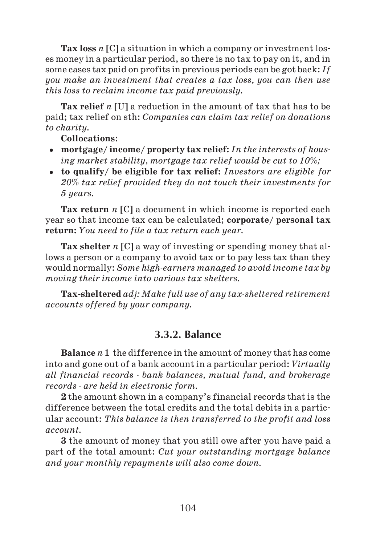**Tax loss** *n* [C] a situation in which a company or investment los es money in a particular period, so there is no tax to pay on it, and in some cases tax paid on profits in previous periods can be got back: *If you make an investment that creates a tax loss, you can then use this loss to reclaim income tax paid previously.*

**Tax relief** *n* [U] a reduction in the amount of tax that has to be paid; tax relief on sth: *Companies can claim tax relief on donations to charity.*

#### **Collocations**:

- **mortgage/ income/ property tax relief:** *In the interests of hous ing market stability, mortgage tax relief would be cut to 10%;*
- **to qualify/ be eligible for tax relief:** *Investors are eligible for 20% tax relief provided they do not touch their investments for 5 years.*

**Tax return** *n* [C] a document in which income is reported each year so that income tax can be calculated; **corporate/ personal tax return:** *You need to file a tax return each year.*

**Tax shelter** *n* [C] a way of investing or spending money that allows a person or a company to avoid tax or to pay less tax than they would normally: *Some highearners managed to avoid income tax by moving their income into various tax shelters.*

**Tax sheltered** *adj:Make full use of any taxsheltered retirement accounts offered by your company.*

## **3.3.2. Balance**

**Balance** *n* 1 the difference in the amount of money that has come into and gone out of a bank account in a particular period: *Virtually all financial records bank balances, mutual fund, and brokerage records are held in electronic form.*

**2** the amount shown in a company's financial records that is the difference between the total credits and the total debits in a partic ular account: *This balance is then transferred to the profit and loss account.*

**3** the amount of money that you still owe after you have paid a part of the total amount: *Cut your outstanding mortgage balance and your monthly repayments will also come down.*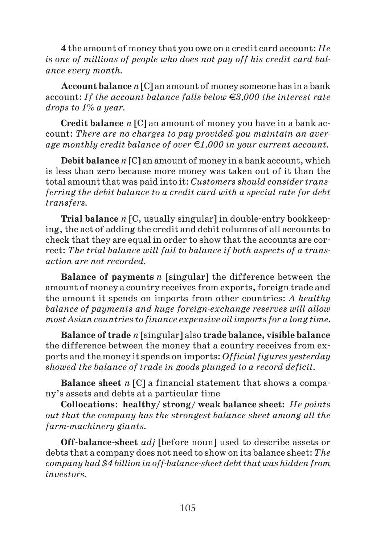**4** the amount of money that you owe on a credit card account: *He is one of millions of people who does not pay off his credit card bal ance every month.*

**Account balance** *n* [C] an amount of money someone has in a bank account: *If the account balance falls below 3,000 the interest rate drops to 1% a year.*

**Credit balance** *n* [C] an amount of money you have in a bank ac count: *There are no charges to pay provided you maintain an aver age monthly credit balance of over 1,000 in your current account.*

**Debit balance** *n* [C] an amount of money in a bank account, which is less than zero because more money was taken out of it than the total amount that was paid into it: *Customers should consider trans ferring the debit balance to a credit card with a special rate for debt transfers.*

**Trial balance** *n* [C, usually singular] in double entry bookkeep ing, the act of adding the credit and debit columns of all accounts to check that they are equal in order to show that the accounts are cor rect: *The trial balance will fail to balance if both aspects of a trans action are not recorded.*

**Balance of payments** *n* [singular] the difference between the amount of money a country receives from exports, foreign trade and the amount it spends on imports from other countries: *A healthy balance of payments and huge foreignexchange reserves will allow most Asian countries to finance expensive oil imports for a long time.*

**Balance of trade** *n* [singular] also **trade balance, visible balance** the difference between the money that a country receives from ex ports and the money it spends on imports: *Official figures yesterday showed the balance of trade in goods plunged to a record deficit.*

**Balance sheet** *n* [C] a financial statement that shows a compa ny's assets and debts at a particular time

**Collocations**: **healthy/ strong/ weak balance sheet:** *He points out that the company has the strongest balance sheet among all the*  $farm\text{-}machinery \text{ giants.}$ 

**Off balance sheet** *adj* [before noun] used to describe assets or debts that a company does not need to show on its balance sheet: *The company had \$4 billion in off-balance-sheet debt that was hidden from investors.*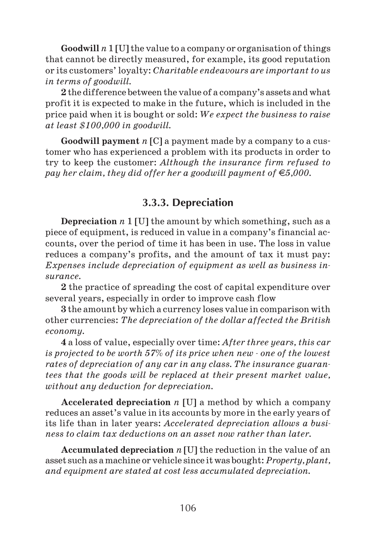**Goodwill** *n* 1 [U] the value to a company or organisation of things that cannot be directly measured, for example, its good reputation or its customers' loyalty: *Charitable endeavours are important to us in terms of goodwill.*

**2** the difference between the value of a company's assets and what profit it is expected to make in the future, which is included in the price paid when it is bought or sold: *We expect the business to raise at least \$100,000 in goodwill.*

**Goodwill payment** *n* [C] a payment made by a company to a cus tomer who has experienced a problem with its products in order to try to keep the customer: *Although the insurance firm refused to pay her claim, they did offer her a goodwill payment of*  $\epsilon$ 5,000.

### **3.3.3. Depreciation**

**Depreciation** *n* 1 [U] the amount by which something, such as a piece of equipment, is reduced in value in a company's financial ac counts, over the period of time it has been in use. The loss in value reduces a company's profits, and the amount of tax it must pay: *Expenses include depreciation of equipment as well as business in surance.*

**2** the practice of spreading the cost of capital expenditure over several years, especially in order to improve cash flow

**3** the amount by which a currency loses value in comparison with other currencies: *The depreciation of the dollar affected the British economy.*

**4** a loss of value, especially over time: *After three years, this car is projected to be worth 57% of its price when new one of the lowest rates of depreciation of any car in any class. The insurance guaran tees that the goods will be replaced at their present market value, without any deduction for depreciation.*

**Accelerated depreciation** *n* [U] a method by which a company reduces an asset's value in its accounts by more in the early years of its life than in later years: *Accelerated depreciation allows a busi ness to claim tax deductions on an asset now rather than later.*

**Accumulated depreciation** *n* [U] the reduction in the value of an asset such as a machine or vehicle since it was bought: *Property, plant, and equipment are stated at cost less accumulated depreciation.*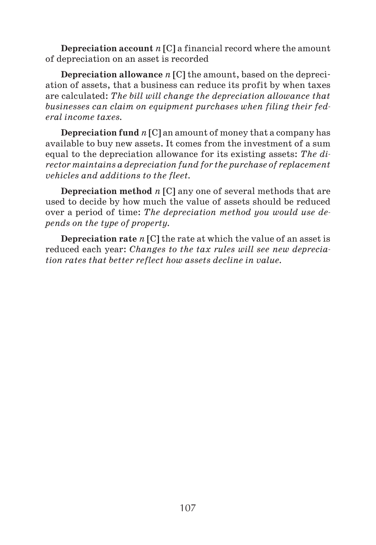**Depreciation account** *n* [C] a financial record where the amount of depreciation on an asset is recorded

**Depreciation allowance** *n* [C] the amount, based on the depreci ation of assets, that a business can reduce its profit by when taxes are calculated: *The bill will change the depreciation allowance that businesses can claim on equipment purchases when filing their fed eral income taxes.*

**Depreciation fund** *n* [C] an amount of money that a company has available to buy new assets. It comes from the investment of a sum equal to the depreciation allowance for its existing assets: *The di rector maintains a depreciation fund for the purchase of replacement vehicles and additions to the fleet.*

**Depreciation method** *n* [C] any one of several methods that are used to decide by how much the value of assets should be reduced over a period of time: *The depreciation method you would use de pends on the type of property.*

**Depreciation rate** *n* [C] the rate at which the value of an asset is reduced each year: *Changes to the tax rules will see new deprecia tion rates that better reflect how assets decline in value.*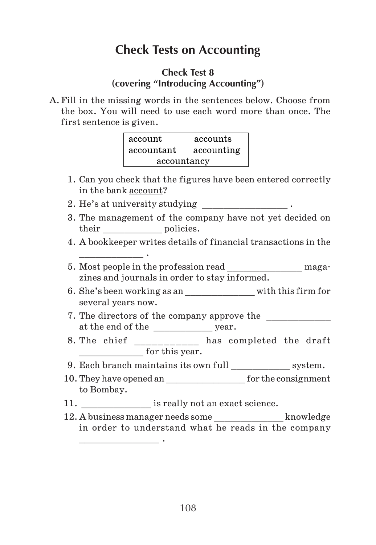# **Check Tests on Accounting**

### **Check Test 8 (covering "Introducing Accounting")**

A. Fill in the missing words in the sentences below. Choose from the box. You will need to use each word more than once. The first sentence is given.

| account     | accounts   |  |  |  |  |
|-------------|------------|--|--|--|--|
| accountant  | accounting |  |  |  |  |
| accountancy |            |  |  |  |  |

- 1. Can you check that the figures have been entered correctly in the bank account?
- 2. He's at university studying \_\_\_\_\_\_\_\_\_\_\_\_\_\_\_\_\_\_\_.

\_\_\_\_\_\_\_\_\_\_\_\_ .

 $\overline{\phantom{a}}$  . The set of the set of the set of the set of the set of the set of the set of the set of the set of the set of the set of the set of the set of the set of the set of the set of the set of the set of the set o

- 3. The management of the company have not yet decided on their policies.
- 4. A bookkeeper writes details of financial transactions in the
- 5. Most people in the profession read \_\_\_\_\_\_\_\_\_\_\_\_\_\_\_ magazines and journals in order to stay informed.
- 6. She's been working as an \_\_\_\_\_\_\_\_\_\_\_\_\_ with this firm for several years now.
- 7. The directors of the company approve the at the end of the \_\_\_\_\_\_\_\_\_\_\_\_\_\_ year.
- 8. The chief has completed the draft for this year.
- 9. Each branch maintains its own full \_\_\_\_\_\_\_\_\_\_\_\_\_ system.
- 10. They have opened an  $\qquad \qquad$  for the consignment to Bombay.
- 11. **is really not an exact science.**
- 12. A business manager needs some \_\_\_\_\_\_\_\_\_\_\_\_\_ knowledge in order to understand what he reads in the company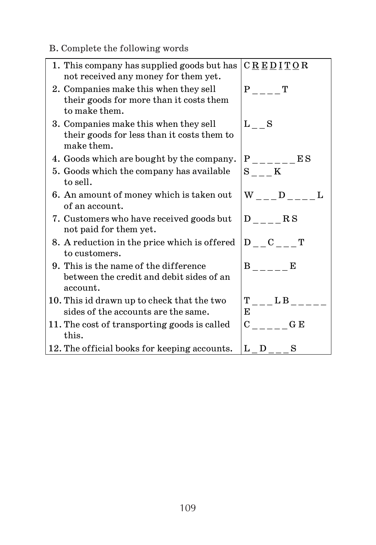B. Complete the following words

| 1. This company has supplied goods but has<br>not received any money for them yet.                | $C \underline{R} \underline{E} \underline{D} \underline{I} \underline{T} \underline{O} R$ |
|---------------------------------------------------------------------------------------------------|-------------------------------------------------------------------------------------------|
| 2. Companies make this when they sell<br>their goods for more than it costs them<br>to make them. | $P_{---}$<br>т                                                                            |
| 3. Companies make this when they sell<br>their goods for less than it costs them to<br>make them. | L S                                                                                       |
| 4. Goods which are bought by the company.                                                         | $P_{---E}$ $ES$                                                                           |
| 5. Goods which the company has available<br>to sell.                                              | $S$ K                                                                                     |
| 6. An amount of money which is taken out<br>of an account.                                        | W D                                                                                       |
| 7. Customers who have received goods but<br>not paid for them yet.                                | $D_{---}$ $RS$                                                                            |
| 8. A reduction in the price which is offered<br>to customers.                                     | $D_{--}C_{--}T$                                                                           |
| 9. This is the name of the difference<br>between the credit and debit sides of an<br>account.     | B E                                                                                       |
| 10. This id drawn up to check that the two<br>sides of the accounts are the same.                 | T LB<br>E                                                                                 |
| 11. The cost of transporting goods is called<br>this.                                             | $C$ $G \to E$                                                                             |
| 12. The official books for keeping accounts.                                                      | $L_D$ <sub>--</sub><br>S                                                                  |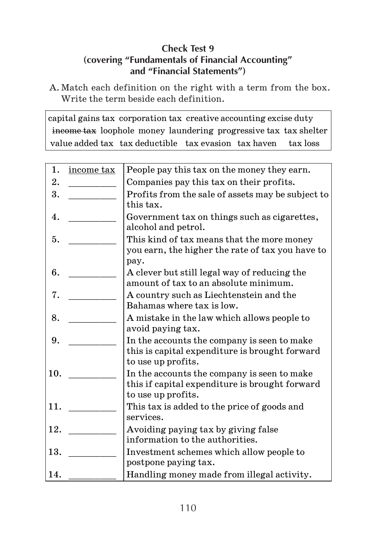# **Check Test 9 (covering "Fundamentals of Financial Accounting" and "Financial Statements")**

A. Match each definition on the right with a term from the box. Write the term beside each definition.

capital gains tax corporation tax creative accounting excise duty income tax loophole money laundering progressive tax tax shelter value added tax tax deductible tax evasion tax haven tax loss

| 1.  | income tax | People pay this tax on the money they earn.                          |
|-----|------------|----------------------------------------------------------------------|
| 2.  |            | Companies pay this tax on their profits.                             |
| 3.  |            | Profits from the sale of assets may be subject to                    |
|     |            | this tax.                                                            |
| 4.  |            | Government tax on things such as cigarettes,                         |
|     |            | alcohol and petrol.                                                  |
| 5.  |            | This kind of tax means that the more money                           |
|     |            | you earn, the higher the rate of tax you have to                     |
|     |            | pay.                                                                 |
| 6.  |            | A clever but still legal way of reducing the                         |
|     |            | amount of tax to an absolute minimum.                                |
| 7.  |            | A country such as Liechtenstein and the<br>Bahamas where tax is low. |
| 8.  |            | A mistake in the law which allows people to                          |
|     |            | avoid paying tax.                                                    |
| 9.  |            | In the accounts the company is seen to make                          |
|     |            | this is capital expenditure is brought forward                       |
|     |            | to use up profits.                                                   |
| 10. |            | In the accounts the company is seen to make                          |
|     |            | this if capital expenditure is brought forward                       |
|     |            | to use up profits.                                                   |
| 11. |            | This tax is added to the price of goods and                          |
|     |            | services.                                                            |
| 12. |            | Avoiding paying tax by giving false                                  |
|     |            | information to the authorities.                                      |
| 13. |            | Investment schemes which allow people to                             |
|     |            | postpone paying tax.                                                 |
| 14. |            | Handling money made from illegal activity.                           |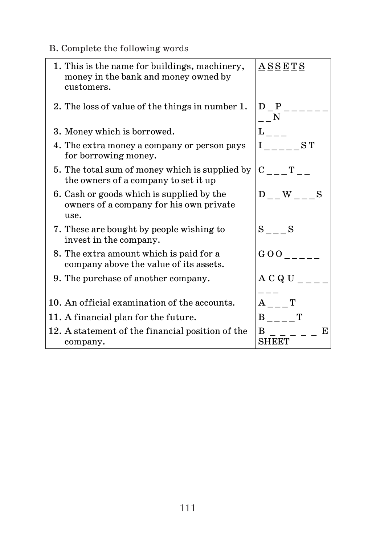B. Complete the following words

| 1. This is the name for buildings, machinery,<br>money in the bank and money owned by<br>customers. | <b>ASSETS</b>                                                                                                                                                                                                                                                                                                                                                                                                                                                                        |
|-----------------------------------------------------------------------------------------------------|--------------------------------------------------------------------------------------------------------------------------------------------------------------------------------------------------------------------------------------------------------------------------------------------------------------------------------------------------------------------------------------------------------------------------------------------------------------------------------------|
| 2. The loss of value of the things in number 1.                                                     | D P<br>N                                                                                                                                                                                                                                                                                                                                                                                                                                                                             |
| 3. Money which is borrowed.                                                                         |                                                                                                                                                                                                                                                                                                                                                                                                                                                                                      |
| 4. The extra money a company or person pays<br>for borrowing money.                                 | L<br>$\overline{\phantom{1}}$ $\overline{\phantom{1}}$ $\overline{\phantom{1}}$ $\overline{\phantom{1}}$ $\overline{\phantom{1}}$ $\overline{\phantom{1}}$ $\overline{\phantom{1}}$ $\overline{\phantom{1}}$ $\overline{\phantom{1}}$ $\overline{\phantom{1}}$ $\overline{\phantom{1}}$ $\overline{\phantom{1}}$ $\overline{\phantom{1}}$ $\overline{\phantom{1}}$ $\overline{\phantom{1}}$ $\overline{\phantom{1}}$ $\overline{\phantom{1}}$ $\overline{\phantom{1}}$ $\overline{\$ |
| 5. The total sum of money which is supplied by<br>the owners of a company to set it up              | $C$ T                                                                                                                                                                                                                                                                                                                                                                                                                                                                                |
| 6. Cash or goods which is supplied by the<br>owners of a company for his own private<br>use.        | D W<br>S                                                                                                                                                                                                                                                                                                                                                                                                                                                                             |
| 7. These are bought by people wishing to<br>invest in the company.                                  | S S                                                                                                                                                                                                                                                                                                                                                                                                                                                                                  |
| 8. The extra amount which is paid for a<br>company above the value of its assets.                   | 00 <sub>0</sub>                                                                                                                                                                                                                                                                                                                                                                                                                                                                      |
| 9. The purchase of another company.                                                                 | A C Q U                                                                                                                                                                                                                                                                                                                                                                                                                                                                              |
| 10. An official examination of the accounts.                                                        | $\mathbf A$<br>т                                                                                                                                                                                                                                                                                                                                                                                                                                                                     |
| 11. A financial plan for the future.                                                                | т<br>B                                                                                                                                                                                                                                                                                                                                                                                                                                                                               |
| 12. A statement of the financial position of the<br>company.                                        | B<br>E<br>SHEET                                                                                                                                                                                                                                                                                                                                                                                                                                                                      |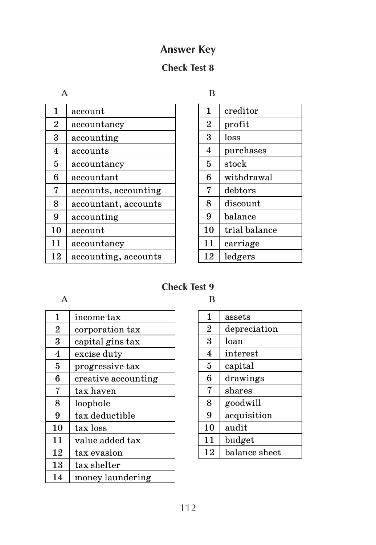# **Answer Key**

# **Check Test 8**

A

| 1                       | account              |
|-------------------------|----------------------|
| $\overline{2}$          | accountancy          |
| 3                       | accounting           |
| $\overline{\mathbf{4}}$ | accounts             |
| 5                       | accountancv          |
| 6                       | accountant           |
| 7                       | accounts, accounting |
| 8                       | accountant, accounts |
| 9                       | accounting           |
| 10                      | account              |
| 11                      | accountancy          |
| 12                      | accounting, accounts |

B

| 1              | creditor       |
|----------------|----------------|
| $\overline{2}$ | profit         |
| 3              | loss           |
| 4              | purchases      |
| 5              | $_{\rm stock}$ |
| 6              | withdrawal     |
| 7              | debtors        |
| 8              | discount       |
| 9              | balance        |
| 10             | trial balance  |
| 11             | carriage       |
| 12             | ledgers        |

# **Check Test 9**

 $\mathbf A$  B

| 1              | income tax          |
|----------------|---------------------|
| $\overline{2}$ | corporation tax     |
| 3              | capital gins tax    |
| $\overline{4}$ | excise duty         |
| 5              | progressive tax     |
| 6              | creative accounting |
| 7              | tax haven           |
| 8              | loophole            |
| 9              | tax deductible      |
| 10             | tax loss            |
| 11             | value added tax     |
| 12             | tax evasion         |
| 13             | tax shelter         |
| 14             | money laundering    |

| 1              | assets        |
|----------------|---------------|
| $\overline{2}$ | depreciation  |
| 3              | loan          |
| 4              | interest      |
| 5              | capital       |
| 6              | drawings      |
| 7              | shares        |
| 8              | goodwill      |
| 9              | acquisition   |
| 10             | audit         |
| 11             | budget        |
| 12             | balance sheet |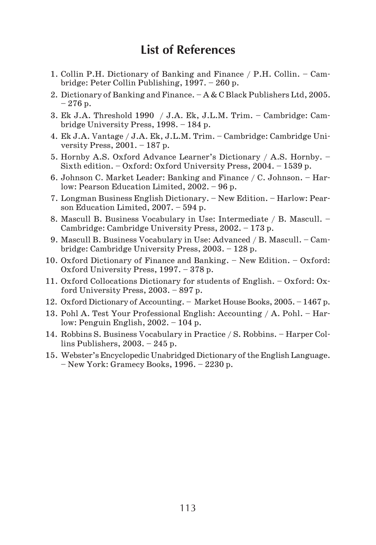# **List of References**

- 1. Collin P.H. Dictionary of Banking and Finance / P.H. Collin. Cam bridge: Peter Collin Publishing, 1997. – 260 p.
- 2. Dictionary of Banking and Finance. A & C Black Publishers Ltd, 2005.  $-276$  p.
- 3. Ek J.A. Threshold 1990 / J.A. Ek, J.L.M. Trim. Cambridge: Cam bridge University Press, 1998. – 184 p.
- 4. Ek J.A. Vantage / J.A. Ek, J.L.M. Trim. Cambridge: Cambridge Uni versity Press,  $2001 - 187$  p.
- 5. Hornby A.S. Oxford Advance Learner's Dictionary / A.S. Hornby. Sixth edition. – Oxford: Oxford University Press, 2004. – 1539 p.
- 6. Johnson C. Market Leader: Banking and Finance / C. Johnson. Har low: Pearson Education Limited, 2002. – 96 p.
- 7. Longman Business English Dictionary. New Edition. Harlow: Pear son Education Limited, 2007. – 594 p.
- 8. Mascull B. Business Vocabulary in Use: Intermediate / B. Mascull. Cambridge: Cambridge University Press, 2002. – 173 p.
- 9. Mascull B. Business Vocabulary in Use: Advanced / B. Mascull. Cam bridge: Cambridge University Press, 2003. – 128 p.
- 10. Oxford Dictionary of Finance and Banking. New Edition. Oxford: Oxford University Press, 1997. – 378 p.
- 11. Oxford Collocations Dictionary for students of English. Oxford: Ox ford University Press, 2003. – 897 p.
- 12. Oxford Dictionary of Accounting. Market House Books, 2005. 1467 p.
- 13. Pohl A. Test Your Professional English: Accounting / A. Pohl. Har low: Penguin English, 2002. – 104 p.
- 14. Robbins S. Business Vocabulary in Practice / S. Robbins. Harper Col lins Publishers, 2003. – 245 p.
- 15. Webster's Encyclopedic Unabridged Dictionary of the English Language. – New York: Gramecy Books, 1996. – 2230 p.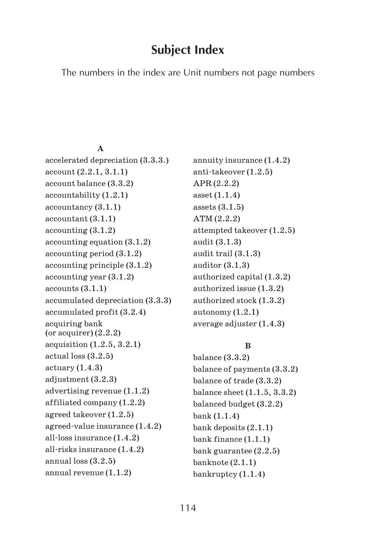# **Subject Index**

The numbers in the index are Unit numbers not page numbers

#### **A**

accelerated depreciation (3.3.3.) account (2.2.1, 3.1.1) account balance (3.3.2) accountability (1.2.1) accountancy (3.1.1) accountant (3.1.1) accounting (3.1.2) accounting equation (3.1.2) accounting period (3.1.2) accounting principle (3.1.2) accounting year (3.1.2) accounts (3.1.1) accumulated depreciation (3.3.3) accumulated profit (3.2.4) acquiring bank (or acquirer) (2.2.2) acquisition (1.2.5, 3.2.1) actual loss (3.2.5)  $actuary (1.4.3)$ adjustment (3.2.3) advertising revenue (1.1.2) affiliated company (1.2.2) agreed takeover (1.2.5) agreed value insurance (1.4.2) all loss insurance (1.4.2) all risks insurance (1.4.2) annual loss (3.2.5) annual revenue (1.1.2)

annuity insurance (1.4.2) anti takeover (1.2.5) APR (2.2.2) asset (1.1.4) assets (3.1.5) ATM (2.2.2) attempted takeover (1.2.5) audit (3.1.3) audit trail (3.1.3) auditor (3.1.3) authorized capital (1.3.2) authorized issue (1.3.2) authorized stock (1.3.2) autonomy (1.2.1) average adjuster (1.4.3)

### **B**

balance (3.3.2) balance of payments (3.3.2) balance of trade (3.3.2) balance sheet (1.1.5, 3.3.2) balanced budget (3.2.2) bank (1.1.4) bank deposits (2.1.1) bank finance (1.1.1) bank guarantee (2.2.5) banknote (2.1.1) bankruptcy (1.1.4)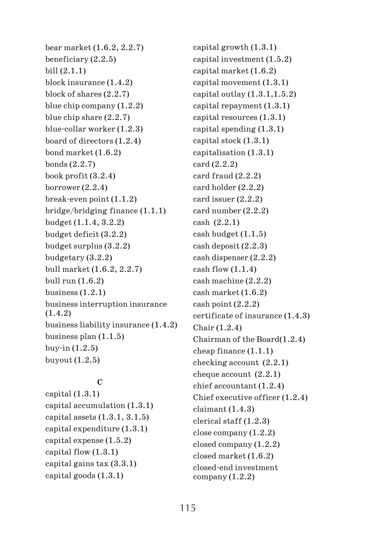bear market (1.6.2, 2.2.7) beneficiary (2.2.5) bill (2.1.1) block insurance (1.4.2) block of shares (2.2.7) blue chip company (1.2.2) blue chip share (2.2.7) blue collar worker (1.2.3) board of directors (1.2.4) bond market (1.6.2) bonds (2.2.7) book profit (3.2.4) borrower (2.2.4) break even point (1.1.2) bridge/bridging finance (1.1.1) budget (1.1.4, 3.2.2) budget deficit (3.2.2) budget surplus (3.2.2) budgetary (3.2.2) bull market (1.6.2, 2.2.7) bull run (1.6.2) business (1.2.1) business interruption insurance (1.4.2) business liability insurance (1.4.2) business plan (1.1.5) buy in (1.2.5) buyout (1.2.5)

## **C**

capital (1.3.1) capital accumulation (1.3.1) capital assets (1.3.1, 3.1.5) capital expenditure (1.3.1) capital expense (1.5.2) capital flow (1.3.1) capital gains tax (3.3.1) capital goods (1.3.1)

capital growth (1.3.1) capital investment (1.5.2) capital market (1.6.2) capital movement (1.3.1) capital outlay  $(1.3.1, 1.5.2)$ capital repayment (1.3.1) capital resources (1.3.1) capital spending (1.3.1) capital stock (1.3.1) capitalisation (1.3.1) card (2.2.2) card fraud (2.2.2) card holder (2.2.2) card issuer (2.2.2) card number (2.2.2) cash (2.2.1) cash budget (1.1.5) cash deposit (2.2.3) cash dispenser (2.2.2) cash flow  $(1.1.4)$ cash machine (2.2.2) cash market (1.6.2)  $\cosh$  point  $(2.2.2)$ certificate of insurance (1.4.3) Chair (1.2.4) Chairman of the Board(1.2.4) cheap finance (1.1.1) checking account (2.2.1) cheque account (2.2.1) chief accountant (1.2.4) Chief executive officer (1.2.4) claimant (1.4.3) clerical staff (1.2.3) close company (1.2.2) closed company (1.2.2) closed market (1.6.2) closed end investment  $company (1.2.2)$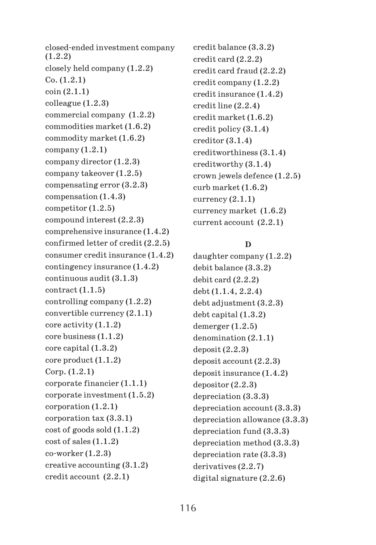closed ended investment company (1.2.2) closely held company (1.2.2) Co. (1.2.1) coin (2.1.1) colleague (1.2.3) commercial company (1.2.2) commodities market (1.6.2) commodity market (1.6.2)  $companv(1.2.1)$ company director (1.2.3) company takeover (1.2.5) compensating error (3.2.3) compensation (1.4.3) competitor (1.2.5) compound interest (2.2.3) comprehensive insurance (1.4.2) confirmed letter of credit (2.2.5) consumer credit insurance (1.4.2) contingency insurance (1.4.2) continuous audit (3.1.3) contract (1.1.5) controlling company (1.2.2) convertible currency (2.1.1) core activity (1.1.2) core business (1.1.2) core capital (1.3.2) core product (1.1.2) Corp. (1.2.1) corporate financier (1.1.1) corporate investment (1.5.2) corporation (1.2.1) corporation tax (3.3.1) cost of goods sold (1.1.2) cost of sales (1.1.2) co worker (1.2.3) creative accounting (3.1.2) credit account (2.2.1)

credit balance (3.3.2) credit card (2.2.2) credit card fraud (2.2.2) credit company (1.2.2) credit insurance (1.4.2) credit line (2.2.4) credit market (1.6.2) credit policy (3.1.4) creditor (3.1.4) creditworthiness (3.1.4) creditworthy (3.1.4) crown jewels defence (1.2.5) curb market (1.6.2)  $currence (2.1.1)$ currency market (1.6.2) current account (2.2.1)

### **D**

daughter company (1.2.2) debit balance (3.3.2) debit card (2.2.2) debt (1.1.4, 2.2.4)  $debt$  adjustment  $(3.2.3)$ debt capital (1.3.2) demerger (1.2.5) denomination (2.1.1)  $deposit (2.2.3)$ deposit account (2.2.3) deposit insurance (1.4.2) depositor (2.2.3) depreciation (3.3.3) depreciation account (3.3.3) depreciation allowance (3.3.3) depreciation fund (3.3.3) depreciation method (3.3.3) depreciation rate (3.3.3) derivatives (2.2.7) digital signature (2.2.6)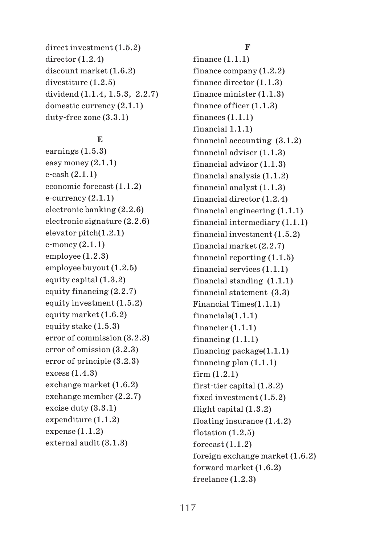direct investment (1.5.2) director (1.2.4) discount market (1.6.2) divestiture (1.2.5) dividend (1.1.4, 1.5.3, 2.2.7) domestic currency (2.1.1) duty free zone (3.3.1)

### **E**

earnings (1.5.3) easy money (2.1.1) e cash (2.1.1) economic forecast (1.1.2) e currency (2.1.1) electronic banking (2.2.6) electronic signature (2.2.6) elevator pitch(1.2.1) e money (2.1.1) employee (1.2.3) employee buyout (1.2.5) equity capital (1.3.2) equity financing (2.2.7) equity investment (1.5.2) equity market (1.6.2) equity stake (1.5.3) error of commission (3.2.3) error of omission (3.2.3) error of principle (3.2.3) excess (1.4.3) exchange market (1.6.2) exchange member (2.2.7) excise duty (3.3.1) expenditure (1.1.2) expense  $(1.1.2)$ external audit (3.1.3)

#### **F**

finance (1.1.1) finance company (1.2.2) finance director (1.1.3) finance minister (1.1.3) finance officer (1.1.3) finances  $(1.1.1)$ financial 1.1.1) financial accounting (3.1.2) financial adviser (1.1.3) financial advisor (1.1.3) financial analysis (1.1.2) financial analyst (1.1.3) financial director (1.2.4) financial engineering (1.1.1) financial intermediary (1.1.1) financial investment (1.5.2) financial market (2.2.7) financial reporting (1.1.5) financial services (1.1.1) financial standing (1.1.1) financial statement (3.3) Financial Times(1.1.1) financials(1.1.1) financier (1.1.1) financing  $(1.1.1)$ financing package(1.1.1) financing plan (1.1.1) firm (1.2.1) first tier capital (1.3.2) fixed investment (1.5.2) flight capital (1.3.2) floating insurance (1.4.2) flotation  $(1.2.5)$ forecast  $(1.1.2)$ foreign exchange market (1.6.2) forward market (1.6.2) freelance (1.2.3)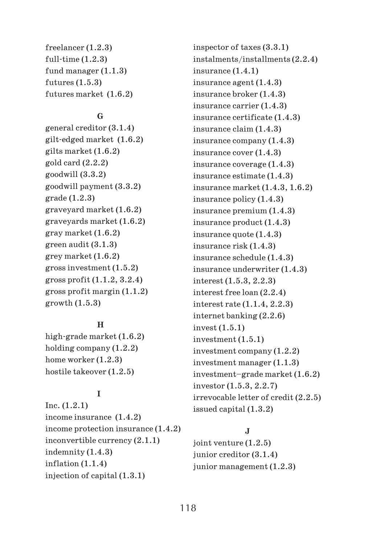freelancer (1.2.3) full time (1.2.3) fund manager (1.1.3)  $futures (1.5.3)$ futures market (1.6.2)

#### **G**

general creditor (3.1.4) gilt edged market (1.6.2) gilts market (1.6.2) gold card (2.2.2) goodwill (3.3.2) goodwill payment (3.3.2) grade (1.2.3) graveyard market (1.6.2) graveyards market (1.6.2) gray market (1.6.2) green audit (3.1.3) grey market (1.6.2) gross investment (1.5.2) gross profit (1.1.2, 3.2.4) gross profit margin (1.1.2) growth (1.5.3)

### **H**

high grade market (1.6.2) holding company (1.2.2) home worker (1.2.3) hostile takeover (1.2.5)

## **I**

Inc. (1.2.1) income insurance (1.4.2) income protection insurance (1.4.2) inconvertible currency (2.1.1) indemnity (1.4.3) inflation (1.1.4) injection of capital (1.3.1)

inspector of taxes (3.3.1) instalments/installments (2.2.4) insurance (1.4.1) insurance agent (1.4.3) insurance broker (1.4.3) insurance carrier (1.4.3) insurance certificate (1.4.3) insurance claim (1.4.3) insurance company (1.4.3) insurance cover (1.4.3) insurance coverage (1.4.3) insurance estimate (1.4.3) insurance market (1.4.3, 1.6.2) insurance policy (1.4.3) insurance premium (1.4.3) insurance product (1.4.3) insurance quote (1.4.3) insurance risk (1.4.3) insurance schedule (1.4.3) insurance underwriter (1.4.3) interest (1.5.3, 2.2.3) interest free loan (2.2.4) interest rate (1.1.4, 2.2.3) internet banking (2.2.6) invest (1.5.1) investment (1.5.1) investment company (1.2.2) investment manager (1.1.3) investment–grade market (1.6.2) investor (1.5.3, 2.2.7) irrevocable letter of credit (2.2.5) issued capital (1.3.2)

## **J**

joint venture (1.2.5) junior creditor (3.1.4) junior management (1.2.3)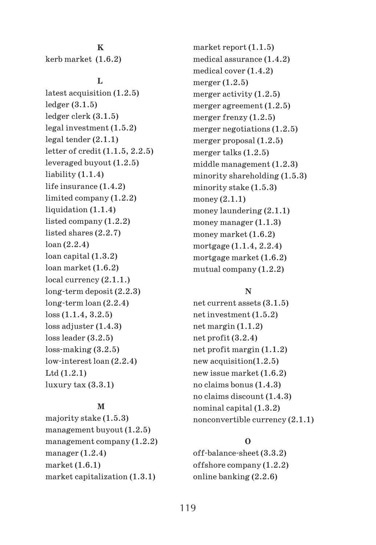#### **K**

kerb market (1.6.2)

#### **L**

latest acquisition (1.2.5) ledger (3.1.5) ledger clerk (3.1.5) legal investment (1.5.2) legal tender (2.1.1) letter of credit (1.1.5, 2.2.5) leveraged buyout (1.2.5) liability (1.1.4) life insurance (1.4.2) limited company (1.2.2) liquidation  $(1.1.4)$ listed company (1.2.2) listed shares (2.2.7) loan (2.2.4) loan capital (1.3.2) loan market (1.6.2) local currency (2.1.1.) long term deposit (2.2.3) long term loan (2.2.4) loss (1.1.4, 3.2.5) loss adjuster  $(1.4.3)$ loss leader (3.2.5) loss making (3.2.5) low interest loan (2.2.4) Ltd (1.2.1)  $luxury tax (3.3.1)$ 

#### **M**

majority stake (1.5.3) management buyout (1.2.5) management company (1.2.2) manager  $(1.2.4)$ market (1.6.1) market capitalization (1.3.1)

market report (1.1.5) medical assurance (1.4.2) medical cover (1.4.2) merger  $(1.2.5)$ merger activity (1.2.5) merger agreement (1.2.5) merger frenzy (1.2.5) merger negotiations (1.2.5) merger proposal (1.2.5) merger talks (1.2.5) middle management (1.2.3) minority shareholding (1.5.3) minority stake (1.5.3) money (2.1.1) money laundering (2.1.1) money manager (1.1.3) money market (1.6.2) mortgage (1.1.4, 2.2.4) mortgage market (1.6.2) mutual company (1.2.2)

#### **N**

net current assets (3.1.5) net investment (1.5.2) net margin (1.1.2) net profit (3.2.4) net profit margin (1.1.2) new acquisition(1.2.5) new issue market (1.6.2) no claims bonus (1.4.3) no claims discount (1.4.3) nominal capital (1.3.2) nonconvertible currency (2.1.1)

### **O**

off balance sheet (3.3.2) offshore company (1.2.2) online banking (2.2.6)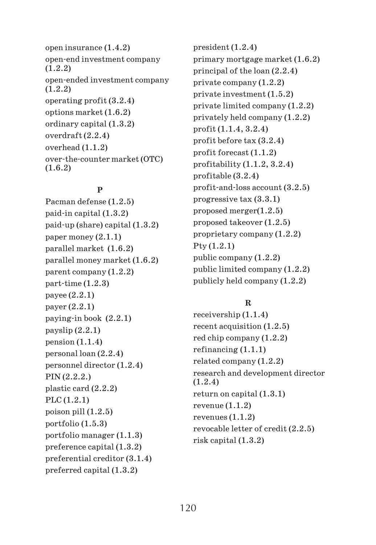open insurance (1.4.2) open end investment company (1.2.2) open ended investment company (1.2.2) operating profit (3.2.4) options market (1.6.2) ordinary capital (1.3.2) overdraft (2.2.4) overhead (1.1.2) over the counter market (OTC) (1.6.2)

## **P**

Pacman defense (1.2.5) paid in capital (1.3.2) paid up (share) capital (1.3.2) paper money (2.1.1) parallel market (1.6.2) parallel money market (1.6.2) parent company (1.2.2) part time (1.2.3) payee (2.2.1) payer (2.2.1) paying in book (2.2.1) payslip  $(2.2.1)$ pension  $(1.1.4)$ personal loan (2.2.4) personnel director (1.2.4) PIN (2.2.2.) plastic card (2.2.2) PLC (1.2.1) poison pill (1.2.5) portfolio (1.5.3) portfolio manager (1.1.3) preference capital (1.3.2) preferential creditor (3.1.4) preferred capital (1.3.2)

president (1.2.4) primary mortgage market (1.6.2) principal of the loan (2.2.4) private company (1.2.2) private investment (1.5.2) private limited company (1.2.2) privately held company (1.2.2) profit (1.1.4, 3.2.4) profit before tax (3.2.4) profit forecast (1.1.2) profitability (1.1.2, 3.2.4) profitable (3.2.4) profit and loss account (3.2.5) progressive tax (3.3.1) proposed merger(1.2.5) proposed takeover (1.2.5) proprietary company (1.2.2) Pty (1.2.1) public company (1.2.2) public limited company (1.2.2) publicly held company (1.2.2)

## **R**

receivership (1.1.4) recent acquisition (1.2.5) red chip company (1.2.2) refinancing (1.1.1) related company (1.2.2) research and development director (1.2.4) return on capital (1.3.1) revenue (1.1.2) revenues (1.1.2) revocable letter of credit (2.2.5) risk capital (1.3.2)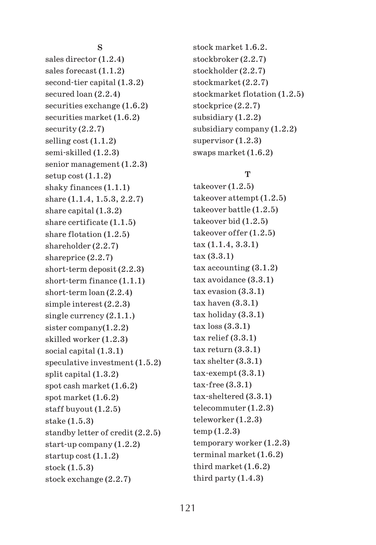#### **S**

sales director (1.2.4) sales forecast (1.1.2) second tier capital (1.3.2) secured loan (2.2.4) securities exchange (1.6.2) securities market (1.6.2) security (2.2.7) selling cost (1.1.2) semi skilled (1.2.3) senior management (1.2.3) setup  $cost(1.1.2)$ shaky finances (1.1.1) share (1.1.4, 1.5.3, 2.2.7) share capital (1.3.2) share certificate (1.1.5) share flotation (1.2.5) shareholder (2.2.7) shareprice (2.2.7) short term deposit (2.2.3) short term finance (1.1.1) short term loan (2.2.4) simple interest (2.2.3) single currency (2.1.1.) sister company(1.2.2) skilled worker (1.2.3) social capital (1.3.1) speculative investment (1.5.2) split capital (1.3.2) spot cash market (1.6.2) spot market (1.6.2) staff buyout (1.2.5) stake (1.5.3) standby letter of credit (2.2.5) start up company (1.2.2) startup cost (1.1.2) stock (1.5.3) stock exchange (2.2.7)

stock market 1.6.2. stockbroker (2.2.7) stockholder (2.2.7) stockmarket (2.2.7) stockmarket flotation (1.2.5) stockprice (2.2.7) subsidiary (1.2.2) subsidiary company (1.2.2) supervisor  $(1.2.3)$ swaps market (1.6.2)

## **T**

takeover (1.2.5) takeover attempt (1.2.5) takeover battle (1.2.5) takeover bid (1.2.5) takeover offer (1.2.5) tax (1.1.4, 3.3.1) tax (3.3.1) tax accounting (3.1.2) tax avoidance (3.3.1) tax evasion (3.3.1) tax haven (3.3.1) tax holiday (3.3.1) tax loss (3.3.1) tax relief (3.3.1) tax return (3.3.1) tax shelter (3.3.1) tax exempt (3.3.1) tax free (3.3.1) tax sheltered (3.3.1) telecommuter (1.2.3) teleworker (1.2.3) temp (1.2.3) temporary worker (1.2.3) terminal market (1.6.2) third market (1.6.2) third party (1.4.3)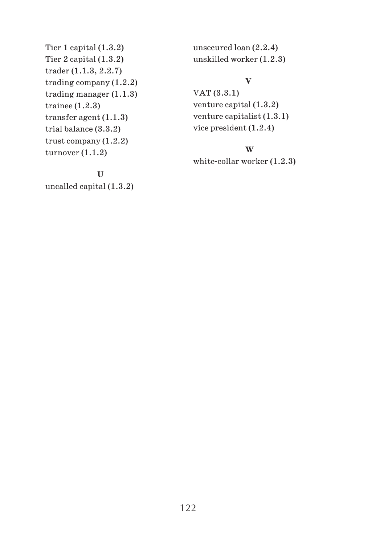Tier 1 capital (1.3.2) Tier 2 capital (1.3.2) trader (1.1.3, 2.2.7) trading company (1.2.2) trading manager (1.1.3) trainee (1.2.3) transfer agent (1.1.3) trial balance (3.3.2) trust company (1.2.2) turnover (1.1.2)

unsecured loan (2.2.4) unskilled worker (1.2.3)

## **V**

VAT (3.3.1) venture capital (1.3.2) venture capitalist (1.3.1) vice president (1.2.4)

## **W**

white collar worker (1.2.3)

**U** uncalled capital (1.3.2)